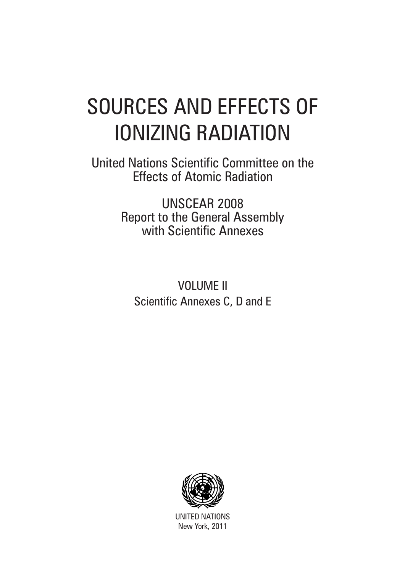# SOURCES AND EFFECTS OF IONIZING RADIATION

United Nations Scientific Committee on the Effects of Atomic Radiation

> UNSCEAR 2008 Report to the General Assembly with Scientific Annexes

VOLUME II Scientific Annexes C, D and E



UNITED NATIONS New York, 2011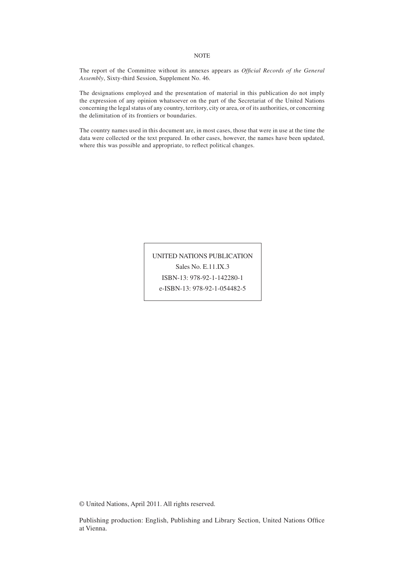#### The report of the Committee without its annexes appears as *Official Records of the General Assembly*, Sixty-third Session, Supplement No. 46.

The designations employed and the presentation of material in this publication do not imply the expression of any opinion whatsoever on the part of the Secretariat of the United Nations concerning the legal status of any country, territory, city or area, or of its authorities, or concerning the delimitation of its frontiers or boundaries.

The country names used in this document are, in most cases, those that were in use at the time the data were collected or the text prepared. In other cases, however, the names have been updated, where this was possible and appropriate, to reflect political changes.

> UNITED NATIONS PUBLICATION Sales No. E.11.IX.3 ISBN-13: 978-92-1-142280-1

e-ISBN-13: 978-92-1-054482-5

© United Nations, April 2011. All rights reserved.

Publishing production: English, Publishing and Library Section, United Nations Office at Vienna.

#### **NOTE**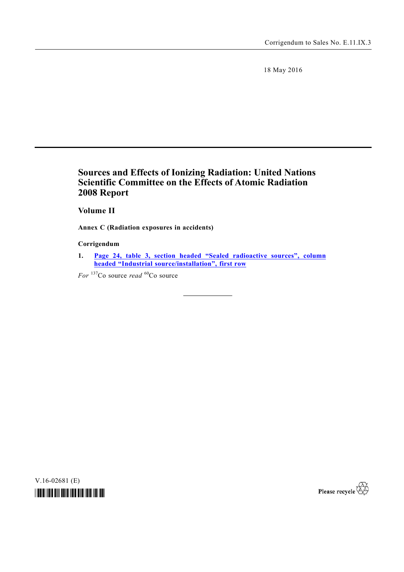18 May 2016

## **Sources and Effects of Ionizing Radiation: United Nations Scientific Committee on the Effects of Atomic Radiation 2008 Report**

 **Volume II**

**Annex C (Radiation exposures in accidents)** 

### **Corrigendum**

**1. Page 24, table 3, section headed "Sealed [radioactive sources", column](#page-31-0) headed "Industrial source/installation", first row**

*For* <sup>137</sup>Co source *read* <sup>60</sup>Co source

V.16-02681 (E)



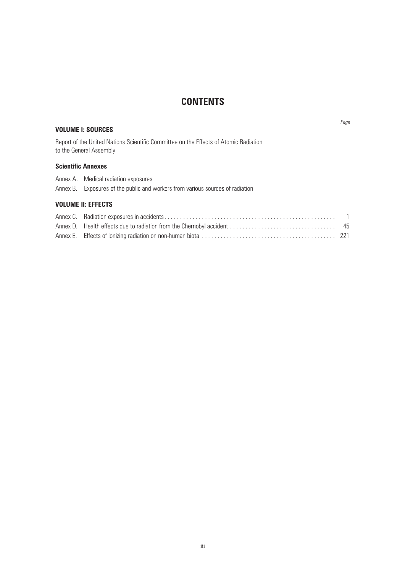## **CONTENTS**

### **VOLUME I: SOURCES**

*Page*

Report of the United Nations Scientific Committee on the Effects of Atomic Radiation to the General Assembly

### **Scientific Annexes**

Annex B. Exposures of the public and workers from various sources of radiation

### **VOLUME II: EFFECTS**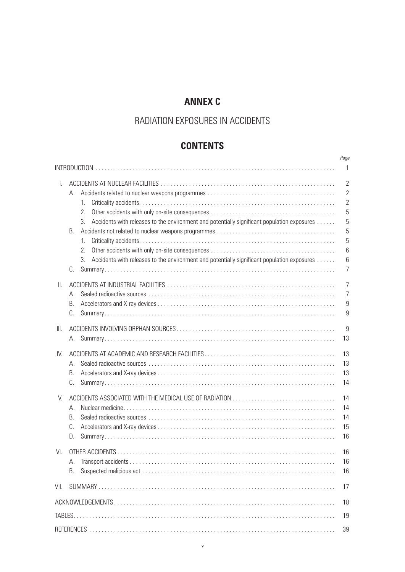## **ANNEX C**

## RADIATION exposures IN ACCIDENTS

## **Contents**

|      |                                                                                                   | Page           |
|------|---------------------------------------------------------------------------------------------------|----------------|
|      |                                                                                                   | 1              |
| L.   |                                                                                                   | $\overline{2}$ |
|      | А.                                                                                                | $\overline{2}$ |
|      | 1.                                                                                                | $\overline{2}$ |
|      | 2.                                                                                                | 5              |
|      | Accidents with releases to the environment and potentially significant population exposures<br>3. | 5              |
|      | <b>B.</b>                                                                                         | 5              |
|      | $1_{-}$                                                                                           | 5              |
|      | 2.                                                                                                | 6              |
|      | 3.<br>Accidents with releases to the environment and potentially significant population exposures | 6              |
|      | C.                                                                                                | $\overline{7}$ |
| Ш.   |                                                                                                   | 7              |
|      | А.                                                                                                | $\overline{7}$ |
|      | В.                                                                                                | $9\,$          |
|      | C.                                                                                                | 9              |
| III. |                                                                                                   | 9              |
|      |                                                                                                   | 13             |
| IV.  |                                                                                                   | 13             |
|      | А.                                                                                                | 13             |
|      | В.                                                                                                | 13             |
|      | C.                                                                                                | 14             |
| V.   |                                                                                                   | 14             |
|      | А.                                                                                                | 14             |
|      | B.                                                                                                | 14             |
|      | C.                                                                                                | 15             |
|      | D.                                                                                                | 16             |
| VI.  |                                                                                                   | 16             |
|      |                                                                                                   | 16             |
|      | В.                                                                                                | 16             |
| VII. |                                                                                                   | 17             |
|      |                                                                                                   | 18             |
|      |                                                                                                   | 19             |
|      |                                                                                                   |                |
|      |                                                                                                   | 39             |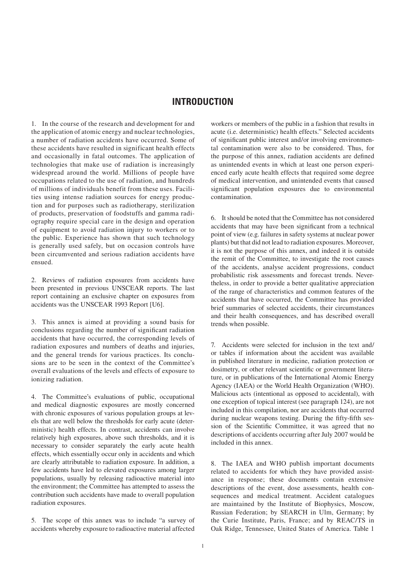### **introduction**

1. In the course of the research and development for and the application of atomic energy and nuclear technologies, a number of radiation accidents have occurred. Some of these accidents have resulted in significant health effects and occasionally in fatal outcomes. The application of technologies that make use of radiation is increasingly widespread around the world. Millions of people have occupations related to the use of radiation, and hundreds of millions of individuals benefit from these uses. Facilities using intense radiation sources for energy production and for purposes such as radiotherapy, sterilization of products, preservation of foodstuffs and gamma radiography require special care in the design and operation of equipment to avoid radiation injury to workers or to the public. Experience has shown that such technology is generally used safely, but on occasion controls have been circumvented and serious radiation accidents have ensued.

2. Reviews of radiation exposures from accidents have been presented in previous UNSCEAR reports. The last report containing an exclusive chapter on exposures from accidents was the UNSCEAR 1993 Report [U6].

3. This annex is aimed at providing a sound basis for conclusions regarding the number of significant radiation accidents that have occurred, the corresponding levels of radiation exposures and numbers of deaths and injuries, and the general trends for various practices. Its conclusions are to be seen in the context of the Committee's overall evaluations of the levels and effects of exposure to ionizing radiation.

4. The Committee's evaluations of public, occupational and medical diagnostic exposures are mostly concerned with chronic exposures of various population groups at levels that are well below the thresholds for early acute (deterministic) health effects. In contrast, accidents can involve relatively high exposures, above such thresholds, and it is necessary to consider separately the early acute health effects, which essentially occur only in accidents and which are clearly attributable to radiation exposure. In addition, a few accidents have led to elevated exposures among larger populations, usually by releasing radioactive material into the environment; the Committee has attempted to assess the contribution such accidents have made to overall population radiation exposures.

5. The scope of this annex was to include "a survey of accidents whereby exposure to radioactive material affected

workers or members of the public in a fashion that results in acute (i.e. deterministic) health effects." Selected accidents of significant public interest and/or involving environmental contamination were also to be considered. Thus, for the purpose of this annex, radiation accidents are defined as unintended events in which at least one person experienced early acute health effects that required some degree of medical intervention, and unintended events that caused significant population exposures due to environmental contamination.

6. It should be noted that the Committee has not considered accidents that may have been significant from a technical point of view (e.g. failures in safety systems at nuclear power plants) but that did not lead to radiation exposures. Moreover, it is not the purpose of this annex, and indeed it is outside the remit of the Committee, to investigate the root causes of the accidents, analyse accident progressions, conduct probabilistic risk assessments and forecast trends. Nevertheless, in order to provide a better qualitative appreciation of the range of characteristics and common features of the accidents that have occurred, the Committee has provided brief summaries of selected accidents, their circumstances and their health consequences, and has described overall trends when possible.

7. Accidents were selected for inclusion in the text and/ or tables if information about the accident was available in published literature in medicine, radiation protection or dosimetry, or other relevant scientific or government literature, or in publications of the International Atomic Energy Agency (IAEA) or the World Health Organization (WHO). Malicious acts (intentional as opposed to accidental), with one exception of topical interest (see paragraph 124), are not included in this compilation, nor are accidents that occurred during nuclear weapons testing. During the fifty-fifth session of the Scientific Committee, it was agreed that no descriptions of accidents occurring after July 2007 would be included in this annex.

8. The IAEA and WHO publish important documents related to accidents for which they have provided assistance in response; these documents contain extensive descriptions of the event, dose assessments, health consequences and medical treatment. Accident catalogues are maintained by the Institute of Biophysics, Moscow, Russian Federation; by SEARCH in Ulm, Germany; by the Curie Institute, Paris, France; and by REAC/TS in Oak Ridge, Tennessee, United States of America. Table 1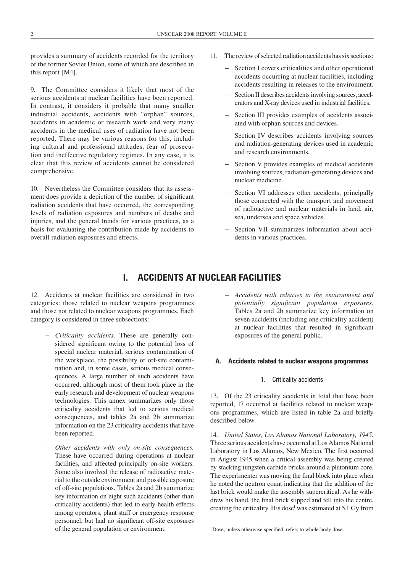provides a summary of accidents recorded for the territory of the former Soviet Union, some of which are described in this report [M4].

9. The Committee considers it likely that most of the serious accidents at nuclear facilities have been reported. In contrast, it considers it probable that many smaller industrial accidents, accidents with "orphan" sources, accidents in academic or research work and very many accidents in the medical uses of radiation have not been reported. There may be various reasons for this, including cultural and professional attitudes, fear of prosecution and ineffective regulatory regimes. In any case, it is clear that this review of accidents cannot be considered comprehensive.

10. Nevertheless the Committee considers that its assessment does provide a depiction of the number of significant radiation accidents that have occurred, the corresponding levels of radiation exposures and numbers of deaths and injuries, and the general trends for various practices, as a basis for evaluating the contribution made by accidents to overall radiation exposures and effects.

- 11. The review of selected radiation accidents has six sections:
	- Section I covers criticalities and other operational accidents occurring at nuclear facilities, including accidents resulting in releases to the environment.
	- Section II describes accidents involving sources, accelerators and X-ray devices used in industrial facilities.
	- Section III provides examples of accidents associated with orphan sources and devices.
	- Section IV describes accidents involving sources and radiation-generating devices used in academic and research environments.
	- Section V provides examples of medical accidents involving sources, radiation-generating devices and nuclear medicine.
	- Section VI addresses other accidents, principally those connected with the transport and movement of radioactive and nuclear materials in land, air, sea, undersea and space vehicles.
	- Section VII summarizes information about accidents in various practices.

### **I. ACCIDENTS AT NUCLEAR FACILITIES**

12. Accidents at nuclear facilities are considered in two categories: those related to nuclear weapons programmes and those not related to nuclear weapons programmes. Each category is considered in three subsections:

- - *Criticality accidents.* These are generally considered significant owing to the potential loss of special nuclear material, serious contamination of the workplace, the possibility of off-site contamination and, in some cases, serious medical consequences. A large number of such accidents have occurred, although most of them took place in the early research and development of nuclear weapons technologies. This annex summarizes only those criticality accidents that led to serious medical consequences, and tables 2a and 2b summarize information on the 23 criticality accidents that have been reported.
- - *Other accidents with only on-site consequences.* These have occurred during operations at nuclear facilities, and affected principally on-site workers. Some also involved the release of radioactive material to the outside environment and possible exposure of off-site populations. Tables 2a and 2b summarize key information on eight such accidents (other than criticality accidents) that led to early health effects among operators, plant staff or emergency response personnel, but had no significant off-site exposures of the general population or environment.

- *Accidents with releases to the environment and potentially significant population exposures.* Tables 2a and 2b summarize key information on seven accidents (including one criticality accident) at nuclear facilities that resulted in significant exposures of the general public.

#### **A. Accidents related to nuclear weapons programmes**

#### 1. Criticality accidents

13. Of the 23 criticality accidents in total that have been reported, 17 occurred at facilities related to nuclear weapons programmes, which are listed in table 2a and briefly described below.

14. *United States, Los Alamos National Laboratory, 1945.* Three serious accidents have occurred at Los Alamos National Laboratory in Los Alamos, New Mexico. The first occurred in August 1945 when a critical assembly was being created by stacking tungsten carbide bricks around a plutonium core. The experimenter was moving the final block into place when he noted the neutron count indicating that the addition of the last brick would make the assembly supercritical. As he withdrew his hand, the final brick slipped and fell into the centre, creating the criticality. His dose<sup>1</sup> was estimated at 5.1 Gy from

<sup>&</sup>lt;sup>1</sup>Dose, unless otherwise specified, refers to whole-body dose.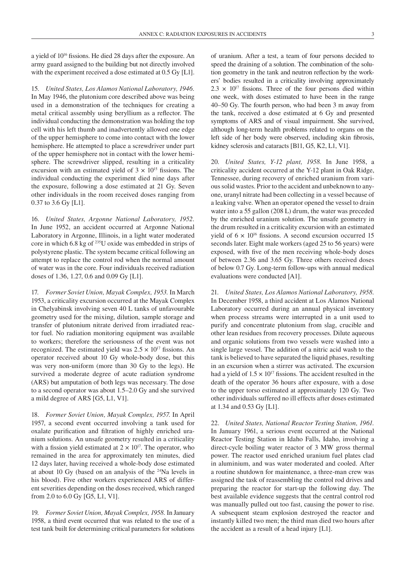a yield of 1016 fissions. He died 28 days after the exposure. An army guard assigned to the building but not directly involved with the experiment received a dose estimated at 0.5 Gy [L1].

15. *United States, Los Alamos National Laboratory, 1946.* In May 1946, the plutonium core described above was being used in a demonstration of the techniques for creating a metal critical assembly using beryllium as a reflector. The individual conducting the demonstration was holding the top cell with his left thumb and inadvertently allowed one edge of the upper hemisphere to come into contact with the lower hemisphere. He attempted to place a screwdriver under part of the upper hemisphere not in contact with the lower hemisphere. The screwdriver slipped, resulting in a criticality excursion with an estimated yield of  $3 \times 10^{15}$  fissions. The individual conducting the experiment died nine days after the exposure, following a dose estimated at 21 Gy. Seven other individuals in the room received doses ranging from 0.37 to 3.6 Gy [L1].

16. *United States, Argonne National Laboratory, 1952.* In June 1952, an accident occurred at Argonne National Laboratory in Argonne, Illinois, in a light water moderated core in which 6.8 kg of 235U oxide was embedded in strips of polystyrene plastic. The system became critical following an attempt to replace the control rod when the normal amount of water was in the core. Four individuals received radiation doses of 1.36, 1.27, 0.6 and 0.09 Gy [L1].

17. *Former Soviet Union, Mayak Complex, 1953.* In March 1953, a criticality excursion occurred at the Mayak Complex in Chelyabinsk involving seven 40 L tanks of unfavourable geometry used for the mixing, dilution, sample storage and transfer of plutonium nitrate derived from irradiated reactor fuel. No radiation monitoring equipment was available to workers; therefore the seriousness of the event was not recognized. The estimated yield was  $2.5 \times 10^{17}$  fissions. An operator received about 10 Gy whole-body dose, but this was very non-uniform (more than 30 Gy to the legs). He survived a moderate degree of acute radiation syndrome (ARS) but amputation of both legs was necessary. The dose to a second operator was about 1.5–2.0 Gy and she survived a mild degree of ARS [G5, L1, V1].

18. *Former Soviet Union, Mayak Complex, 1957.* In April 1957, a second event occurred involving a tank used for oxalate purification and filtration of highly enriched uranium solutions. An unsafe geometry resulted in a criticality with a fission yield estimated at  $2 \times 10^{17}$ . The operator, who remained in the area for approximately ten minutes, died 12 days later, having received a whole-body dose estimated at about 10 Gy (based on an analysis of the 24Na levels in his blood). Five other workers experienced ARS of different severities depending on the doses received, which ranged from 2.0 to 6.0 Gy [G5, L1, V1].

19. *Former Soviet Union, Mayak Complex, 1958.* In January 1958, a third event occurred that was related to the use of a test tank built for determining critical parameters for solutions of uranium. After a test, a team of four persons decided to speed the draining of a solution. The combination of the solution geometry in the tank and neutron reflection by the workers' bodies resulted in a criticality involving approximately  $2.3 \times 10^{17}$  fissions. Three of the four persons died within one week, with doses estimated to have been in the range 40–50 Gy. The fourth person, who had been 3 m away from the tank, received a dose estimated at 6 Gy and presented symptoms of ARS and of visual impairment. She survived, although long-term health problems related to organs on the left side of her body were observed, including skin fibrosis, kidney sclerosis and cataracts [B11, G5, K2, L1, V1].

20. *United States, Y-12 plant, 1958.* In June 1958, a criticality accident occurred at the Y-12 plant in Oak Ridge, Tennessee, during recovery of enriched uranium from various solid wastes. Prior to the accident and unbeknown to anyone, uranyl nitrate had been collecting in a vessel because of a leaking valve. When an operator opened the vessel to drain water into a 55 gallon (208 L) drum, the water was preceded by the enriched uranium solution. The unsafe geometry in the drum resulted in a criticality excursion with an estimated yield of  $6 \times 10^{16}$  fissions. A second excursion occurred 15 seconds later. Eight male workers (aged 25 to 56 years) were exposed, with five of the men receiving whole-body doses of between 2.36 and 3.65 Gy. Three others received doses of below 0.7 Gy. Long-term follow-ups with annual medical evaluations were conducted [A1].

21. *United States, Los Alamos National Laboratory, 1958.* In December 1958, a third accident at Los Alamos National Laboratory occurred during an annual physical inventory when process streams were interrupted in a unit used to purify and concentrate plutonium from slag, crucible and other lean residues from recovery processes. Dilute aqueous and organic solutions from two vessels were washed into a single large vessel. The addition of a nitric acid wash to the tank is believed to have separated the liquid phases, resulting in an excursion when a stirrer was activated. The excursion had a yield of  $1.5 \times 10^{17}$  fissions. The accident resulted in the death of the operator 36 hours after exposure, with a dose to the upper torso estimated at approximately 120 Gy. Two other individuals suffered no ill effects after doses estimated at 1.34 and 0.53 Gy [L1].

22. *United States, National Reactor Testing Station, 1961.* In January 1961, a serious event occurred at the National Reactor Testing Station in Idaho Falls, Idaho, involving a direct-cycle boiling water reactor of 3 MW gross thermal power. The reactor used enriched uranium fuel plates clad in aluminium, and was water moderated and cooled. After a routine shutdown for maintenance, a three-man crew was assigned the task of reassembling the control rod drives and preparing the reactor for start-up the following day. The best available evidence suggests that the central control rod was manually pulled out too fast, causing the power to rise. A subsequent steam explosion destroyed the reactor and instantly killed two men; the third man died two hours after the accident as a result of a head injury [L1].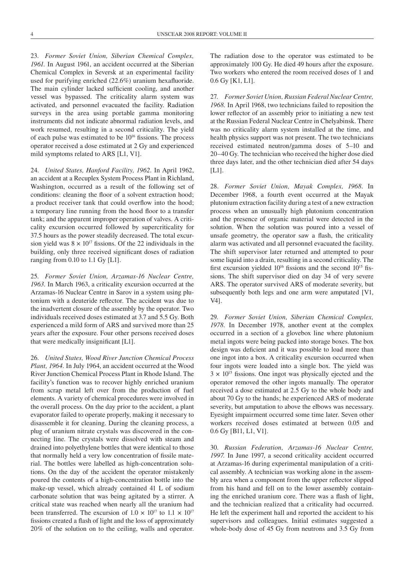23. *Former Soviet Union, Siberian Chemical Complex, 1961.* In August 1961, an accident occurred at the Siberian Chemical Complex in Seversk at an experimental facility used for purifying enriched (22.6%) uranium hexafluoride. The main cylinder lacked sufficient cooling, and another vessel was bypassed. The criticality alarm system was activated, and personnel evacuated the facility. Radiation surveys in the area using portable gamma monitoring instruments did not indicate abnormal radiation levels, and work resumed, resulting in a second criticality. The yield of each pulse was estimated to be  $10^{16}$  fissions. The process operator received a dose estimated at 2 Gy and experienced mild symptoms related to ARS [L1, V1].

24. *United States, Hanford Facility, 1962.* In April 1962, an accident at a Recuplex System Process Plant in Richland, Washington, occurred as a result of the following set of conditions: cleaning the floor of a solvent extraction hood; a product receiver tank that could overflow into the hood; a temporary line running from the hood floor to a transfer tank; and the apparent improper operation of valves. A criticality excursion occurred followed by supercriticality for 37.5 hours as the power steadily decreased. The total excursion yield was  $8 \times 10^{17}$  fissions. Of the 22 individuals in the building, only three received significant doses of radiation ranging from 0.10 to 1.1 Gy [L1].

25. *Former Soviet Union, Arzamas-16 Nuclear Centre, 1963.* In March 1963, a criticality excursion occurred at the Arzamas-16 Nuclear Centre in Sarov in a system using plutonium with a deuteride reflector. The accident was due to the inadvertent closure of the assembly by the operator. Two individuals received doses estimated at 3.7 and 5.5 Gy. Both experienced a mild form of ARS and survived more than 25 years after the exposure. Four other persons received doses that were medically insignificant [L1].

26. *United States, Wood River Junction Chemical Process Plant, 1964.* In July 1964, an accident occurred at the Wood River Junction Chemical Process Plant in Rhode Island. The facility's function was to recover highly enriched uranium from scrap metal left over from the production of fuel elements. A variety of chemical procedures were involved in the overall process. On the day prior to the accident, a plant evaporator failed to operate properly, making it necessary to disassemble it for cleaning. During the cleaning process, a plug of uranium nitrate crystals was discovered in the connecting line. The crystals were dissolved with steam and drained into polyethylene bottles that were identical to those that normally held a very low concentration of fissile material. The bottles were labelled as high-concentration solutions. On the day of the accident the operator mistakenly poured the contents of a high-concentration bottle into the make-up vessel, which already contained 41 L of sodium carbonate solution that was being agitated by a stirrer. A critical state was reached when nearly all the uranium had been transferred. The excursion of  $1.0 \times 10^{17}$  to  $1.1 \times 10^{17}$ fissions created a flash of light and the loss of approximately 20% of the solution on to the ceiling, walls and operator.

The radiation dose to the operator was estimated to be approximately 100 Gy. He died 49 hours after the exposure. Two workers who entered the room received doses of 1 and 0.6 Gy [K1, L1].

27. *Former Soviet Union, Russian Federal Nuclear Centre, 1968.* In April 1968, two technicians failed to reposition the lower reflector of an assembly prior to initiating a new test at the Russian Federal Nuclear Centre in Chelyabinsk. There was no criticality alarm system installed at the time, and health physics support was not present. The two technicians received estimated neutron/gamma doses of 5–10 and 20–40 Gy. The technician who received the higher dose died three days later, and the other technician died after 54 days [L1].

28. *Former Soviet Union, Mayak Complex, 1968.* In December 1968, a fourth event occurred at the Mayak plutonium extraction facility during a test of a new extraction process when an unusually high plutonium concentration and the presence of organic material were detected in the solution. When the solution was poured into a vessel of unsafe geometry, the operator saw a flash, the criticality alarm was activated and all personnel evacuated the facility. The shift supervisor later returned and attempted to pour some liquid into a drain, resulting in a second criticality. The first excursion yielded  $10^{16}$  fissions and the second  $10^{15}$  fissions. The shift supervisor died on day 34 of very severe ARS. The operator survived ARS of moderate severity, but subsequently both legs and one arm were amputated [V1, V4].

29. *Former Soviet Union, Siberian Chemical Complex, 1978.* In December 1978, another event at the complex occurred in a section of a glovebox line where plutonium metal ingots were being packed into storage boxes. The box design was deficient and it was possible to load more than one ingot into a box. A criticality excursion occurred when four ingots were loaded into a single box. The yield was  $3 \times 10^{15}$  fissions. One ingot was physically ejected and the operator removed the other ingots manually. The operator received a dose estimated at 2.5 Gy to the whole body and about 70 Gy to the hands; he experienced ARS of moderate severity, but amputation to above the elbows was necessary. Eyesight impairment occurred some time later. Seven other workers received doses estimated at between 0.05 and 0.6 Gy [B11, L1, V1].

30. *Russian Federation, Arzamas-16 Nuclear Centre, 1997.* In June 1997, a second criticality accident occurred at Arzamas-16 during experimental manipulation of a critical assembly. A technician was working alone in the assembly area when a component from the upper reflector slipped from his hand and fell on to the lower assembly containing the enriched uranium core. There was a flash of light, and the technician realized that a criticality had occurred. He left the experiment hall and reported the accident to his supervisors and colleagues. Initial estimates suggested a whole-body dose of 45 Gy from neutrons and 3.5 Gy from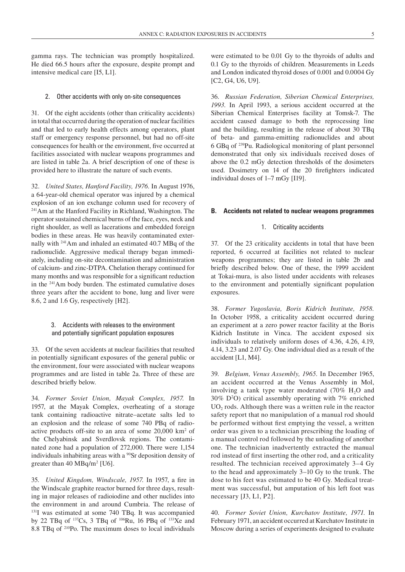gamma rays. The technician was promptly hospitalized. He died 66.5 hours after the exposure, despite prompt and intensive medical care [I5, L1].

2. Other accidents with only on-site consequences

31. Of the eight accidents (other than criticality accidents) in total that occurred during the operation of nuclear facilities and that led to early health effects among operators, plant staff or emergency response personnel, but had no off-site consequences for health or the environment, five occurred at facilities associated with nuclear weapons programmes and are listed in table 2a. A brief description of one of these is provided here to illustrate the nature of such events.

32. *United States, Hanford Facility, 1976.* In August 1976, a 64-year-old chemical operator was injured by a chemical explosion of an ion exchange column used for recovery of 241Am at the Hanford Facility in Richland, Washington. The operator sustained chemical burns of the face, eyes, neck and right shoulder, as well as lacerations and embedded foreign bodies in these areas. He was heavily contaminated externally with 241Am and inhaled an estimated 40.7 MBq of the radionuclide. Aggressive medical therapy began immediately, including on-site decontamination and administration of calcium- and zinc-DTPA. Chelation therapy continued for many months and was responsible for a significant reduction in the 241Am body burden. The estimated cumulative doses three years after the accident to bone, lung and liver were 8.6, 2 and 1.6 Gy, respectively [H2].

#### 3. Accidents with releases to the environment and potentially significant population exposures

33. Of the seven accidents at nuclear facilities that resulted in potentially significant exposures of the general public or the environment, four were associated with nuclear weapons programmes and are listed in table 2a. Three of these are described briefly below.

34. *Former Soviet Union, Mayak Complex, 1957.* In 1957, at the Mayak Complex, overheating of a storage tank containing radioactive nitrate–acetate salts led to an explosion and the release of some 740 PBq of radioactive products off-site to an area of some 20,000 km2 of the Chelyabinsk and Sverdlovsk regions. The contaminated zone had a population of 272,000. There were 1,154 individuals inhabiting areas with a  $\frac{90}{5}$ r deposition density of greater than  $40 \text{ MBq/m}^2$  [U6].

35. *United Kingdom, Windscale, 1957.* In 1957, a fire in the Windscale graphite reactor burned for three days, resulting in major releases of radioiodine and other nuclides into the environment in and around Cumbria. The release of 131I was estimated at some 740 TBq. It was accompanied by 22 TBq of  $137Cs$ , 3 TBq of  $106Ru$ , 16 PBq of  $133Xe$  and 8.8 TBq of 210Po. The maximum doses to local individuals were estimated to be 0.01 Gy to the thyroids of adults and 0.1 Gy to the thyroids of children. Measurements in Leeds and London indicated thyroid doses of 0.001 and 0.0004 Gy [C2, G4, U6, U9].

36. *Russian Federation, Siberian Chemical Enterprises, 1993.* In April 1993, a serious accident occurred at the Siberian Chemical Enterprises facility at Tomsk-7. The accident caused damage to both the reprocessing line and the building, resulting in the release of about 30 TBq of beta- and gamma-emitting radionuclides and about 6 GBq of 239Pu. Radiological monitoring of plant personnel demonstrated that only six individuals received doses of above the 0.2 mGy detection thresholds of the dosimeters used. Dosimetry on 14 of the 20 firefighters indicated individual doses of 1–7 mGy [I19].

#### **B. Accidents not related to nuclear weapons programmes**

#### 1. Criticality accidents

37. Of the 23 criticality accidents in total that have been reported, 6 occurred at facilities not related to nuclear weapons programmes; they are listed in table 2b and briefly described below. One of these, the 1999 accident at Tokai-mura, is also listed under accidents with releases to the environment and potentially significant population exposures.

38. *Former Yugoslavia, Boris Kidrich Institute, 1958.* In October 1958, a criticality accident occurred during an experiment at a zero power reactor facility at the Boris Kidrich Institute in Vinca. The accident exposed six individuals to relatively uniform doses of 4.36, 4.26, 4.19, 4.14, 3.23 and 2.07 Gy. One individual died as a result of the accident [L1, M4].

39. *Belgium, Venus Assembly, 1965.* In December 1965, an accident occurred at the Venus Assembly in Mol, involving a tank type water moderated  $(70\% \text{ H}_2\text{O})$  and 30% D2 O) critical assembly operating with 7% enriched  $UO<sub>2</sub>$  rods. Although there was a written rule in the reactor safety report that no manipulation of a manual rod should be performed without first emptying the vessel, a written order was given to a technician prescribing the loading of a manual control rod followed by the unloading of another one. The technician inadvertently extracted the manual rod instead of first inserting the other rod, and a criticality resulted. The technician received approximately 3–4 Gy to the head and approximately 3–10 Gy to the trunk. The dose to his feet was estimated to be 40 Gy. Medical treatment was successful, but amputation of his left foot was necessary [J3, L1, P2].

40. *Former Soviet Union, Kurchatov Institute, 1971.* In February 1971, an accident occurred at Kurchatov Institute in Moscow during a series of experiments designed to evaluate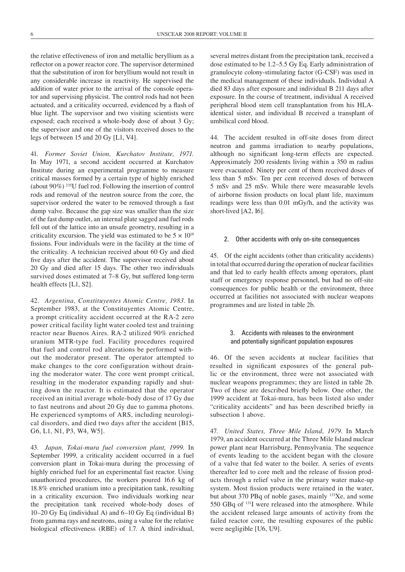the relative effectiveness of iron and metallic beryllium as a reflector on a power reactor core. The supervisor determined that the substitution of iron for beryllium would not result in any considerable increase in reactivity. He supervised the addition of water prior to the arrival of the console operator and supervising physicist. The control rods had not been actuated, and a criticality occurred, evidenced by a flash of blue light. The supervisor and two visiting scientists were exposed; each received a whole-body dose of about 3 Gy; the supervisor and one of the visitors received doses to the legs of between 15 and 20 Gy [L1, V4].

41. *Former Soviet Union, Kurchatov Institute, 1971.* In May 1971, a second accident occurred at Kurchatov Institute during an experimental programme to measure critical masses formed by a certain type of highly enriched (about 90%) 235U fuel rod. Following the insertion of control rods and removal of the neutron source from the core, the supervisor ordered the water to be removed through a fast dump valve. Because the gap size was smaller than the size of the fast dump outlet, an internal plate sagged and fuel rods fell out of the lattice into an unsafe geometry, resulting in a criticality excursion. The yield was estimated to be  $5 \times 10^{18}$ fissions. Four individuals were in the facility at the time of the criticality. A technician received about 60 Gy and died five days after the accident. The supervisor received about 20 Gy and died after 15 days. The other two individuals survived doses estimated at 7–8 Gy, but suffered long-term health effects [L1, S2].

42. *Argentina, Constituyentes Atomic Centre, 1983.* In September 1983, at the Constituyentes Atomic Centre, a prompt criticality accident occurred at the RA-2 zero power critical facility light water cooled test and training reactor near Buenos Aires. RA-2 utilized 90% enriched uranium MTR-type fuel. Facility procedures required that fuel and control rod alterations be performed without the moderator present. The operator attempted to make changes to the core configuration without draining the moderator water. The core went prompt critical, resulting in the moderator expanding rapidly and shutting down the reactor. It is estimated that the operator received an initial average whole-body dose of 17 Gy due to fast neutrons and about 20 Gy due to gamma photons. He experienced symptoms of ARS, including neurological disorders, and died two days after the accident [B15, G6, L1, N1, P3, W4, W5].

43. *Japan, Tokai-mura fuel conversion plant, 1999.* In September 1999, a criticality accident occurred in a fuel conversion plant in Tokai-mura during the processing of highly enriched fuel for an experimental fast reactor. Using unauthorized procedures, the workers poured 16.6 kg of 18.8% enriched uranium into a precipitation tank, resulting in a criticality excursion. Two individuals working near the precipitation tank received whole-body doses of 10–20 Gy Eq (individual A) and 6–10 Gy Eq (individual B) from gamma rays and neutrons, using a value for the relative biological effectiveness (RBE) of 1.7. A third individual,

several metres distant from the precipitation tank, received a dose estimated to be 1.2–5.5 Gy Eq. Early administration of granulocyte colony-stimulating factor (G-CSF) was used in the medical management of these individuals. Individual A died 83 days after exposure and individual B 211 days after exposure. In the course of treatment, individual A received peripheral blood stem cell transplantation from his HLAidentical sister, and individual B received a transplant of umbilical cord blood.

44. The accident resulted in off-site doses from direct neutron and gamma irradiation to nearby populations, although no significant long-term effects are expected. Approximately 200 residents living within a 350 m radius were evacuated. Ninety per cent of them received doses of less than 5 mSv. Ten per cent received doses of between 5 mSv and 25 mSv. While there were measurable levels of airborne fission products on local plant life, maximum readings were less than 0.01 mGy/h, and the activity was short-lived [A2, I6].

#### 2. Other accidents with only on-site consequences

45. Of the eight accidents (other than criticality accidents) in total that occurred during the operation of nuclear facilities and that led to early health effects among operators, plant staff or emergency response personnel, but had no off-site consequences for public health or the environment, three occurred at facilities not associated with nuclear weapons programmes and are listed in table 2b.

#### 3. Accidents with releases to the environment and potentially significant population exposures

46. Of the seven accidents at nuclear facilities that resulted in significant exposures of the general public or the environment, three were not associated with nuclear weapons programmes; they are listed in table 2b. Two of these are described briefly below. One other, the 1999 accident at Tokai-mura, has been listed also under "criticality accidents" and has been described briefly in subsection 1 above.

47. *United States, Three Mile Island, 1979.* In March 1979, an accident occurred at the Three Mile Island nuclear power plant near Harrisburg, Pennsylvania. The sequence of events leading to the accident began with the closure of a valve that fed water to the boiler. A series of events thereafter led to core melt and the release of fission products through a relief valve in the primary water make-up system. Most fission products were retained in the water, but about 370 PBq of noble gases, mainly <sup>133</sup>Xe, and some 550 GBq of 131I were released into the atmosphere. While the accident released large amounts of activity from the failed reactor core, the resulting exposures of the public were negligible [U6, U9].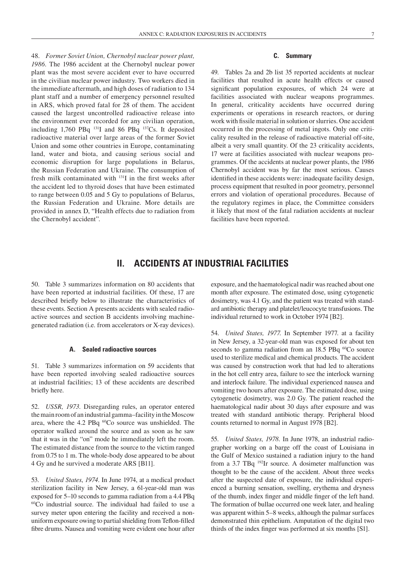48. *Former Soviet Union, Chernobyl nuclear power plant, 1986.* The 1986 accident at the Chernobyl nuclear power plant was the most severe accident ever to have occurred in the civilian nuclear power industry. Two workers died in the immediate aftermath, and high doses of radiation to 134 plant staff and a number of emergency personnel resulted in ARS, which proved fatal for 28 of them. The accident caused the largest uncontrolled radioactive release into the environment ever recorded for any civilian operation, including 1,760 PBq 131I and 86 PBq 137Cs. It deposited radioactive material over large areas of the former Soviet Union and some other countries in Europe, contaminating land, water and biota, and causing serious social and economic disruption for large populations in Belarus, the Russian Federation and Ukraine. The consumption of fresh milk contaminated with 131I in the first weeks after the accident led to thyroid doses that have been estimated to range between 0.05 and 5 Gy to populations of Belarus, the Russian Federation and Ukraine. More details are provided in annex D, "Health effects due to radiation from the Chernobyl accident".

#### **C. Summary**

49. Tables 2a and 2b list 35 reported accidents at nuclear facilities that resulted in acute health effects or caused significant population exposures, of which 24 were at facilities associated with nuclear weapons programmes. In general, criticality accidents have occurred during experiments or operations in research reactors, or during work with fissile material in solution or slurries. One accident occurred in the processing of metal ingots. Only one criticality resulted in the release of radioactive material off-site, albeit a very small quantity. Of the 23 criticality accidents, 17 were at facilities associated with nuclear weapons programmes. Of the accidents at nuclear power plants, the 1986 Chernobyl accident was by far the most serious. Causes identified in these accidents were: inadequate facility design, process equipment that resulted in poor geometry, personnel errors and violation of operational procedures. Because of the regulatory regimes in place, the Committee considers it likely that most of the fatal radiation accidents at nuclear facilities have been reported.

### **II. ACCIDENTS AT INDUSTRIAL FACILITIES**

50. Table 3 summarizes information on 80 accidents that have been reported at industrial facilities. Of these, 17 are described briefly below to illustrate the characteristics of these events. Section A presents accidents with sealed radioactive sources and section B accidents involving machinegenerated radiation (i.e. from accelerators or X-ray devices).

#### **A. Sealed radioactive sources**

51. Table 3 summarizes information on 59 accidents that have been reported involving sealed radioactive sources at industrial facilities; 13 of these accidents are described briefly here.

52. *USSR, 1973.* Disregarding rules, an operator entered the main room of an industrial gamma–facility in the Moscow area, where the 4.2 PBq <sup>60</sup>Co source was unshielded. The operator walked around the source and as soon as he saw that it was in the "on" mode he immediately left the room. The estimated distance from the source to the victim ranged from 0.75 to 1 m. The whole-body dose appeared to be about 4 Gy and he survived a moderate ARS [B11].

53. *United States*, *1974*. In June 1974, at a medical product sterilization facility in New Jersey, a 61-year-old man was exposed for 5–10 seconds to gamma radiation from a 4.4 PBq  $^{60}$ Co industrial source. The individual had failed to use a survey meter upon entering the facility and received a nonuniform exposure owing to partial shielding from Teflon-filled fibre drums. Nausea and vomiting were evident one hour after exposure, and the haematological nadir was reached about one month after exposure. The estimated dose, using cytogenetic dosimetry, was 4.1 Gy, and the patient was treated with standard antibiotic therapy and platelet/leucocyte transfusions. The individual returned to work in October 1974 [B2].

54. *United States, 1977.* In September 1977. at a facility in New Jersey, a 32-year-old man was exposed for about ten seconds to gamma radiation from an 18.5 PBq <sup>60</sup>Co source used to sterilize medical and chemical products. The accident was caused by construction work that had led to alterations in the hot cell entry area, failure to see the interlock warning and interlock failure. The individual experienced nausea and vomiting two hours after exposure. The estimated dose, using cytogenetic dosimetry, was 2.0 Gy. The patient reached the haematological nadir about 30 days after exposure and was treated with standard antibiotic therapy. Peripheral blood counts returned to normal in August 1978 [B2].

55. *United States, 1978.* In June 1978, an industrial radiographer working on a barge off the coast of Louisiana in the Gulf of Mexico sustained a radiation injury to the hand from a 3.7 TBq 192Ir source. A dosimeter malfunction was thought to be the cause of the accident. About three weeks after the suspected date of exposure, the individual experienced a burning sensation, swelling, erythema and dryness of the thumb, index finger and middle finger of the left hand. The formation of bullae occurred one week later, and healing was apparent within 5–8 weeks, although the palmar surfaces demonstrated thin epithelium. Amputation of the digital two thirds of the index finger was performed at six months [S1].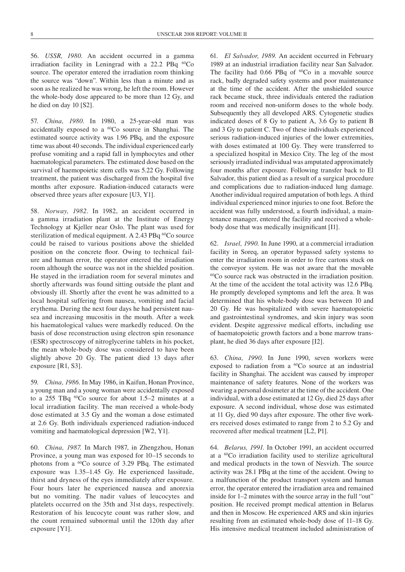56. *USSR, 1980.* An accident occurred in a gamma irradiation facility in Leningrad with a  $22.2$  PBq  ${}^{60}Co$ source. The operator entered the irradiation room thinking the source was "down". Within less than a minute and as soon as he realized he was wrong, he left the room. However the whole-body dose appeared to be more than 12 Gy, and he died on day 10 [S2].

57. *China, 1980.* In 1980, a 25-year-old man was accidentally exposed to a 60Co source in Shanghai. The estimated source activity was 1.96 PBq, and the exposure time was about 40 seconds. The individual experienced early profuse vomiting and a rapid fall in lymphocytes and other haematological parameters. The estimated dose based on the survival of haemopoietic stem cells was 5.22 Gy. Following treatment, the patient was discharged from the hospital five months after exposure. Radiation-induced cataracts were observed three years after exposure [U3, Y1].

58. *Norway, 1982.* In 1982, an accident occurred in a gamma irradiation plant at the Institute of Energy Technology at Kjeller near Oslo. The plant was used for sterilization of medical equipment. A 2.43 PBq <sup>60</sup>Co source could be raised to various positions above the shielded position on the concrete floor. Owing to technical failure and human error, the operator entered the irradiation room although the source was not in the shielded position. He stayed in the irradiation room for several minutes and shortly afterwards was found sitting outside the plant and obviously ill. Shortly after the event he was admitted to a local hospital suffering from nausea, vomiting and facial erythema. During the next four days he had persistent nausea and increasing mucositis in the mouth. After a week his haematological values were markedly reduced. On the basis of dose reconstruction using electron spin resonance (ESR) spectroscopy of nitroglycerine tablets in his pocket, the mean whole-body dose was considered to have been slightly above 20 Gy. The patient died 13 days after exposure [R1, S3].

59. *China, 1986.* In May 1986, in Kaifun, Honan Province, a young man and a young woman were accidentally exposed to a 255 TBq  ${}^{60}Co$  source for about 1.5–2 minutes at a local irradiation facility. The man received a whole-body dose estimated at 3.5 Gy and the woman a dose estimated at 2.6 Gy. Both individuals experienced radiation-induced vomiting and haematological depression [W2, Y1].

60. *China, 1987.* In March 1987, in Zhengzhou, Honan Province, a young man was exposed for 10–15 seconds to photons from a 60Co source of 3.29 PBq. The estimated exposure was 1.35–1.45 Gy. He experienced lassitude, thirst and dryness of the eyes immediately after exposure. Four hours later he experienced nausea and anorexia but no vomiting. The nadir values of leucocytes and platelets occurred on the 35th and 31st days, respectively. Restoration of his leucocyte count was rather slow, and the count remained subnormal until the 120th day after exposure [Y1].

61. *El Salvador, 1989.* An accident occurred in February 1989 at an industrial irradiation facility near San Salvador. The facility had  $0.66$  PBq of  ${}^{60}Co$  in a movable source rack, badly degraded safety systems and poor maintenance at the time of the accident. After the unshielded source rack became stuck, three individuals entered the radiation room and received non-uniform doses to the whole body. Subsequently they all developed ARS. Cytogenetic studies indicated doses of 8 Gy to patient A, 3.6 Gy to patient B and 3 Gy to patient C. Two of these individuals experienced serious radiation-induced injuries of the lower extremities, with doses estimated at 100 Gy. They were transferred to a specialized hospital in Mexico City. The leg of the most seriously irradiated individual was amputated approximately four months after exposure. Following transfer back to El Salvador, this patient died as a result of a surgical procedure and complications due to radiation-induced lung damage. Another individual required amputation of both legs. A third individual experienced minor injuries to one foot. Before the accident was fully understood, a fourth individual, a maintenance manager, entered the facility and received a wholebody dose that was medically insignificant [I1].

62. *Israel, 1990.* In June 1990, at a commercial irradiation facility in Soreq, an operator bypassed safety systems to enter the irradiation room in order to free cartons stuck on the conveyor system. He was not aware that the movable 60Co source rack was obstructed in the irradiation position. At the time of the accident the total activity was 12.6 PBq. He promptly developed symptoms and left the area. It was determined that his whole-body dose was between 10 and 20 Gy. He was hospitalized with severe haematopoietic and gastrointestinal syndromes, and skin injury was soon evident. Despite aggressive medical efforts, including use of haematopoietic growth factors and a bone marrow transplant, he died 36 days after exposure [I2].

63. *China, 1990.* In June 1990, seven workers were exposed to radiation from a <sup>60</sup>Co source at an industrial facility in Shanghai. The accident was caused by improper maintenance of safety features. None of the workers was wearing a personal dosimeter at the time of the accident. One individual, with a dose estimated at 12 Gy, died 25 days after exposure. A second individual, whose dose was estimated at 11 Gy, died 90 days after exposure. The other five workers received doses estimated to range from 2 to 5.2 Gy and recovered after medical treatment [L2, P1].

64. *Belarus, 1991.* In October 1991, an accident occurred at a 60Co irradiation facility used to sterilize agricultural and medical products in the town of Nesvizh. The source activity was 28.1 PBq at the time of the accident. Owing to a malfunction of the product transport system and human error, the operator entered the irradiation area and remained inside for 1–2 minutes with the source array in the full "out" position. He received prompt medical attention in Belarus and then in Moscow. He experienced ARS and skin injuries resulting from an estimated whole-body dose of 11–18 Gy. His intensive medical treatment included administration of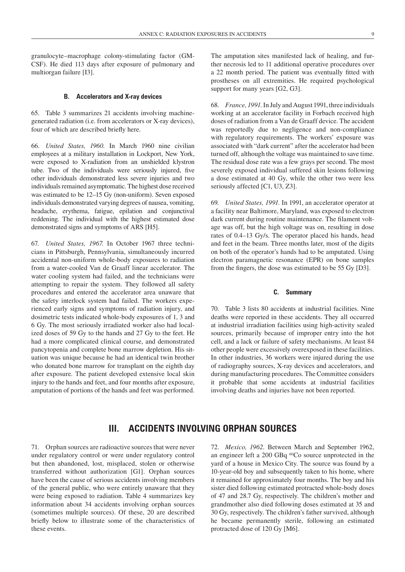granulocyte–macrophage colony-stimulating factor (GM-CSF). He died 113 days after exposure of pulmonary and multiorgan failure [I3].

#### **B. Accelerators and X-ray devices**

65. Table 3 summarizes 21 accidents involving machinegenerated radiation (i.e. from accelerators or X-ray devices), four of which are described briefly here.

66. *United States, 1960.* In March 1960 nine civilian employees at a military installation in Lockport, New York, were exposed to X-radiation from an unshielded klystron tube. Two of the individuals were seriously injured, five other individuals demonstrated less severe injuries and two individuals remained asymptomatic. The highest dose received was estimated to be 12–15 Gy (non-uniform). Seven exposed individuals demonstrated varying degrees of nausea, vomiting, headache, erythema, fatigue, epilation and conjunctival reddening. The individual with the highest estimated dose demonstrated signs and symptoms of ARS [H5].

67. *United States, 1967.* In October 1967 three technicians in Pittsburgh, Pennsylvania, simultaneously incurred accidental non-uniform whole-body exposures to radiation from a water-cooled Van de Graaff linear accelerator. The water cooling system had failed, and the technicians were attempting to repair the system. They followed all safety procedures and entered the accelerator area unaware that the safety interlock system had failed. The workers experienced early signs and symptoms of radiation injury, and dosimetric tests indicated whole-body exposures of 1, 3 and 6 Gy. The most seriously irradiated worker also had localized doses of 59 Gy to the hands and 27 Gy to the feet. He had a more complicated clinical course, and demonstrated pancytopenia and complete bone marrow depletion. His situation was unique because he had an identical twin brother who donated bone marrow for transplant on the eighth day after exposure. The patient developed extensive local skin injury to the hands and feet, and four months after exposure, amputation of portions of the hands and feet was performed.

The amputation sites manifested lack of healing, and further necrosis led to 11 additional operative procedures over a 22 month period. The patient was eventually fitted with prostheses on all extremities. He required psychological support for many years [G2, G3].

68. *France, 1991.* In July and August 1991, three individuals working at an accelerator facility in Forbach received high doses of radiation from a Van de Graaff device. The accident was reportedly due to negligence and non-compliance with regulatory requirements. The workers' exposure was associated with "dark current" after the accelerator had been turned off, although the voltage was maintained to save time. The residual dose rate was a few grays per second. The most severely exposed individual suffered skin lesions following a dose estimated at 40 Gy, while the other two were less seriously affected [C1, U3, Z3].

69. *United States, 1991.* In 1991, an accelerator operator at a facility near Baltimore, Maryland, was exposed to electron dark current during routine maintenance. The filament voltage was off, but the high voltage was on, resulting in dose rates of 0.4–13 Gy/s. The operator placed his hands, head and feet in the beam. Three months later, most of the digits on both of the operator's hands had to be amputated. Using electron paramagnetic resonance (EPR) on bone samples from the fingers, the dose was estimated to be 55 Gy [D3].

#### **C. Summary**

70. Table 3 lists 80 accidents at industrial facilities. Nine deaths were reported in these accidents. They all occurred at industrial irradiation facilities using high-activity sealed sources, primarily because of improper entry into the hot cell, and a lack or failure of safety mechanisms. At least 84 other people were excessively overexposed in these facilities. In other industries, 36 workers were injured during the use of radiography sources, X-ray devices and accelerators, and during manufacturing procedures. The Committee considers it probable that some accidents at industrial facilities involving deaths and injuries have not been reported.

### **III. Accidents involvin g orphan sources**

71. Orphan sources are radioactive sources that were never under regulatory control or were under regulatory control but then abandoned, lost, misplaced, stolen or otherwise transferred without authorization [G1]. Orphan sources have been the cause of serious accidents involving members of the general public, who were entirely unaware that they were being exposed to radiation. Table 4 summarizes key information about 34 accidents involving orphan sources (sometimes multiple sources). Of these, 20 are described briefly below to illustrate some of the characteristics of these events.

72. *Mexico, 1962.* Between March and September 1962, an engineer left a 200 GBq 60Co source unprotected in the yard of a house in Mexico City. The source was found by a 10-year-old boy and subsequently taken to his home, where it remained for approximately four months. The boy and his sister died following estimated protracted whole-body doses of 47 and 28.7 Gy, respectively. The children's mother and grandmother also died following doses estimated at 35 and 30 Gy, respectively. The children's father survived, although he became permanently sterile, following an estimated protracted dose of 120 Gy [M6].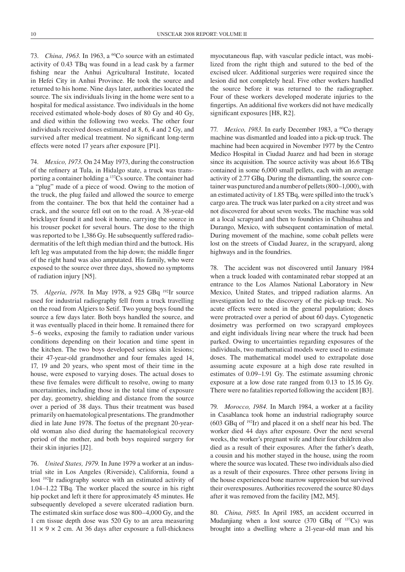73. *China, 1963.* In 1963, a 60Co source with an estimated activity of 0.43 TBq was found in a lead cask by a farmer fishing near the Anhui Agricultural Institute, located in Hefei City in Anhui Province. He took the source and returned to his home. Nine days later, authorities located the source. The six individuals living in the home were sent to a hospital for medical assistance. Two individuals in the home received estimated whole-body doses of 80 Gy and 40 Gy, and died within the following two weeks. The other four individuals received doses estimated at 8, 6, 4 and 2 Gy, and survived after medical treatment. No significant long-term effects were noted 17 years after exposure [P1].

74. *Mexico, 1973.* On 24 May 1973, during the construction of the refinery at Tula, in Hidalgo state, a truck was transporting a container holding a 137Cs source. The container had a "plug" made of a piece of wood. Owing to the motion of the truck, the plug failed and allowed the source to emerge from the container. The box that held the container had a crack, and the source fell out on to the road. A 38-year-old bricklayer found it and took it home, carrying the source in his trouser pocket for several hours. The dose to the thigh was reported to be 1,386 Gy. He subsequently suffered radiodermatitis of the left thigh median third and the buttock. His left leg was amputated from the hip down; the middle finger of the right hand was also amputated. His family, who were exposed to the source over three days, showed no symptoms of radiation injury [N5].

75. *Algeria, 1978.* In May 1978, a 925 GBq 192Ir source used for industrial radiography fell from a truck travelling on the road from Algiers to Setif. Two young boys found the source a few days later. Both boys handled the source, and it was eventually placed in their home. It remained there for 5–6 weeks, exposing the family to radiation under various conditions depending on their location and time spent in the kitchen. The two boys developed serious skin lesions; their 47-year-old grandmother and four females aged 14, 17, 19 and 20 years, who spent most of their time in the house, were exposed to varying doses. The actual doses to these five females were difficult to resolve, owing to many uncertainties, including those in the total time of exposure per day, geometry, shielding and distance from the source over a period of 38 days. Thus their treatment was based primarily on haematological presentations. The grandmother died in late June 1978. The foetus of the pregnant 20-yearold woman also died during the haematological recovery period of the mother, and both boys required surgery for their skin injuries [J2].

76. *United States, 1979.* In June 1979 a worker at an industrial site in Los Angeles (Riverside), California, found a lost 192Ir radiography source with an estimated activity of 1.04–1.22 TBq. The worker placed the source in his right hip pocket and left it there for approximately 45 minutes. He subsequently developed a severe ulcerated radiation burn. The estimated skin surface dose was 800–4,000 Gy, and the 1 cm tissue depth dose was 520 Gy to an area measuring  $11 \times 9 \times 2$  cm. At 36 days after exposure a full-thickness

myocutaneous flap, with vascular pedicle intact, was mobilized from the right thigh and sutured to the bed of the excised ulcer. Additional surgeries were required since the lesion did not completely heal. Five other workers handled the source before it was returned to the radiographer. Four of these workers developed moderate injuries to the fingertips. An additional five workers did not have medically significant exposures [H8, R2].

77. *Mexico, 1983*. In early December 1983, a <sup>60</sup>Co therapy machine was dismantled and loaded into a pick-up truck. The machine had been acquired in November 1977 by the Centro Medico Hospital in Ciudad Juarez and had been in storage since its acquisition. The source activity was about 16.6 TBq contained in some 6,000 small pellets, each with an average activity of 2.77 GBq. During the dismantling, the source container was punctured and a number of pellets (800–1,000), with an estimated activity of 1.85 TBq, were spilled into the truck's cargo area. The truck was later parked on a city street and was not discovered for about seven weeks. The machine was sold at a local scrapyard and then to foundries in Chihuahua and Durango, Mexico, with subsequent contamination of metal. During movement of the machine, some cobalt pellets were lost on the streets of Ciudad Juarez, in the scrapyard, along highways and in the foundries.

78. The accident was not discovered until January 1984 when a truck loaded with contaminated rebar stopped at an entrance to the Los Alamos National Laboratory in New Mexico, United States, and tripped radiation alarms. An investigation led to the discovery of the pick-up truck. No acute effects were noted in the general population; doses were protracted over a period of about 60 days. Cytogenetic dosimetry was performed on two scrapyard employees and eight individuals living near where the truck had been parked. Owing to uncertainties regarding exposures of the individuals, two mathematical models were used to estimate doses. The mathematical model used to extrapolate dose assuming acute exposure at a high dose rate resulted in estimates of 0.09–1.91 Gy. The estimate assuming chronic exposure at a low dose rate ranged from 0.13 to 15.16 Gy. There were no fatalities reported following the accident [B3].

79. *Morocco, 1984.* In March 1984, a worker at a facility in Casablanca took home an industrial radiography source  $(603 \text{ GBq of }^{192}\text{Ir})$  and placed it on a shelf near his bed. The worker died 44 days after exposure. Over the next several weeks, the worker's pregnant wife and their four children also died as a result of their exposures. After the father's death, a cousin and his mother stayed in the house, using the room where the source was located. These two individuals also died as a result of their exposures. Three other persons living in the house experienced bone marrow suppression but survived their overexposures. Authorities recovered the source 80 days after it was removed from the facility [M2, M5].

80. *China, 1985.* In April 1985, an accident occurred in Mudanjiang when a lost source  $(370 \text{ GBq of } <sup>137</sup>Cs)$  was brought into a dwelling where a 21-year-old man and his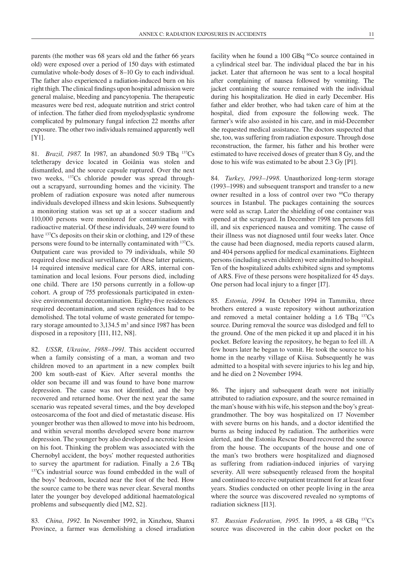parents (the mother was 68 years old and the father 66 years old) were exposed over a period of 150 days with estimated cumulative whole-body doses of 8–10 Gy to each individual. The father also experienced a radiation-induced burn on his right thigh. The clinical findings upon hospital admission were general malaise, bleeding and pancytopenia. The therapeutic measures were bed rest, adequate nutrition and strict control of infection. The father died from myelodysplastic syndrome complicated by pulmonary fungal infection 22 months after exposure. The other two individuals remained apparently well [Y1].

81. *Brazil, 1987.* In 1987, an abandoned 50.9 TBq 137Cs teletherapy device located in Goiânia was stolen and dismantled, and the source capsule ruptured. Over the next two weeks, 137Cs chloride powder was spread throughout a scrapyard, surrounding homes and the vicinity. The problem of radiation exposure was noted after numerous individuals developed illness and skin lesions. Subsequently a monitoring station was set up at a soccer stadium and 110,000 persons were monitored for contamination with radioactive material. Of these individuals, 249 were found to have <sup>137</sup>Cs deposits on their skin or clothing, and 129 of these persons were found to be internally contaminated with 137Cs. Outpatient care was provided to 79 individuals, while 50 required close medical surveillance. Of these latter patients, 14 required intensive medical care for ARS, internal contamination and local lesions. Four persons died, including one child. There are 150 persons currently in a follow-up cohort. A group of 755 professionals participated in extensive environmental decontamination. Eighty-five residences required decontamination, and seven residences had to be demolished. The total volume of waste generated for temporary storage amounted to  $3,134.5 \text{ m}^3$  and since 1987 has been disposed in a repository [I11, I12, N8].

82. *USSR, Ukraine, 1988–1991.* This accident occurred when a family consisting of a man, a woman and two children moved to an apartment in a new complex built 200 km south-east of Kiev. After several months the older son became ill and was found to have bone marrow depression. The cause was not identified, and the boy recovered and returned home. Over the next year the same scenario was repeated several times, and the boy developed osteosarcoma of the foot and died of metastatic disease. His younger brother was then allowed to move into his bedroom, and within several months developed severe bone marrow depression. The younger boy also developed a necrotic lesion on his foot. Thinking the problem was associated with the Chernobyl accident, the boys' mother requested authorities to survey the apartment for radiation. Finally a 2.6 TBq 137Cs industrial source was found embedded in the wall of the boys' bedroom, located near the foot of the bed. How the source came to be there was never clear. Several months later the younger boy developed additional haematological problems and subsequently died [M2, S2].

83. *China, 1992.* In November 1992, in Xinzhou, Shanxi Province, a farmer was demolishing a closed irradiation facility when he found a 100 GBq <sup>60</sup>Co source contained in a cylindrical steel bar. The individual placed the bar in his jacket. Later that afternoon he was sent to a local hospital after complaining of nausea followed by vomiting. The jacket containing the source remained with the individual during his hospitalization. He died in early December. His father and elder brother, who had taken care of him at the hospital, died from exposure the following week. The farmer's wife also assisted in his care, and in mid-December she requested medical assistance. The doctors suspected that she, too, was suffering from radiation exposure. Through dose reconstruction, the farmer, his father and his brother were estimated to have received doses of greater than 8 Gy, and the dose to his wife was estimated to be about 2.3 Gy [P1].

84. *Turkey, 1993–1998.* Unauthorized long-term storage (1993–1998) and subsequent transport and transfer to a new owner resulted in a loss of control over two 60Co therapy sources in Istanbul. The packages containing the sources were sold as scrap. Later the shielding of one container was opened at the scrapyard. In December 1998 ten persons fell ill, and six experienced nausea and vomiting. The cause of their illness was not diagnosed until four weeks later. Once the cause had been diagnosed, media reports caused alarm, and 404 persons applied for medical examinations. Eighteen persons (including seven children) were admitted to hospital. Ten of the hospitalized adults exhibited signs and symptoms of ARS. Five of these persons were hospitalized for 45 days. One person had local injury to a finger [I7].

85. *Estonia, 1994.* In October 1994 in Tammiku, three brothers entered a waste repository without authorization and removed a metal container holding a 1.6 TBq 137Cs source. During removal the source was dislodged and fell to the ground. One of the men picked it up and placed it in his pocket. Before leaving the repository, he began to feel ill. A few hours later he began to vomit. He took the source to his home in the nearby village of Kiisa. Subsequently he was admitted to a hospital with severe injuries to his leg and hip, and he died on 2 November 1994.

86. The injury and subsequent death were not initially attributed to radiation exposure, and the source remained in the man's house with his wife, his stepson and the boy's greatgrandmother. The boy was hospitalized on 17 November with severe burns on his hands, and a doctor identified the burns as being induced by radiation. The authorities were alerted, and the Estonia Rescue Board recovered the source from the house. The occupants of the house and one of the man's two brothers were hospitalized and diagnosed as suffering from radiation-induced injuries of varying severity. All were subsequently released from the hospital and continued to receive outpatient treatment for at least four years. Studies conducted on other people living in the area where the source was discovered revealed no symptoms of radiation sickness [I13].

87. *Russian Federation, 1995.* In 1995, a 48 GBq 137Cs source was discovered in the cabin door pocket on the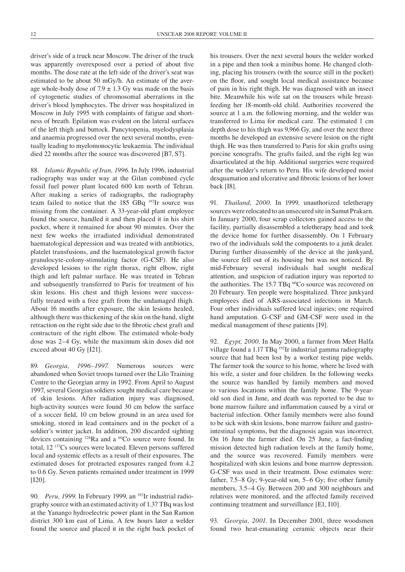driver's side of a truck near Moscow. The driver of the truck was apparently overexposed over a period of about five months. The dose rate at the left side of the driver's seat was estimated to be about 50 mGy/h. An estimate of the average whole-body dose of  $7.9 \pm 1.3$  Gy was made on the basis of cytogenetic studies of chromosomal aberrations in the driver's blood lymphocytes. The driver was hospitalized in Moscow in July 1995 with complaints of fatigue and shortness of breath. Epilation was evident on the lateral surfaces of the left thigh and buttock. Pancytopenia, myelodysplasia and anaemia progressed over the next several months, eventually leading to myelomonocytic leukaemia. The individual died 22 months after the source was discovered [B7, S7].

88. *Islamic Republic of Iran, 1996.* In July 1996, industrial radiography was under way at the Gilan combined cycle fossil fuel power plant located 600 km north of Tehran. After making a series of radiographs, the radiography team failed to notice that the 185 GBq 192Ir source was missing from the container. A 33-year-old plant employee found the source, handled it and then placed it in his shirt pocket, where it remained for about 90 minutes. Over the next few weeks the irradiated individual demonstrated haematological depression and was treated with antibiotics, platelet transfusions, and the haematological growth factor granulocyte-colony-stimulating factor (G-CSF). He also developed lesions to the right thorax, right elbow, right thigh and left palmar surface. He was treated in Tehran and subsequently transferred to Paris for treatment of his skin lesions. His chest and thigh lesions were successfully treated with a free graft from the undamaged thigh. About 16 months after exposure, the skin lesions healed, although there was thickening of the skin on the hand, slight retraction on the right side due to the fibrotic chest graft and contracture of the right elbow. The estimated whole-body dose was 2–4 Gy, while the maximum skin doses did not exceed about 40 Gy [I21].

89. *Georgia, 1996–1997.* Numerous sources were abandoned when Soviet troops turned over the Lilo Training Centre to the Georgian army in 1992. From April to August 1997, several Georgian soldiers sought medical care because of skin lesions. After radiation injury was diagnosed, high-activity sources were found 30 cm below the surface of a soccer field, 10 cm below ground in an area used for smoking, stored in lead containers and in the pocket of a soldier's winter jacket. In addition, 200 discarded sighting devices containing 226Ra and a 60Co source were found. In total, 12 137Cs sources were located. Eleven persons suffered local and systemic effects as a result of their exposures. The estimated doses for protracted exposures ranged from 4.2 to 0.6 Gy. Seven patients remained under treatment in 1999 [I20].

90. *Peru, 1999*. In February 1999, an <sup>192</sup>Ir industrial radiography source with an estimated activity of 1.37 TBq was lost at the Yanango hydroelectric power plant in the San Ramon district 300 km east of Lima. A few hours later a welder found the source and placed it in the right back pocket of his trousers. Over the next several hours the welder worked in a pipe and then took a minibus home. He changed clothing, placing his trousers (with the source still in the pocket) on the floor, and sought local medical assistance because of pain in his right thigh. He was diagnosed with an insect bite. Meanwhile his wife sat on the trousers while breastfeeding her 18-month-old child. Authorities recovered the source at 1 a.m. the following morning, and the welder was transferred to Lima for medical care. The estimated 1 cm depth dose to his thigh was 9,966 Gy, and over the next three months he developed an extensive severe lesion on the right thigh. He was then transferred to Paris for skin grafts using porcine xenografts. The grafts failed, and the right leg was disarticulated at the hip. Additional surgeries were required after the welder's return to Peru. His wife developed moist desquamation and ulcerative and fibrotic lesions of her lower back [I8].

91. *Thailand, 2000.* In 1999, unauthorized teletherapy sources were relocated to an unsecured site in Samut Prakarn. In January 2000, four scrap collectors gained access to the facility, partially disassembled a teletherapy head and took the device home for further disassembly. On 1 February two of the individuals sold the components to a junk dealer. During further disassembly of the device at the junkyard, the source fell out of its housing but was not noticed. By mid-February several individuals had sought medical attention, and suspicion of radiation injury was reported to the authorities. The 15.7 TBq <sup>60</sup>Co source was recovered on 20 February. Ten people were hospitalized. Three junkyard employees died of ARS-associated infections in March. Four other individuals suffered local injuries; one required hand amputation. G-CSF and GM-CSF were used in the medical management of these patients [I9].

92. *Egypt, 2000.* In May 2000, a farmer from Meet Halfa village found a 1.17 TBq<sup>192</sup>Ir industrial gamma radiography source that had been lost by a worker testing pipe welds. The farmer took the source to his home, where he lived with his wife, a sister and four children. In the following weeks the source was handled by family members and moved to various locations within the family home. The 9-yearold son died in June, and death was reported to be due to bone marrow failure and inflammation caused by a viral or bacterial infection. Other family members were also found to be sick with skin lesions, bone marrow failure and gastrointestinal symptoms, but the diagnosis again was incorrect. On 16 June the farmer died. On 25 June, a fact-finding mission detected high radiation levels at the family home, and the source was recovered. Family members were hospitalized with skin lesions and bone marrow depression. G-CSF was used in their treatment. Dose estimates were: father, 7.5–8 Gy; 9-year-old son, 5–6 Gy; five other family members, 3.5–4 Gy. Between 200 and 300 neighbours and relatives were monitored, and the affected family received continuing treatment and surveillance [E1, I10].

93. *Georgia, 2001.* In December 2001, three woodsmen found two heat-emanating ceramic objects near their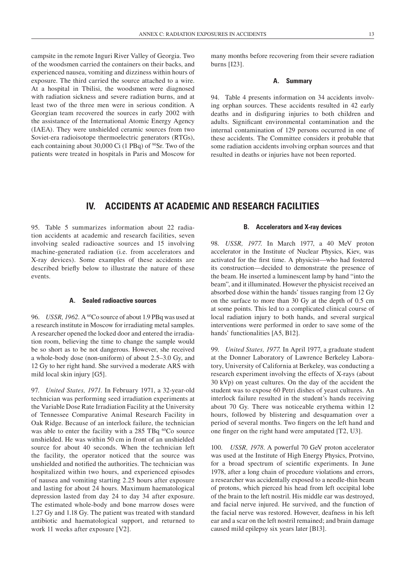campsite in the remote Inguri River Valley of Georgia. Two of the woodsmen carried the containers on their backs, and experienced nausea, vomiting and dizziness within hours of exposure. The third carried the source attached to a wire. At a hospital in Tbilisi, the woodsmen were diagnosed with radiation sickness and severe radiation burns, and at least two of the three men were in serious condition. A Georgian team recovered the sources in early 2002 with the assistance of the International Atomic Energy Agency (IAEA). They were unshielded ceramic sources from two Soviet-era radioisotope thermoelectric generators (RTGs), each containing about 30,000 Ci (1 PBq) of <sup>90</sup>Sr. Two of the patients were treated in hospitals in Paris and Moscow for many months before recovering from their severe radiation burns [I23].

#### **A. Summary**

94. Table 4 presents information on 34 accidents involving orphan sources. These accidents resulted in 42 early deaths and in disfiguring injuries to both children and adults. Significant environmental contamination and the internal contamination of 129 persons occurred in one of these accidents. The Committee considers it probable that some radiation accidents involving orphan sources and that resulted in deaths or injuries have not been reported.

### **IV. ACCIDENTS AT ACADEMIC AND RESEARCH FACILITIES**

95. Table 5 summarizes information about 22 radiation accidents at academic and research facilities, seven involving sealed radioactive sources and 15 involving machine-generated radiation (i.e. from accelerators and X-ray devices). Some examples of these accidents are described briefly below to illustrate the nature of these events.

#### **A. Sealed radioactive sources**

96. *USSR, 1962*. A <sup>60</sup>Co source of about 1.9 PBq was used at a research institute in Moscow for irradiating metal samples. A researcher opened the locked door and entered the irradiation room, believing the time to change the sample would be so short as to be not dangerous. However, she received a whole-body dose (non-uniform) of about 2.5–3.0 Gy, and 12 Gy to her right hand. She survived a moderate ARS with mild local skin injury [G5].

97. *United States, 1971.* In February 1971, a 32-year-old technician was performing seed irradiation experiments at the Variable Dose Rate Irradiation Facility at the University of Tennessee Comparative Animal Research Facility in Oak Ridge. Because of an interlock failure, the technician was able to enter the facility with a 285 TBq <sup>60</sup>Co source unshielded. He was within 50 cm in front of an unshielded source for about 40 seconds. When the technician left the facility, the operator noticed that the source was unshielded and notified the authorities. The technician was hospitalized within two hours, and experienced episodes of nausea and vomiting starting 2.25 hours after exposure and lasting for about 24 hours. Maximum haematological depression lasted from day 24 to day 34 after exposure. The estimated whole-body and bone marrow doses were 1.27 Gy and 1.18 Gy. The patient was treated with standard antibiotic and haematological support, and returned to work 11 weeks after exposure [V2].

#### **B. Accelerators and X-ray devices**

98. *USSR, 1977.* In March 1977, a 40 MeV proton accelerator in the Institute of Nuclear Physics, Kiev, was activated for the first time. A physicist—who had fostered its construction—decided to demonstrate the presence of the beam. He inserted a luminescent lamp by hand "into the beam", and it illuminated. However the physicist received an absorbed dose within the hands' tissues ranging from 12 Gy on the surface to more than 30 Gy at the depth of 0.5 cm at some points. This led to a complicated clinical course of local radiation injury to both hands, and several surgical interventions were performed in order to save some of the hands' functionalities [A5, B12].

99. *United States, 1977.* In April 1977, a graduate student at the Donner Laboratory of Lawrence Berkeley Laboratory, University of California at Berkeley, was conducting a research experiment involving the effects of X-rays (about 30 kVp) on yeast cultures. On the day of the accident the student was to expose 60 Petri dishes of yeast cultures. An interlock failure resulted in the student's hands receiving about 70 Gy. There was noticeable erythema within 12 hours, followed by blistering and desquamation over a period of several months. Two fingers on the left hand and one finger on the right hand were amputated [T2, U3].

100. *USSR, 1978*. A powerful 70 GeV proton accelerator was used at the Institute of High Energy Physics, Protvino, for a broad spectrum of scientific experiments. In June 1978, after a long chain of procedure violations and errors, a researcher was accidentally exposed to a needle-thin beam of protons, which pierced his head from left occipital lobe of the brain to the left nostril. His middle ear was destroyed, and facial nerve injured. He survived, and the function of the facial nerve was restored. However, deafness in his left ear and a scar on the left nostril remained; and brain damage caused mild epilepsy six years later [B13].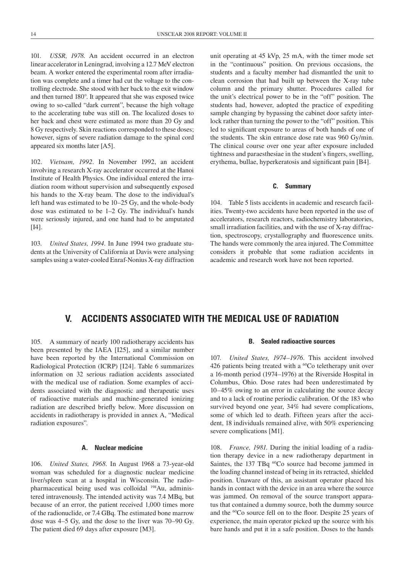101. *USSR, 1978.* An accident occurred in an electron linear accelerator in Leningrad, involving a 12.7 MeV electron beam. A worker entered the experimental room after irradiation was complete and a timer had cut the voltage to the controlling electrode. She stood with her back to the exit window and then turned 180°. It appeared that she was exposed twice owing to so-called "dark current", because the high voltage to the accelerating tube was still on. The localized doses to her back and chest were estimated as more than 20 Gy and 8 Gy respectively. Skin reactions corresponded to these doses; however, signs of severe radiation damage to the spinal cord appeared six months later [A5].

102. *Vietnam, 1992.* In November 1992, an accident involving a research X-ray accelerator occurred at the Hanoi Institute of Health Physics. One individual entered the irradiation room without supervision and subsequently exposed his hands to the X-ray beam. The dose to the individual's left hand was estimated to be 10–25 Gy, and the whole-body dose was estimated to be 1–2 Gy. The individual's hands were seriously injured, and one hand had to be amputated [I4].

103. *United States, 1994.* In June 1994 two graduate students at the University of California at Davis were analysing samples using a water-cooled Enraf-Nonius X-ray diffraction

unit operating at 45 kVp, 25 mA, with the timer mode set in the "continuous" position. On previous occasions, the students and a faculty member had dismantled the unit to clean corrosion that had built up between the X-ray tube column and the primary shutter. Procedures called for the unit's electrical power to be in the "off" position. The students had, however, adopted the practice of expediting sample changing by bypassing the cabinet door safety interlock rather than turning the power to the "off" position. This led to significant exposure to areas of both hands of one of the students. The skin entrance dose rate was 960 Gy/min. The clinical course over one year after exposure included tightness and paraesthesiae in the student's fingers, swelling, erythema, bullae, hyperkeratosis and significant pain [B4].

#### **C. Summary**

104. Table 5 lists accidents in academic and research facilities. Twenty-two accidents have been reported in the use of accelerators, research reactors, radiochemistry laboratories, small irradiation facilities, and with the use of X-ray diffraction, spectroscopy, crystallography and fluorescence units. The hands were commonly the area injured. The Committee considers it probable that some radiation accidents in academic and research work have not been reported.

### **V. ACCIDENTS ASSOCIATED WITH THE MEDICAL USE OF RADIATION**

105. A summary of nearly 100 radiotherapy accidents has been presented by the IAEA [I25], and a similar number have been reported by the International Commission on Radiological Protection (ICRP) [I24]. Table 6 summarizes information on 32 serious radiation accidents associated with the medical use of radiation. Some examples of accidents associated with the diagnostic and therapeutic uses of radioactive materials and machine-generated ionizing radiation are described briefly below. More discussion on accidents in radiotherapy is provided in annex A, "Medical radiation exposures".

#### **A. Nuclear medicine**

106. *United States, 1968.* In August 1968 a 73-year-old woman was scheduled for a diagnostic nuclear medicine liver/spleen scan at a hospital in Wisconsin. The radiopharmaceutical being used was colloidal 198Au, administered intravenously. The intended activity was 7.4 MBq, but because of an error, the patient received 1,000 times more of the radionuclide, or 7.4 GBq. The estimated bone marrow dose was 4–5 Gy, and the dose to the liver was 70–90 Gy. The patient died 69 days after exposure [M3].

#### **B. Sealed radioactive sources**

107. *United States, 1974–1976.* This accident involved 426 patients being treated with a <sup>60</sup>Co teletherapy unit over a 16-month period (1974–1976) at the Riverside Hospital in Columbus, Ohio. Dose rates had been underestimated by 10–45% owing to an error in calculating the source decay and to a lack of routine periodic calibration. Of the 183 who survived beyond one year, 34% had severe complications, some of which led to death. Fifteen years after the accident, 18 individuals remained alive, with 50% experiencing severe complications [M1].

108. *France, 1981.* During the initial loading of a radiation therapy device in a new radiotherapy department in Saintes, the 137 TBq <sup>60</sup>Co source had become jammed in the loading channel instead of being in its retracted, shielded position. Unaware of this, an assistant operator placed his hands in contact with the device in an area where the source was jammed. On removal of the source transport apparatus that contained a dummy source, both the dummy source and the 60Co source fell on to the floor. Despite 25 years of experience, the main operator picked up the source with his bare hands and put it in a safe position. Doses to the hands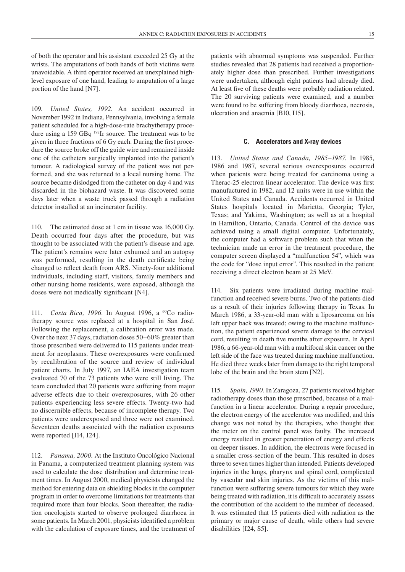of both the operator and his assistant exceeded 25 Gy at the wrists. The amputations of both hands of both victims were unavoidable. A third operator received an unexplained highlevel exposure of one hand, leading to amputation of a large portion of the hand [N7].

109. *United States, 1992.* An accident occurred in November 1992 in Indiana, Pennsylvania, involving a female patient scheduled for a high-dose-rate brachytherapy procedure using a 159 GBq 192Ir source. The treatment was to be given in three fractions of 6 Gy each. During the first procedure the source broke off the guide wire and remained inside one of the catheters surgically implanted into the patient's tumour. A radiological survey of the patient was not performed, and she was returned to a local nursing home. The source became dislodged from the catheter on day 4 and was discarded in the biohazard waste. It was discovered some days later when a waste truck passed through a radiation detector installed at an incinerator facility.

110. The estimated dose at 1 cm in tissue was 16,000 Gy. Death occurred four days after the procedure, but was thought to be associated with the patient's disease and age. The patient's remains were later exhumed and an autopsy was performed, resulting in the death certificate being changed to reflect death from ARS. Ninety-four additional individuals, including staff, visitors, family members and other nursing home residents, were exposed, although the doses were not medically significant [N4].

111. *Costa Rica, 1996.* In August 1996, a 60Co radiotherapy source was replaced at a hospital in San José. Following the replacement, a calibration error was made. Over the next 37 days, radiation doses 50–60% greater than those prescribed were delivered to 115 patients under treatment for neoplasms. These overexposures were confirmed by recalibration of the source and review of individual patient charts. In July 1997, an IAEA investigation team evaluated 70 of the 73 patients who were still living. The team concluded that 20 patients were suffering from major adverse effects due to their overexposures, with 26 other patients experiencing less severe effects. Twenty-two had no discernible effects, because of incomplete therapy. Two patients were underexposed and three were not examined. Seventeen deaths associated with the radiation exposures were reported [I14, I24].

112. *Panama, 2000.* At the Instituto Oncológico Nacional in Panama, a computerized treatment planning system was used to calculate the dose distribution and determine treatment times. In August 2000, medical physicists changed the method for entering data on shielding blocks in the computer program in order to overcome limitations for treatments that required more than four blocks. Soon thereafter, the radiation oncologists started to observe prolonged diarrhoea in some patients. In March 2001, physicists identified a problem with the calculation of exposure times, and the treatment of patients with abnormal symptoms was suspended. Further studies revealed that 28 patients had received a proportionately higher dose than prescribed. Further investigations were undertaken, although eight patients had already died. At least five of these deaths were probably radiation related. The 20 surviving patients were examined, and a number were found to be suffering from bloody diarrhoea, necrosis, ulceration and anaemia [B10, I15].

#### **C. Accelerators and X-ray devices**

113. *United States and Canada, 1985–1987.* In 1985, 1986 and 1987, several serious overexposures occurred when patients were being treated for carcinoma using a Therac-25 electron linear accelerator. The device was first manufactured in 1982, and 12 units were in use within the United States and Canada. Accidents occurred in United States hospitals located in Marietta, Georgia; Tyler, Texas; and Yakima, Washington; as well as at a hospital in Hamilton, Ontario, Canada. Control of the device was achieved using a small digital computer. Unfortunately, the computer had a software problem such that when the technician made an error in the treatment procedure, the computer screen displayed a "malfunction 54", which was the code for "dose input error". This resulted in the patient receiving a direct electron beam at 25 MeV.

114. Six patients were irradiated during machine malfunction and received severe burns. Two of the patients died as a result of their injuries following therapy in Texas. In March 1986, a 33-year-old man with a liposarcoma on his left upper back was treated; owing to the machine malfunction, the patient experienced severe damage to the cervical cord, resulting in death five months after exposure. In April 1986, a 66-year-old man with a multifocal skin cancer on the left side of the face was treated during machine malfunction. He died three weeks later from damage to the right temporal lobe of the brain and the brain stem [N2].

115. *Spain, 1990.* In Zaragoza, 27 patients received higher radiotherapy doses than those prescribed, because of a malfunction in a linear accelerator. During a repair procedure, the electron energy of the accelerator was modified, and this change was not noted by the therapists, who thought that the meter on the control panel was faulty. The increased energy resulted in greater penetration of energy and effects on deeper tissues. In addition, the electrons were focused in a smaller cross-section of the beam. This resulted in doses three to seven times higher than intended. Patients developed injuries in the lungs, pharynx and spinal cord, complicated by vascular and skin injuries. As the victims of this malfunction were suffering severe tumours for which they were being treated with radiation, it is difficult to accurately assess the contribution of the accident to the number of deceased. It was estimated that 15 patients died with radiation as the primary or major cause of death, while others had severe disabilities [I24, S5].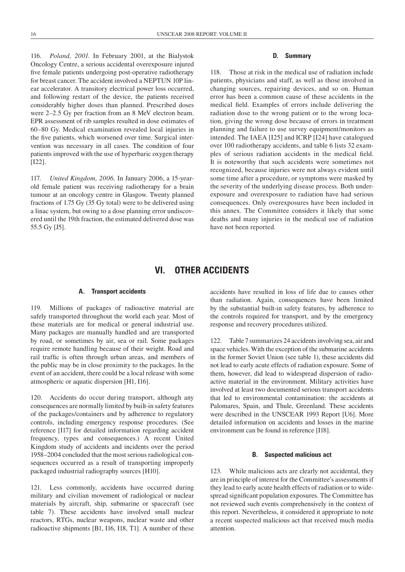116. *Poland, 2001.* In February 2001, at the Bialystok Oncology Centre, a serious accidental overexposure injured five female patients undergoing post-operative radiotherapy for breast cancer. The accident involved a NEPTUN 10P linear accelerator. A transitory electrical power loss occurred, and following restart of the device, the patients received considerably higher doses than planned. Prescribed doses were 2–2.5 Gy per fraction from an 8 MeV electron beam. EPR assessment of rib samples resulted in dose estimates of 60–80 Gy. Medical examination revealed local injuries in the five patients, which worsened over time. Surgical intervention was necessary in all cases. The condition of four patients improved with the use of hyperbaric oxygen therapy [I22].

117. *United Kingdom, 2006.* In January 2006, a 15-yearold female patient was receiving radiotherapy for a brain tumour at an oncology centre in Glasgow. Twenty planned fractions of 1.75 Gy (35 Gy total) were to be delivered using a linac system, but owing to a dose planning error undiscovered until the 19th fraction, the estimated delivered dose was 55.5 Gy [J5].

#### **D. Summary**

118. Those at risk in the medical use of radiation include patients, physicians and staff, as well as those involved in changing sources, repairing devices, and so on. Human error has been a common cause of these accidents in the medical field. Examples of errors include delivering the radiation dose to the wrong patient or to the wrong location, giving the wrong dose because of errors in treatment planning and failure to use survey equipment/monitors as intended. The IAEA [I25] and ICRP [I24] have catalogued over 100 radiotherapy accidents, and table 6 lists 32 examples of serious radiation accidents in the medical field. It is noteworthy that such accidents were sometimes not recognized, because injuries were not always evident until some time after a procedure, or symptoms were masked by the severity of the underlying disease process. Both underexposure and overexposure to radiation have had serious consequences. Only overexposures have been included in this annex. The Committee considers it likely that some deaths and many injuries in the medical use of radiation have not been reported.

### **VI. OTHER ACCIDENTS**

#### **A. Transport accidents**

119. Millions of packages of radioactive material are safely transported throughout the world each year. Most of these materials are for medical or general industrial use. Many packages are manually handled and are transported by road, or sometimes by air, sea or rail. Some packages require remote handling because of their weight. Road and rail traffic is often through urban areas, and members of the public may be in close proximity to the packages. In the event of an accident, there could be a local release with some atmospheric or aquatic dispersion [H1, I16].

120. Accidents do occur during transport, although any consequences are normally limited by built-in safety features of the packages/containers and by adherence to regulatory controls, including emergency response procedures. (See reference [I17] for detailed information regarding accident frequency, types and consequences.) A recent United Kingdom study of accidents and incidents over the period 1958–2004 concluded that the most serious radiological consequences occurred as a result of transporting improperly packaged industrial radiography sources [H10].

121. Less commonly, accidents have occurred during military and civilian movement of radiological or nuclear materials by aircraft, ship, submarine or spacecraft (see table 7). These accidents have involved small nuclear reactors, RTGs, nuclear weapons, nuclear waste and other radioactive shipments [B1, I16, I18, T1]. A number of these

accidents have resulted in loss of life due to causes other than radiation. Again, consequences have been limited by the substantial built-in safety features, by adherence to the controls required for transport, and by the emergency response and recovery procedures utilized.

122. Table 7 summarizes 24 accidents involving sea, air and space vehicles. With the exception of the submarine accidents in the former Soviet Union (see table 1), these accidents did not lead to early acute effects of radiation exposure. Some of them, however, did lead to widespread dispersion of radioactive material in the environment. Military activities have involved at least two documented serious transport accidents that led to environmental contamination: the accidents at Palomares, Spain, and Thule, Greenland. These accidents were described in the UNSCEAR 1993 Report [U6]. More detailed information on accidents and losses in the marine environment can be found in reference [I18].

#### **B. Suspected malicious act**

123. While malicious acts are clearly not accidental, they are in principle of interest for the Committee's assessments if they lead to early acute health effects of radiation or to widespread significant population exposures. The Committee has not reviewed such events comprehensively in the context of this report. Nevertheless, it considered it appropriate to note a recent suspected malicious act that received much media attention.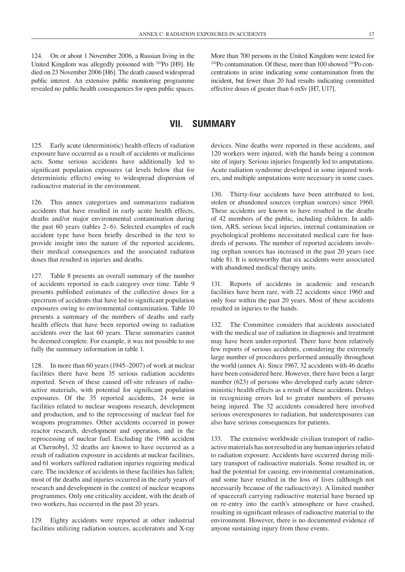124. On or about 1 November 2006, a Russian living in the United Kingdom was allegedly poisoned with 210Po [H9]. He died on 23 November 2006 [H6]. The death caused widespread public interest. An extensive public monitoring programme revealed no public health consequences for open public spaces.

More than 700 persons in the United Kingdom were tested for <sup>210</sup>Po contamination. Of these, more than 100 showed <sup>210</sup>Po concentrations in urine indicating some contamination from the incident, but fewer than 20 had results indicating committed effective doses of greater than 6 mSv [H7, U17].

### **VII. Summary**

125. Early acute (deterministic) health effects of radiation exposure have occurred as a result of accidents or malicious acts. Some serious accidents have additionally led to significant population exposures (at levels below that for deterministic effects) owing to widespread dispersion of radioactive material in the environment.

126. This annex categorizes and summarizes radiation accidents that have resulted in early acute health effects, deaths and/or major environmental contamination during the past 60 years (tables 2–6). Selected examples of each accident type have been briefly described in the text to provide insight into the nature of the reported accidents, their medical consequences and the associated radiation doses that resulted in injuries and deaths.

127. Table 8 presents an overall summary of the number of accidents reported in each category over time. Table 9 presents published estimates of the collective doses for a spectrum of accidents that have led to significant population exposures owing to environmental contamination. Table 10 presents a summary of the numbers of deaths and early health effects that have been reported owing to radiation accidents over the last 60 years. These summaries cannot be deemed complete. For example, it was not possible to use fully the summary information in table 1.

128. In more than 60 years (1945–2007) of work at nuclear facilities there have been 35 serious radiation accidents reported. Seven of these caused off-site releases of radioactive materials, with potential for significant population exposures. Of the 35 reported accidents, 24 were in facilities related to nuclear weapons research, development and production, and to the reprocessing of nuclear fuel for weapons programmes. Other accidents occurred in power reactor research, development and operation, and in the reprocessing of nuclear fuel. Excluding the 1986 accident at Chernobyl, 32 deaths are known to have occurred as a result of radiation exposure in accidents at nuclear facilities, and 61 workers suffered radiation injuries requiring medical care. The incidence of accidents in these facilities has fallen; most of the deaths and injuries occurred in the early years of research and development in the context of nuclear weapons programmes. Only one criticality accident, with the death of two workers, has occurred in the past 20 years.

129. Eighty accidents were reported at other industrial facilities utilizing radiation sources, accelerators and X-ray

devices. Nine deaths were reported in these accidents, and 120 workers were injured, with the hands being a common site of injury. Serious injuries frequently led to amputations. Acute radiation syndrome developed in some injured workers, and multiple amputations were necessary in some cases.

130. Thirty-four accidents have been attributed to lost, stolen or abandoned sources (orphan sources) since 1960. These accidents are known to have resulted in the deaths of 42 members of the public, including children. In addition, ARS, serious local injuries, internal contamination or psychological problems necessitated medical care for hundreds of persons. The number of reported accidents involving orphan sources has increased in the past 20 years (see table 8). It is noteworthy that six accidents were associated with abandoned medical therapy units.

131. Reports of accidents in academic and research facilities have been rare, with 22 accidents since 1960 and only four within the past 20 years. Most of these accidents resulted in injuries to the hands.

132. The Committee considers that accidents associated with the medical use of radiation in diagnosis and treatment may have been under-reported. There have been relatively few reports of serious accidents, considering the extremely large number of procedures performed annually throughout the world (annex A). Since 1967, 32 accidents with 46 deaths have been considered here. However, there have been a large number (623) of persons who developed early acute (deterministic) health effects as a result of these accidents. Delays in recognizing errors led to greater numbers of persons being injured. The 32 accidents considered here involved serious overexposures to radiation, but underexposures can also have serious consequences for patients.

133. The extensive worldwide civilian transport of radioactive materials has not resulted in any human injuries related to radiation exposure. Accidents have occurred during military transport of radioactive materials. Some resulted in, or had the potential for causing, environmental contamination, and some have resulted in the loss of lives (although not necessarily because of the radioactivity). A limited number of spacecraft carrying radioactive material have burned up on re-entry into the earth's atmosphere or have crashed, resulting in significant releases of radioactive material to the environment. However, there is no documented evidence of anyone sustaining injury from these events.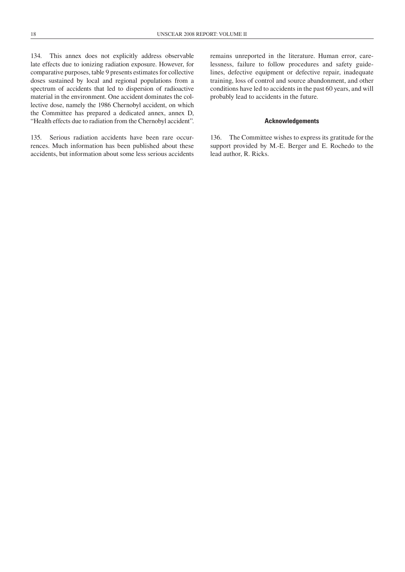134. This annex does not explicitly address observable late effects due to ionizing radiation exposure. However, for comparative purposes, table 9 presents estimates for collective doses sustained by local and regional populations from a spectrum of accidents that led to dispersion of radioactive material in the environment. One accident dominates the collective dose, namely the 1986 Chernobyl accident, on which the Committee has prepared a dedicated annex, annex D, "Health effects due to radiation from the Chernobyl accident".

135. Serious radiation accidents have been rare occurrences. Much information has been published about these accidents, but information about some less serious accidents

remains unreported in the literature. Human error, carelessness, failure to follow procedures and safety guidelines, defective equipment or defective repair, inadequate training, loss of control and source abandonment, and other conditions have led to accidents in the past 60 years, and will probably lead to accidents in the future.

#### **Acknowledgements**

136. The Committee wishes to express its gratitude for the support provided by M.-E. Berger and E. Rochedo to the lead author, R. Ricks.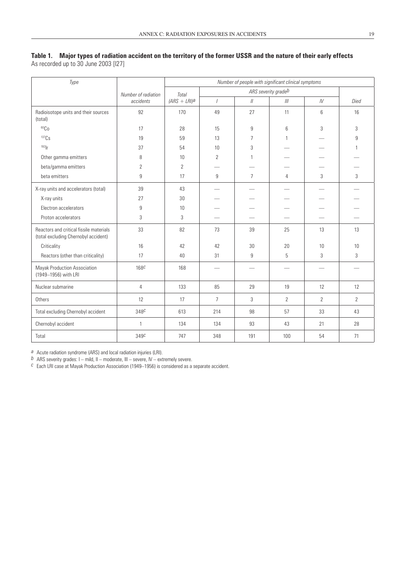#### **Table 1. Major types of radiation accident on the territory of the former USSR and the nature of their early effects** As recorded up to 30 June 2003 [I27]

*Type Number of radiation accidents Number of people with significant clinical symptoms Total (ARS + LRI)a ARS severity gradeb I II III IV Died* Radioisotope units and their sources (total) 92 | 170 | 49 | 27 | 11 | 6 | 16 60Co 17 28 15 9 6 3 3 137Cs 19 59 13 7 1 — 9 192Ir 37 54 10 3 — — 1 Other gamma emitters 8 10 2 1 — — beta/gamma emitters <br>
2 12 beta emitters 9 17 9 7 4 3 3 X-ray units and accelerators (total) 39 43 — — — — — X-ray units 27 30 — — — — — Electron accelerators and the set of the set of the set of the set of the set of the set of the set of the set o Proton accelerators 3 3 — — — — — Reactors and critical fissile materials (total excluding Chernobyl accident) 33 | 82 | 73 | 39 | 25 | 13 | 13 Criticality 16 42 42 30 20 10 10 Reactors (other than criticality)  $\begin{vmatrix} 17 & 40 & 31 & 9 & 5 & 3 \\ 17 & 40 & 31 & 9 & 5 & 3 \\ 17 & 31 & 9 & 3 & 3 & 3 \\ 18 & 31 & 9 & 3 & 3 & 3 \\ 19 & 31 & 9 & 3 & 3 & 3 \\ 19 & 31 & 9 & 3 & 3 & 3 \\ 19 & 31 & 9 & 3 & 3 & 3 \\ 19 & 31 & 31 & 31 & 31 & 3 \\ 19 & 31 & 31 & 31$ Mayak Production Association (1949–1956) with LRI 168<sup>c</sup> | 168 | — | — | — | — | — Nuclear submarine | 4 | 133 | 85 | 29 | 19 | 12 | 12 Others | 12 | 17 | 7 | 3 | 2 | 2 | 2 Total excluding Chernobyl accident | 348<sup>c</sup> | 613 | 214 | 98 | 57 | 33 | 43 Chernobyl accident 1 134 134 134 93 43 21 28 Total 349*c* 747 348 191 100 54 71

*a* Acute radiation syndrome (ARS) and local radiation injuries (LRI).

*b* ARS severity grades:  $I$  – mild,  $II$  – moderate,  $III$  – severe,  $IV$  – extremely severe.

*c* Each LRI case at Mayak Production Association (1949–1956) is considered as a separate accident.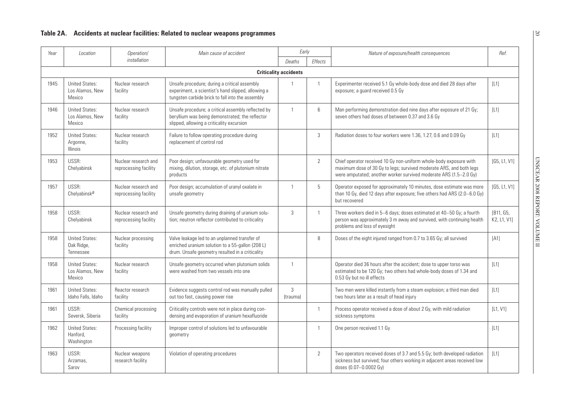| Year | Location                                             | Operation/                                    | Main cause of accident                                                                                                                                 | Early                        |                | Nature of exposure/health consequences                                                                                                                                                                         | Ref.                     |
|------|------------------------------------------------------|-----------------------------------------------|--------------------------------------------------------------------------------------------------------------------------------------------------------|------------------------------|----------------|----------------------------------------------------------------------------------------------------------------------------------------------------------------------------------------------------------------|--------------------------|
|      |                                                      | installation                                  |                                                                                                                                                        | Deaths                       | <b>Effects</b> |                                                                                                                                                                                                                |                          |
|      |                                                      |                                               |                                                                                                                                                        | <b>Criticality accidents</b> |                |                                                                                                                                                                                                                |                          |
| 1945 | <b>United States:</b><br>Los Alamos, New<br>Mexico   | Nuclear research<br>facility                  | Unsafe procedure; during a critical assembly<br>experiment, a scientist's hand slipped, allowing a<br>tungsten carbide brick to fall into the assembly | $\mathbf{1}$                 | $\mathbf{1}$   | Experimenter received 5.1 Gy whole-body dose and died 28 days after<br>exposure; a guard received 0.5 Gy                                                                                                       | $[L1]$                   |
| 1946 | <b>United States:</b><br>Los Alamos, New<br>Mexico   | Nuclear research<br>facility                  | Unsafe procedure; a critical assembly reflected by<br>beryllium was being demonstrated; the reflector<br>slipped, allowing a criticality excursion     | $\mathbf{1}$                 | 6              | Man performing demonstration died nine days after exposure of 21 Gy;<br>seven others had doses of between 0.37 and 3.6 Gy                                                                                      | $[L1]$                   |
| 1952 | <b>United States:</b><br>Argonne,<br><b>Illinois</b> | Nuclear research<br>facility                  | Failure to follow operating procedure during<br>replacement of control rod                                                                             |                              | 3              | Radiation doses to four workers were 1.36, 1.27, 0.6 and 0.09 Gy                                                                                                                                               | $[L1]$                   |
| 1953 | USSR:<br>Chelyabinsk                                 | Nuclear research and<br>reprocessing facility | Poor design; unfavourable geometry used for<br>mixing, dilution, storage, etc. of plutonium nitrate<br>products                                        |                              | 2              | Chief operator received 10 Gy non-uniform whole-body exposure with<br>maximum dose of 30 Gy to legs; survived moderate ARS, and both legs<br>were amputated; another worker survived moderate ARS (1.5-2.0 Gy) | [G5, L1, V1]             |
| 1957 | USSR:<br>Chelyabinska                                | Nuclear research and<br>reprocessing facility | Poor design; accumulation of uranyl oxalate in<br>unsafe geometry                                                                                      | $\mathbf{1}$                 | 5              | Operator exposed for approximately 10 minutes, dose estimate was more<br>than 10 Gy, died 12 days after exposure; five others had ARS (2.0-6.0 Gy)<br>but recovered                                            | [G5, L1, V1]             |
| 1958 | USSR:<br>Chelyabinsk                                 | Nuclear research and<br>reprocessing facility | Unsafe geometry during draining of uranium solu-<br>tion; neutron reflector contributed to criticality                                                 | 3                            | 1              | Three workers died in 5-6 days; doses estimated at 40-50 Gy; a fourth<br>person was approximately 3 m away and survived, with continuing health<br>problems and loss of eyesight                               | [B11, G5,<br>K2, L1, V11 |
| 1958 | <b>United States:</b><br>Oak Ridge,<br>Tennessee     | Nuclear processing<br>facility                | Valve leakage led to an unplanned transfer of<br>enriched uranium solution to a 55-gallon (208 L)<br>drum. Unsafe geometry resulted in a criticality   |                              | 8              | Doses of the eight injured ranged from 0.7 to 3.65 Gy; all survived                                                                                                                                            | [A1]                     |
| 1958 | <b>United States:</b><br>Los Alamos, New<br>Mexico   | Nuclear research<br>facility                  | Unsafe geometry occurred when plutonium solids<br>were washed from two vessels into one                                                                | $\mathbf{1}$                 |                | Operator died 36 hours after the accident; dose to upper torso was<br>estimated to be 120 Gy; two others had whole-body doses of 1.34 and<br>0.53 Gy but no ill effects                                        | $[L1]$                   |
| 1961 | <b>United States:</b><br>Idaho Falls, Idaho          | Reactor research<br>facility                  | Evidence suggests control rod was manually pulled<br>out too fast, causing power rise                                                                  | 3<br>(trauma)                |                | Two men were killed instantly from a steam explosion; a third man died<br>two hours later as a result of head injury                                                                                           | $[L1]$                   |
| 1961 | USSR:<br>Seversk, Siberia                            | Chemical processing<br>facility               | Criticality controls were not in place during con-<br>densing and evaporation of uranium hexafluoride                                                  |                              | $\mathbf{1}$   | Process operator received a dose of about 2 Gy, with mild radiation<br>sickness symptoms                                                                                                                       | [L1, V1]                 |
| 1962 | <b>United States:</b><br>Hanford.<br>Washington      | Processing facility                           | Improper control of solutions led to unfavourable<br>geometry                                                                                          |                              | 1              | One person received 1.1 Gy                                                                                                                                                                                     | $[L1]$                   |
| 1963 | USSR:<br>Arzamas,<br>Sarov                           | Nuclear weapons<br>research facility          | Violation of operating procedures                                                                                                                      |                              | $\overline{2}$ | Two operators received doses of 3.7 and 5.5 Gy; both developed radiation<br>sickness but survived; four others working in adjacent areas received low<br>doses (0.07-0.0002 Gy)                                | $[L1]$                   |

20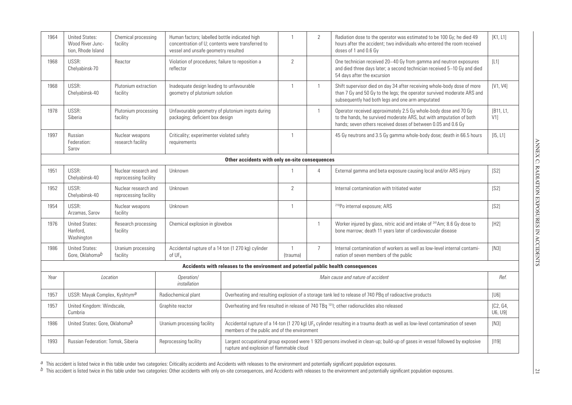| 1964 | <b>United States:</b><br>Wood River Junc-<br>tion, Rhode Island           | Chemical processing<br>facility               |                                                                                     | Human factors; labelled bottle indicated high<br>concentration of U; contents were transferred to<br>vessel and unsafe geometry resulted                                                   |                                                                                                         |                | Radiation dose to the operator was estimated to be 100 Gy; he died 49<br>hours after the accident; two individuals who entered the room received<br>doses of 1 and 0.6 Gy                                | [K1, L1]        |
|------|---------------------------------------------------------------------------|-----------------------------------------------|-------------------------------------------------------------------------------------|--------------------------------------------------------------------------------------------------------------------------------------------------------------------------------------------|---------------------------------------------------------------------------------------------------------|----------------|----------------------------------------------------------------------------------------------------------------------------------------------------------------------------------------------------------|-----------------|
| 1968 | USSR:<br>Chelyabinsk-70                                                   | Reactor                                       | reflector                                                                           | Violation of procedures; failure to reposition a                                                                                                                                           |                                                                                                         |                | One technician received 20–40 Gy from gamma and neutron exposures<br>and died three days later; a second technician received 5-10 Gy and died<br>54 days after the excursion                             | $[L1]$          |
| 1968 | USSR:<br>Chelyabinsk-40                                                   | Plutonium extraction<br>facility              | Inadequate design leading to unfavourable<br>geometry of plutonium solution         |                                                                                                                                                                                            | $\mathbf{1}$                                                                                            | $\mathbf{1}$   | Shift supervisor died on day 34 after receiving whole-body dose of more<br>than 7 Gy and 50 Gy to the legs; the operator survived moderate ARS and<br>subsequently had both legs and one arm amputated   | [V1, V4]        |
| 1978 | USSR:<br>Siberia                                                          | Plutonium processing<br>facility              | Unfavourable geometry of plutonium ingots during<br>packaging; deficient box design |                                                                                                                                                                                            |                                                                                                         | $\mathbf{1}$   | Operator received approximately 2.5 Gy whole-body dose and 70 Gy<br>to the hands, he survived moderate ARS, but with amputation of both<br>hands; seven others received doses of between 0.05 and 0.6 Gy | [B11, L1,<br>V1 |
| 1997 | Russian<br>Federation:<br>Sarov                                           | Nuclear weapons<br>research facility          | requirements                                                                        | Criticality; experimenter violated safety                                                                                                                                                  |                                                                                                         |                | 45 Gy neutrons and 3.5 Gy gamma whole-body dose; death in 66.5 hours                                                                                                                                     | [15, L1]        |
|      |                                                                           |                                               |                                                                                     | Other accidents with only on-site consequences                                                                                                                                             |                                                                                                         |                |                                                                                                                                                                                                          |                 |
| 1951 | USSR:<br>Chelyabinsk-40                                                   | Nuclear research and<br>reprocessing facility | Unknown                                                                             |                                                                                                                                                                                            |                                                                                                         | $\overline{4}$ | External gamma and beta exposure causing local and/or ARS injury                                                                                                                                         | [S2]            |
| 1952 | USSR:<br>Chelyabinsk-40                                                   | Nuclear research and<br>reprocessing facility | Unknown                                                                             |                                                                                                                                                                                            |                                                                                                         |                | Internal contamination with tritiated water                                                                                                                                                              | [S2]            |
| 1954 | USSR:<br>Arzamas, Sarov                                                   | Nuclear weapons<br>facility                   | Unknown                                                                             |                                                                                                                                                                                            | $\mathbf{1}$                                                                                            |                | <sup>210</sup> Po internal exposure; ARS                                                                                                                                                                 | [S2]            |
| 1976 | <b>United States:</b><br>Hanford,<br>Washington                           | Research processing<br>facility               | Chemical explosion in glovebox                                                      |                                                                                                                                                                                            |                                                                                                         | $\mathbf{1}$   | Worker injured by glass, nitric acid and intake of <sup>241</sup> Am; 8.6 Gy dose to<br>bone marrow; death 11 years later of cardiovascular disease                                                      | $[H2]$          |
| 1986 | <b>United States:</b><br>Gore, Oklahoma <sup>b</sup>                      | Uranium processing<br>facility                | Accidental rupture of a 14 ton (1 270 kg) cylinder<br>of $UF6$                      |                                                                                                                                                                                            | 1<br>(trauma)                                                                                           | $\overline{7}$ | Internal contamination of workers as well as low-level internal contami-<br>nation of seven members of the public                                                                                        | [N3]            |
|      |                                                                           |                                               |                                                                                     | Accidents with releases to the environment and potential public health consequences                                                                                                        |                                                                                                         |                |                                                                                                                                                                                                          |                 |
| Year | Location                                                                  |                                               | Operation/<br>installation                                                          |                                                                                                                                                                                            |                                                                                                         |                | Main cause and nature of accident                                                                                                                                                                        | Ref.            |
| 1957 | USSR: Mayak Complex, Kyshtym <sup>a</sup>                                 |                                               | Radiochemical plant                                                                 |                                                                                                                                                                                            |                                                                                                         |                | Overheating and resulting explosion of a storage tank led to release of 740 PBq of radioactive products                                                                                                  | [U6]            |
| 1957 | United Kingdom: Windscale,<br>Graphite reactor<br>Cumbria                 |                                               |                                                                                     |                                                                                                                                                                                            | Overheating and fire resulted in release of 740 TBq <sup>131</sup> I; other radionuclides also released |                |                                                                                                                                                                                                          |                 |
| 1986 | United States: Gore, Oklahoma <sup>b</sup><br>Uranium processing facility |                                               |                                                                                     | Accidental rupture of a 14-ton (1 270 kg) UF <sub>6</sub> cylinder resulting in a trauma death as well as low-level contamination of seven<br>members of the public and of the environment |                                                                                                         |                |                                                                                                                                                                                                          |                 |
| 1993 | Russian Federation: Tomsk, Siberia                                        |                                               | Reprocessing facility                                                               | rupture and explosion of flammable cloud                                                                                                                                                   |                                                                                                         |                | Largest occupational group exposed were 1 920 persons involved in clean-up; build-up of gases in vessel followed by explosive                                                                            | $[119]$         |

a This accident is listed twice in this table under two categories: Criticality accidents and Accidents with releases to the environment and potentially significant population exposures.<br>b This accident is listed twice in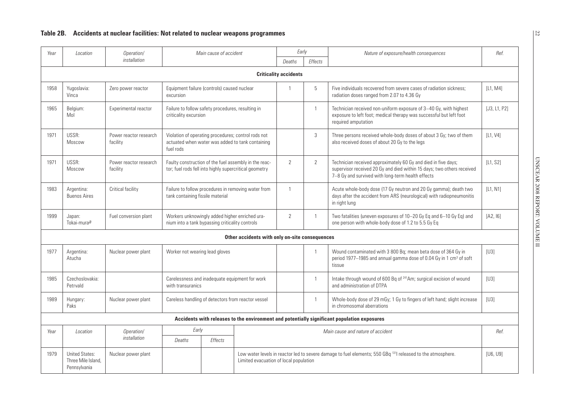| Year | Location                                                    | Operation/                         |                                                                                                                      |                | Main cause of accident                         | Early                                                                                                                                                             |                                                                                                                                                                 | Nature of exposure/health consequences                                                                                                                                                        | Ref.     |
|------|-------------------------------------------------------------|------------------------------------|----------------------------------------------------------------------------------------------------------------------|----------------|------------------------------------------------|-------------------------------------------------------------------------------------------------------------------------------------------------------------------|-----------------------------------------------------------------------------------------------------------------------------------------------------------------|-----------------------------------------------------------------------------------------------------------------------------------------------------------------------------------------------|----------|
|      |                                                             | installation                       |                                                                                                                      | Deaths         | <b>Effects</b>                                 |                                                                                                                                                                   |                                                                                                                                                                 |                                                                                                                                                                                               |          |
|      |                                                             |                                    |                                                                                                                      |                |                                                | <b>Criticality accidents</b>                                                                                                                                      |                                                                                                                                                                 |                                                                                                                                                                                               |          |
| 1958 | Yugoslavia:<br>Vinca                                        | Zero power reactor                 | Equipment failure (controls) caused nuclear<br>excursion                                                             |                |                                                | $\overline{1}$                                                                                                                                                    | 5                                                                                                                                                               | Five individuals recovered from severe cases of radiation sickness;<br>radiation doses ranged from 2.07 to 4.36 Gy                                                                            | [L1, MA] |
| 1965 | Belgium:<br>Mol                                             | Experimental reactor               | Failure to follow safety procedures, resulting in<br>criticality excursion                                           |                |                                                | $\mathbf{1}$                                                                                                                                                      | Technician received non-uniform exposure of 3-40 Gy, with highest<br>exposure to left foot; medical therapy was successful but left foot<br>required amputation | [J3, L1, P2]                                                                                                                                                                                  |          |
| 1971 | USSR:<br>Moscow                                             | Power reactor research<br>facility | Violation of operating procedures; control rods not<br>actuated when water was added to tank containing<br>fuel rods |                |                                                |                                                                                                                                                                   | 3                                                                                                                                                               | Three persons received whole-body doses of about 3 Gy; two of them<br>also received doses of about 20 Gy to the legs                                                                          | [L1, V4] |
| 1971 | USSR:<br>Moscow                                             | Power reactor research<br>facility | Faulty construction of the fuel assembly in the reac-<br>tor; fuel rods fell into highly supercritical geometry      |                |                                                | 2                                                                                                                                                                 | $\mathbf{2}$                                                                                                                                                    | Technician received approximately 60 Gy and died in five days;<br>supervisor received 20 Gy and died within 15 days; two others received<br>7-8 Gy and survived with long-term health effects | [L1, S2] |
| 1983 | Argentina:<br><b>Buenos Aires</b>                           | Critical facility                  | Failure to follow procedures in removing water from<br>tank containing fissile material                              |                | $\overline{1}$                                 |                                                                                                                                                                   | Acute whole-body dose (17 Gy neutron and 20 Gy gamma); death two<br>days after the accident from ARS (neurological) with radiopneumonitis<br>in right lung      | [L1, N1]                                                                                                                                                                                      |          |
| 1999 | Japan:<br>Tokai-mura <sup>a</sup>                           | Fuel conversion plant              | Workers unknowingly added higher enriched ura-<br>nium into a tank bypassing criticality controls                    |                | $\overline{2}$                                 | $\mathbf{1}$                                                                                                                                                      | Two fatalities (uneven exposures of 10-20 Gy Eq and 6-10 Gy Eq) and<br>one person with whole-body dose of 1.2 to 5.5 Gy Eq                                      | [A2, 16]                                                                                                                                                                                      |          |
|      |                                                             |                                    |                                                                                                                      |                | Other accidents with only on-site consequences |                                                                                                                                                                   |                                                                                                                                                                 |                                                                                                                                                                                               |          |
| 1977 | Argentina:<br>Atucha                                        | Nuclear power plant                | Worker not wearing lead gloves                                                                                       |                |                                                |                                                                                                                                                                   | $\mathbf{1}$                                                                                                                                                    | Wound contaminated with 3 800 Bq; mean beta dose of 364 Gy in<br>period 1977–1985 and annual gamma dose of 0.04 Gy in 1 cm <sup>3</sup> of soft<br>tissue                                     | [U3]     |
| 1985 | Czechoslovakia:<br>Petrvald                                 |                                    | Carelessness and inadequate equipment for work<br>with transuranics                                                  |                |                                                |                                                                                                                                                                   | 1                                                                                                                                                               | Intake through wound of 600 Bq of <sup>241</sup> Am; surgical excision of wound<br>and administration of DTPA                                                                                 | [U3]     |
| 1989 | Hungary:<br>Paks                                            | Nuclear power plant                | Careless handling of detectors from reactor vessel                                                                   |                |                                                |                                                                                                                                                                   | $\mathbf{1}$                                                                                                                                                    | Whole-body dose of 29 mGy; 1 Gy to fingers of left hand; slight increase<br>in chromosomal aberrations                                                                                        | [U3]     |
|      |                                                             |                                    |                                                                                                                      |                |                                                |                                                                                                                                                                   |                                                                                                                                                                 | Accidents with releases to the environment and potentially significant population exposures                                                                                                   |          |
| Year | Location                                                    | Operation/                         | Early                                                                                                                |                | Main cause and nature of accident              |                                                                                                                                                                   |                                                                                                                                                                 |                                                                                                                                                                                               | Ref.     |
|      |                                                             | installation                       | Deaths                                                                                                               | <b>Effects</b> |                                                |                                                                                                                                                                   |                                                                                                                                                                 |                                                                                                                                                                                               |          |
| 1979 | <b>United States:</b><br>Three Mile Island,<br>Pennsylvania | Nuclear power plant                |                                                                                                                      |                |                                                | Low water levels in reactor led to severe damage to fuel elements; 550 GBq <sup>131</sup> l released to the atmosphere.<br>Limited evacuation of local population |                                                                                                                                                                 |                                                                                                                                                                                               | [U6, U9] |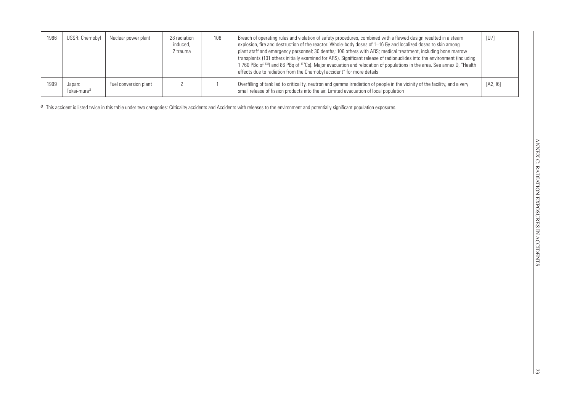| 1986 | USSR: Chernobyl                   | Nuclear power plant   | 28 radiation<br>induced,<br>2 trauma | 106 | Breach of operating rules and violation of safety procedures, combined with a flawed design resulted in a steam<br>explosion, fire and destruction of the reactor. Whole-body doses of 1–16 Gy and localized doses to skin among<br>plant staff and emergency personnel; 30 deaths; 106 others with ARS; medical treatment, including bone marrow<br>transplants (101 others initially examined for ARS). Significant release of radionuclides into the environment (including<br>1 760 PBq of <sup>131</sup> l and 86 PBq of <sup>137</sup> Cs). Major evacuation and relocation of populations in the area. See annex D, "Health<br>effects due to radiation from the Chernobyl accident" for more details | [U7]     |
|------|-----------------------------------|-----------------------|--------------------------------------|-----|--------------------------------------------------------------------------------------------------------------------------------------------------------------------------------------------------------------------------------------------------------------------------------------------------------------------------------------------------------------------------------------------------------------------------------------------------------------------------------------------------------------------------------------------------------------------------------------------------------------------------------------------------------------------------------------------------------------|----------|
| 1999 | Japan:<br>Tokai-mura <sup>a</sup> | Fuel conversion plant |                                      |     | Overfilling of tank led to criticality, neutron and gamma irradiation of people in the vicinity of the facility, and a very<br>small release of fission products into the air. Limited evacuation of local population                                                                                                                                                                                                                                                                                                                                                                                                                                                                                        | [A2, 16] |

*a* This accident is listed twice in this table under two categories: Criticality accidents and Accidents with releases to the environment and potentially significant population exposures.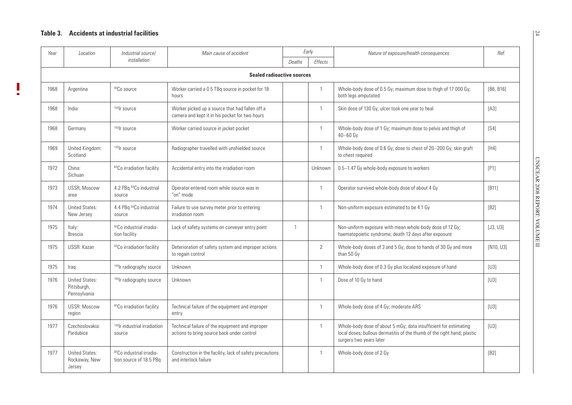$\overline{\phantom{a}}$ 

<span id="page-31-0"></span>

| Year | Location                                             | Industrial source/                                              | Main cause of accident                                                                            |                | Early          | Nature of exposure/health consequences                                                                                                                                 | Ref.           |
|------|------------------------------------------------------|-----------------------------------------------------------------|---------------------------------------------------------------------------------------------------|----------------|----------------|------------------------------------------------------------------------------------------------------------------------------------------------------------------------|----------------|
|      |                                                      | installation                                                    |                                                                                                   | Deaths         | Effects        |                                                                                                                                                                        |                |
|      |                                                      |                                                                 | <b>Sealed radioactive sources</b>                                                                 |                |                |                                                                                                                                                                        |                |
| 1968 | Argentina                                            | $^{60}\mathrm{Co}$ source                                       | Worker carried a 0.5 TBq source in pocket for 18<br>hours                                         |                | $\overline{1}$ | Whole-body dose of 0.5 Gy; maximum dose to thigh of 17 000 Gy;<br>both legs amputated                                                                                  | [B6, B16]      |
| 1968 | India                                                | <sup>192</sup> Ir source                                        | Worker picked up a source that had fallen off a<br>camera and kept it in his pocket for two hours |                | $\overline{1}$ | Skin dose of 130 Gy; ulcer took one year to heal                                                                                                                       | [A3]           |
| 1968 | Germany                                              | <sup>192</sup> Ir source                                        | Worker carried source in jacket pocket                                                            |                | $\mathbf{1}$   | Whole-body dose of 1 Gy; maximum dose to pelvis and thigh of<br>$40 - 60$ Gy                                                                                           | [S4]           |
| 1969 | United Kingdom:<br>Scotland                          | <sup>192</sup> Ir source                                        | Radiographer travelled with unshielded source                                                     |                | $\overline{1}$ | Whole-body dose of 0.6 Gy; dose to chest of 20-200 Gy; skin graft<br>to chest required                                                                                 | [HA]           |
| 1972 | China:<br>Sichuan                                    | <sup>60</sup> Co irradiation facility                           | Accidental entry into the irradiation room                                                        |                | Unknown        | 0.5-1.47 Gy whole-body exposure to workers                                                                                                                             | [P1]           |
| 1973 | USSR, Moscow<br>area                                 | 4.2 PBq <sup>60</sup> Co industrial<br>source                   | Operator entered room while source was in<br>"on" mode                                            |                | $\mathbf{1}$   | Operator survived whole-body dose of about 4 Gy                                                                                                                        | [ <b>B</b> 11] |
| 1974 | <b>United States:</b><br>New Jersey                  | 4.4 PBq <sup>60</sup> Co industrial<br>source                   | Failure to use survey meter prior to entering<br>irradiation room                                 |                | $\overline{1}$ | Non-uniform exposure estimated to be 4.1 Gy                                                                                                                            | [B2]           |
| 1975 | Italy:<br>Brescia                                    | <sup>60</sup> Co industrial irradia-<br>tion facility           | Lack of safety systems on conveyer entry point                                                    | $\overline{1}$ |                | Non-uniform exposure with mean whole-body dose of 12 Gy;<br>haematopoietic syndrome; death 12 days after exposure                                                      | [J3, U3]       |
| 1975 | USSR: Kazan                                          | <sup>60</sup> Co irradiation facility                           | Deterioration of safety system and improper actions<br>to regain control                          |                | 2              | Whole-body doses of 3 and 5 Gy; dose to hands of 30 Gy and more<br>than 50 Gy                                                                                          | [N10, U3]      |
| 1975 | Iraq                                                 | <sup>192</sup> lr radiography source                            | Unknown                                                                                           |                | $\overline{1}$ | Whole-body dose of 0.3 Gy plus localized exposure of hand                                                                                                              | [U3]           |
| 1976 | <b>United States:</b><br>Pittsburgh,<br>Pennsylvania | <sup>192</sup> lr radiography source                            | Unknown                                                                                           |                | $\mathbf{1}$   | Dose of 10 Gy to hand                                                                                                                                                  | [U3]           |
| 1976 | <b>USSR: Moscow</b><br>region                        | <sup>60</sup> Co irradiation facility                           | Technical failure of the equipment and improper<br>entry                                          |                | $\mathbf{1}$   | Whole-body dose of 4 Gy; moderate ARS                                                                                                                                  | [U3]           |
| 1977 | Czechoslovakia:<br>Pardubice                         | <sup>192</sup> lr industrial irradiation<br>source              | Technical failure of the equipment and improper<br>actions to bring source back under control     |                | $\overline{1}$ | Whole-body dose of about 5 mGy; data insufficient for estimating<br>local doses; bullous dermatitis of the thumb of the right hand; plastic<br>surgery two years later | [U3]           |
| 1977 | <b>United States:</b><br>Rockaway, New<br>Jersey     | <sup>60</sup> Co industrial irradia-<br>tion source of 18.5 PBq | Construction in the facility, lack of safety precautions<br>and interlock failure                 |                | $\overline{1}$ | Whole-body dose of 2 Gy                                                                                                                                                | [B2]           |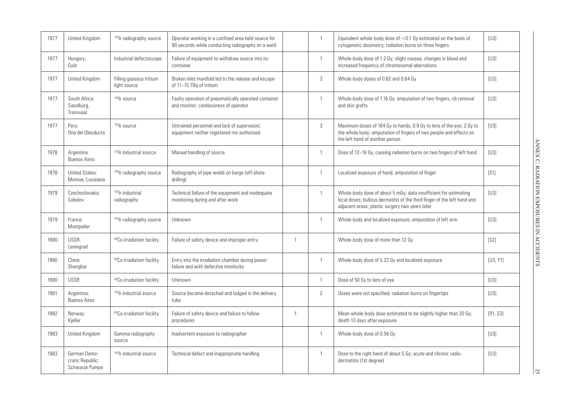| 1977 | United Kingdom                                     | <sup>192</sup> lr radiography source        | Operator working in a confined area held source for<br>90 seconds while conducting radiography on a weld |                |                | Equivalent whole-body dose of $<$ 0.1 Gy estimated on the basis of<br>cytogenetic dosimetry; radiation burns on three fingers                                                                   | [U3]     |
|------|----------------------------------------------------|---------------------------------------------|----------------------------------------------------------------------------------------------------------|----------------|----------------|-------------------------------------------------------------------------------------------------------------------------------------------------------------------------------------------------|----------|
| 1977 | Hungary:<br>Györ                                   | Industrial defectoscope                     | Failure of equipment to withdraw source into its<br>container                                            |                | 1              | Whole-body dose of 1.2 Gy; slight nausea, changes in blood and<br>increased frequency of chromosomal aberrations                                                                                | $[U3]$   |
| 1977 | United Kingdom                                     | Filling gaseous tritium<br>light source     | Broken inlet manifold led to the release and escape<br>of 11-15 TBq of tritium                           |                | $\overline{2}$ | Whole-body doses of 0.62 and 0.64 Gy                                                                                                                                                            | $[U3]$   |
| 1977 | South Africa:<br>Sasolburg,<br>Transvaal           | <sup>192</sup> Ir source                    | Faulty operation of pneumatically operated container<br>and monitor; carelessness of operator            |                | $\mathbf{1}$   | Whole-body dose of 1.16 Gy; amputation of two fingers, rib removal<br>and skin grafts                                                                                                           | [U3]     |
| 1977 | Peru:<br>Ona del Oleoducto                         | <sup>192</sup> Ir source                    | Untrained personnel and lack of supervision;<br>equipment neither registered nor authorized              |                | 3              | Maximum doses of 164 Gy to hands; 0.9 Gy to lens of the eye; 2 Gy to<br>the whole body; amputation of fingers of two people and effects on<br>the left hand of another person                   | $[U3]$   |
| 1978 | Argentina:<br><b>Buenos Aires</b>                  | <sup>192</sup> lr industrial source         | Manual handling of source                                                                                |                | 1              | Dose of 12-16 Gy, causing radiation burns on two fingers of left hand                                                                                                                           | [U3]     |
| 1978 | <b>United States:</b><br>Monroe, Louisiana         | <sup>192</sup> lr radiography source        | Radiography of pipe welds on barge (off-shore<br>drilling)                                               |                |                | Localized exposure of hand; amputation of finger                                                                                                                                                | [S1]     |
| 1979 | Czechoslovakia:<br>Sokolov                         | <sup>192</sup> lr industrial<br>radiography | Technical failure of the equipment and inadequate<br>monitoring during and after work                    |                |                | Whole-body dose of about 5 mGy; data insufficient for estimating<br>local doses; bullous dermatitis of the third finger of the left hand and<br>adjacent areas; plastic surgery two years later | [U3]     |
| 1979 | France:<br>Montpelier                              | <sup>192</sup> lr radiography source        | Unknown                                                                                                  |                | 1              | Whole-body and localized exposure; amputation of left arm                                                                                                                                       | [U3]     |
| 1980 | USSR:<br>Leningrad                                 | <sup>60</sup> Co irradiation facility       | Failure of safety device and improper entry                                                              | $\overline{1}$ |                | Whole-body dose of more than 12 Gy                                                                                                                                                              | [S2]     |
| 1980 | China:<br>Shanghai                                 | <sup>60</sup> Co irradiation facility       | Entry into the irradiation chamber during power<br>failure and with defective interlocks                 |                | 1              | Whole-body dose of 5.22 Gy and localized exposure                                                                                                                                               | [U3, Y1] |
| 1980 | <b>USSR</b>                                        | <sup>60</sup> Co irradiation facility       | Unknown                                                                                                  |                | 1              | Dose of 50 Gy to lens of eye                                                                                                                                                                    | [U3]     |
| 1981 | Argentina:<br><b>Buenos Aires</b>                  | <sup>192</sup> lr industrial source         | Source became detached and lodged in the delivery<br>tube                                                |                | $\overline{2}$ | Doses were not specified; radiation burns on fingertips                                                                                                                                         | $[U3]$   |
| 1982 | Norway:<br>Kjeller                                 | <sup>60</sup> Co irradiation facility       | Failure of safety device and failure to follow<br>procedures                                             | $\overline{1}$ |                | Mean whole-body dose estimated to be slightly higher than 20 Gy;<br>death 13 days after exposure                                                                                                | [R1, S3] |
| 1983 | United Kingdom                                     | Gamma radiography<br>source                 | Inadvertent exposure to radiographer                                                                     |                | 1              | Whole-body dose of 0.56 Gy                                                                                                                                                                      | [U3]     |
| 1983 | German Demo-<br>cratic Republic:<br>Schwarze Pumpe | <sup>192</sup> lr industrial source         | Technical defect and inappropriate handling                                                              |                | 1              | Dose to the right hand of about 5 Gy; acute and chronic radio-<br>dermatitis (1st degree)                                                                                                       | [U3]     |

 $\frac{25}{25}$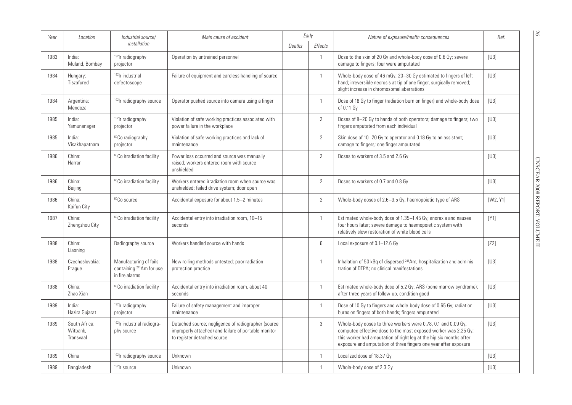| Year | Location                               | Industrial source/                                                               | Main cause of accident                                                                                                                     |        | Early                 | Nature of exposure/health consequences                                                                                                                                                                                                                                      | Ref.     |
|------|----------------------------------------|----------------------------------------------------------------------------------|--------------------------------------------------------------------------------------------------------------------------------------------|--------|-----------------------|-----------------------------------------------------------------------------------------------------------------------------------------------------------------------------------------------------------------------------------------------------------------------------|----------|
|      |                                        | installation                                                                     |                                                                                                                                            | Deaths | <b>Effects</b>        |                                                                                                                                                                                                                                                                             |          |
| 1983 | India:<br>Muland, Bombay               | <sup>192</sup> lr radiography<br>projector                                       | Operation by untrained personnel                                                                                                           |        | $\mathbf{1}$          | Dose to the skin of 20 Gy and whole-body dose of 0.6 Gy; severe<br>damage to fingers; four were amputated                                                                                                                                                                   | [U3]     |
| 1984 | Hungary:<br>Tiszafured                 | <sup>192</sup> lr industrial<br>defectoscope                                     | Failure of equipment and careless handling of source                                                                                       |        | $\mathbf{1}$          | Whole-body dose of 46 mGy; 20-30 Gy estimated to fingers of left<br>hand; irreversible necrosis at tip of one finger, surgically removed;<br>slight increase in chromosomal aberrations                                                                                     | [U3]     |
| 1984 | Argentina:<br>Mendoza                  | <sup>192</sup> lr radiography source                                             | Operator pushed source into camera using a finger                                                                                          |        | $\mathbf{1}$          | Dose of 18 Gy to finger (radiation burn on finger) and whole-body dose<br>of 0.11 Gy                                                                                                                                                                                        | [U3]     |
| 1985 | India:<br>Yamunanager                  | <sup>192</sup> lr radiography<br>projector                                       | Violation of safe working practices associated with<br>power failure in the workplace                                                      |        | $\mathbf{2}^{\prime}$ | Doses of 8-20 Gy to hands of both operators; damage to fingers; two<br>fingers amputated from each individual                                                                                                                                                               | $[U3]$   |
| 1985 | India:<br>Visakhapatnam                | <sup>60</sup> Co radiography<br>projector                                        | Violation of safe working practices and lack of<br>maintenance                                                                             |        | $\overline{2}$        | Skin dose of 10-20 Gy to operator and 0.18 Gy to an assistant;<br>damage to fingers; one finger amputated                                                                                                                                                                   | [U3]     |
| 1986 | China:<br>Harran                       | <sup>60</sup> Co irradiation facility                                            | Power loss occurred and source was manually<br>raised; workers entered room with source<br>unshielded                                      |        | $\overline{2}$        | Doses to workers of 3.5 and 2.6 Gy                                                                                                                                                                                                                                          | [U3]     |
| 1986 | China:<br>Beijing                      | <sup>60</sup> Co irradiation facility                                            | Workers entered irradiation room when source was<br>unshielded; failed drive system; door open                                             |        | $\overline{2}$        | Doses to workers of 0.7 and 0.8 Gy                                                                                                                                                                                                                                          | [U3]     |
| 1986 | China:<br>Kaifun City                  | <sup>60</sup> Co source                                                          | Accidental exposure for about 1.5-2 minutes                                                                                                |        | $\overline{2}$        | Whole-body doses of 2.6-3.5 Gy; haemopoietic type of ARS                                                                                                                                                                                                                    | [W2, Y1] |
| 1987 | China:<br>Zhengzhou City               | <sup>60</sup> Co irradiation facility                                            | Accidental entry into irradiation room, 10-15<br>seconds                                                                                   |        | $\mathbf{1}$          | Estimated whole-body dose of 1.35-1.45 Gy; anorexia and nausea<br>four hours later; severe damage to haemopoietic system with<br>relatively slow restoration of white blood cells                                                                                           | [Y1]     |
| 1988 | China:<br>Liaoning                     | Radiography source                                                               | Workers handled source with hands                                                                                                          |        | 6                     | Local exposure of 0.1-12.6 Gy                                                                                                                                                                                                                                               | [Z2]     |
| 1988 | Czechoslovakia:<br>Prague              | Manufacturing of foils<br>containing <sup>241</sup> Am for use<br>in fire alarms | New rolling methods untested; poor radiation<br>protection practice                                                                        |        | $\mathbf{1}$          | Inhalation of 50 kBq of dispersed <sup>241</sup> Am; hospitalization and adminis-<br>tration of DTPA; no clinical manifestations                                                                                                                                            | [U3]     |
| 1988 | China:<br>Zhao Xian                    | <sup>60</sup> Co irradiation facility                                            | Accidental entry into irradiation room, about 40<br>seconds                                                                                |        | $\mathbf{1}$          | Estimated whole-body dose of 5.2 Gy; ARS (bone marrow syndrome);<br>after three years of follow-up, condition good                                                                                                                                                          | $[U3]$   |
| 1989 | India:<br>Hazira Gujarat               | <sup>192</sup> lr radiography<br>projector                                       | Failure of safety management and improper<br>maintenance                                                                                   |        | $\mathbf{1}$          | Dose of 10 Gy to fingers and whole-body dose of 0.65 Gy; radiation<br>burns on fingers of both hands; fingers amputated                                                                                                                                                     | [U3]     |
| 1989 | South Africa:<br>Witbank,<br>Transvaal | <sup>192</sup> lr industrial radiogra-<br>phy source                             | Detached source; negligence of radiographer (source<br>improperly attached) and failure of portable monitor<br>to register detached source |        | 3                     | Whole-body doses to three workers were 0.78, 0.1 and 0.09 Gy;<br>computed effective dose to the most exposed worker was 2.25 Gy;<br>this worker had amputation of right leg at the hip six months after<br>exposure and amputation of three fingers one year after exposure | [U3]     |
| 1989 | China                                  | <sup>192</sup> lr radiography source                                             | Unknown                                                                                                                                    |        | $\mathbf{1}$          | Localized dose of 18.37 Gy                                                                                                                                                                                                                                                  | [U3]     |
| 1989 | Bangladesh                             | $192$ r source                                                                   | Unknown                                                                                                                                    |        | $\mathbf{1}$          | Whole-body dose of 2.3 Gy                                                                                                                                                                                                                                                   | [U3]     |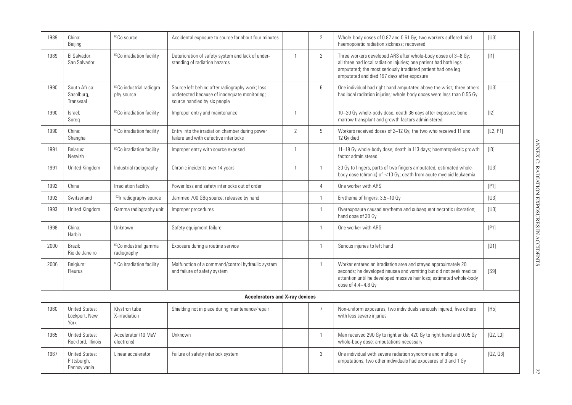| 1989 | China:<br>Beijing                                    | <sup>60</sup> Co source                             | Accidental exposure to source for about four minutes                                                                            |                | 2              | Whole-body doses of 0.87 and 0.61 Gy; two workers suffered mild<br>haemopoietic radiation sickness; recovered                                                                                                                                    | [U3]     |
|------|------------------------------------------------------|-----------------------------------------------------|---------------------------------------------------------------------------------------------------------------------------------|----------------|----------------|--------------------------------------------------------------------------------------------------------------------------------------------------------------------------------------------------------------------------------------------------|----------|
| 1989 | El Salvador:<br>San Salvador                         | <sup>60</sup> Co irradiation facility               | Deterioration of safety system and lack of under-<br>standing of radiation hazards                                              | $\overline{1}$ | 2              | Three workers developed ARS after whole-body doses of 3-8 Gy;<br>all three had local radiation injuries; one patient had both legs<br>amputated; the most seriously irradiated patient had one leg<br>amputated and died 197 days after exposure | $[11]$   |
| 1990 | South Africa:<br>Sasolburg,<br>Transvaal             | <sup>60</sup> Co industrial radiogra-<br>phy source | Source left behind after radiography work; loss<br>undetected because of inadequate monitoring;<br>source handled by six people |                | 6              | One individual had right hand amputated above the wrist; three others<br>had local radiation injuries; whole-body doses were less than 0.55 Gy                                                                                                   | [U3]     |
| 1990 | Israel:<br>Soreg                                     | <sup>60</sup> Co irradiation facility               | Improper entry and maintenance                                                                                                  | $\overline{1}$ |                | 10-20 Gy whole-body dose; death 36 days after exposure; bone<br>marrow transplant and growth factors administered                                                                                                                                | $[12]$   |
| 1990 | China:<br>Shanghai                                   | <sup>60</sup> Co irradiation facility               | Entry into the irradiation chamber during power<br>failure and with defective interlocks                                        | $\overline{2}$ | 5              | Workers received doses of 2-12 Gy; the two who received 11 and<br>12 Gy died                                                                                                                                                                     | [L2, P1] |
| 1991 | Belarus:<br>Nesvizh                                  | <sup>60</sup> Co irradiation facility               | Improper entry with source exposed                                                                                              | $\overline{1}$ |                | 11-18 Gy whole-body dose; death in 113 days; haematopoietic growth<br>factor administered                                                                                                                                                        | $[13]$   |
| 1991 | United Kingdom                                       | Industrial radiography                              | Chronic incidents over 14 years                                                                                                 | $\overline{1}$ | $\mathbf{1}$   | 30 Gy to fingers, parts of two fingers amputated; estimated whole-<br>body dose (chronic) of <10 Gy; death from acute myeloid leukaemia                                                                                                          | [U3]     |
| 1992 | China                                                | Irradiation facility                                | Power loss and safety interlocks out of order                                                                                   |                | $\overline{4}$ | One worker with ARS                                                                                                                                                                                                                              | [P1]     |
| 1992 | Switzerland                                          | <sup>192</sup> lr radiography source                | Jammed 700 GBq source; released by hand                                                                                         |                | $\overline{1}$ | Erythema of fingers: 3.5-10 Gy                                                                                                                                                                                                                   | [U3]     |
| 1993 | United Kingdom                                       | Gamma radiography unit                              | Improper procedures                                                                                                             |                | $\overline{1}$ | Overexposure caused erythema and subsequent necrotic ulceration;<br>hand dose of 30 Gy                                                                                                                                                           | [U3]     |
| 1998 | China:<br>Harbin                                     | Unknown                                             | Safety equipment failure                                                                                                        |                | $\overline{1}$ | One worker with ARS                                                                                                                                                                                                                              | [P1]     |
| 2000 | Brazil:<br>Rio de Janeiro                            | <sup>60</sup> Co industrial gamma<br>radiography    | Exposure during a routine service                                                                                               |                | $\overline{1}$ | Serious injuries to left hand                                                                                                                                                                                                                    | [D1]     |
| 2006 | Belgium:<br>Fleurus                                  | <sup>60</sup> Co irradiation facility               | Malfunction of a command/control hydraulic system<br>and failure of safety system                                               |                | $\overline{1}$ | Worker entered an irradiation area and stayed approximately 20<br>seconds; he developed nausea and vomiting but did not seek medical<br>attention until he developed massive hair loss; estimated whole-body<br>dose of 4.4-4.8 Gy               | [S9]     |
|      |                                                      |                                                     | <b>Accelerators and X-ray devices</b>                                                                                           |                |                |                                                                                                                                                                                                                                                  |          |
| 1960 | <b>United States:</b><br>Lockport, New<br>York       | Klystron tube<br>X-irradiation                      | Shielding not in place during maintenance/repair                                                                                |                | $\overline{7}$ | Non-uniform exposures; two individuals seriously injured, five others<br>with less severe injuries                                                                                                                                               | [H5]     |
| 1965 | <b>United States:</b><br>Rockford, Illinois          | Accelerator (10 MeV<br>electrons)                   | Unknown                                                                                                                         |                | $\mathbf{1}$   | Man received 290 Gy to right ankle, 420 Gy to right hand and 0.05 Gy<br>whole-body dose; amputations necessary                                                                                                                                   | [G2, L3] |
| 1967 | <b>United States:</b><br>Pittsburgh,<br>Pennsylvania | Linear accelerator                                  | Failure of safety interlock system                                                                                              |                | 3              | One individual with severe radiation syndrome and multiple<br>amputations; two other individuals had exposures of 3 and 1 Gy                                                                                                                     | [G2, G3] |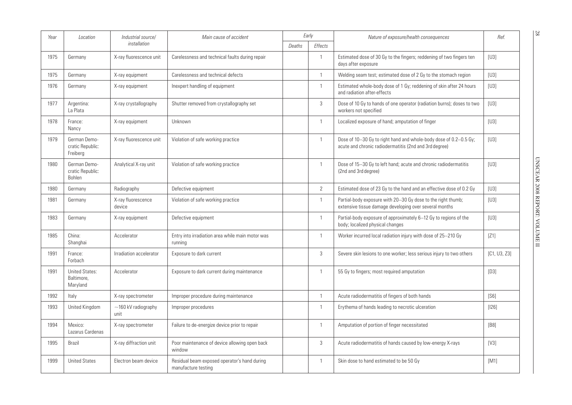| Year | Location                                        | Industrial source/                | Main cause of accident                                              |        | Early                 | Nature of exposure/health consequences                                                                                      | Ref.         |
|------|-------------------------------------------------|-----------------------------------|---------------------------------------------------------------------|--------|-----------------------|-----------------------------------------------------------------------------------------------------------------------------|--------------|
|      |                                                 | installation                      |                                                                     | Deaths | <b>Effects</b>        |                                                                                                                             |              |
| 1975 | Germany                                         | X-ray fluorescence unit           | Carelessness and technical faults during repair                     |        | $\mathbf{1}$          | Estimated dose of 30 Gy to the fingers; reddening of two fingers ten<br>days after exposure                                 | $[U3]$       |
| 1975 | Germany                                         | X-ray equipment                   | Carelessness and technical defects                                  |        | $\mathbf{1}$          | Welding seam test; estimated dose of 2 Gy to the stomach region                                                             | [U3]         |
| 1976 | Germany                                         | X-ray equipment                   | Inexpert handling of equipment                                      |        | $\mathbf{1}$          | Estimated whole-body dose of 1 Gy; reddening of skin after 24 hours<br>and radiation after-effects                          | [U3]         |
| 1977 | Argentina:<br>La Plata                          | X-ray crystallography             | Shutter removed from crystallography set                            |        | 3                     | Dose of 10 Gy to hands of one operator (radiation burns); doses to two<br>workers not specified                             | [U3]         |
| 1978 | France:<br>Nancy                                | X-ray equipment                   | Unknown                                                             |        | $\mathbf{1}$          | Localized exposure of hand; amputation of finger                                                                            | $[U3]$       |
| 1979 | German Demo-<br>cratic Republic:<br>Freiberg    | X-ray fluorescence unit           | Violation of safe working practice                                  |        | $\mathbf{1}$          | Dose of 10-30 Gy to right hand and whole-body dose of 0.2-0.5 Gy;<br>acute and chronic radiodermatitis (2nd and 3rd degree) | $[U3]$       |
| 1980 | German Demo-<br>cratic Republic:<br>Bohlen      | Analytical X-ray unit             | Violation of safe working practice                                  |        | -1                    | Dose of 15-30 Gy to left hand; acute and chronic radiodermatitis<br>(2nd and 3rd degree)                                    | [U3]         |
| 1980 | Germany                                         | Radiography                       | Defective equipment                                                 |        | $\mathbf{2}^{\prime}$ | Estimated dose of 23 Gy to the hand and an effective dose of 0.2 Gy                                                         | [U3]         |
| 1981 | Germany                                         | X-ray fluorescence<br>device      | Violation of safe working practice                                  |        | $\mathbf{1}$          | Partial-body exposure with 20-30 Gy dose to the right thumb;<br>extensive tissue damage developing over several months      | [U3]         |
| 1983 | Germany                                         | X-ray equipment                   | Defective equipment                                                 |        | $\mathbf{1}$          | Partial-body exposure of approximately 6-12 Gy to regions of the<br>body; localized physical changes                        | [U3]         |
| 1985 | China:<br>Shanghai                              | Accelerator                       | Entry into irradiation area while main motor was<br>running         |        | $\mathbf{1}$          | Worker incurred local radiation injury with dose of 25-210 Gy                                                               | [Z1]         |
| 1991 | France:<br>Forbach                              | Irradiation accelerator           | Exposure to dark current                                            |        | 3                     | Severe skin lesions to one worker; less serious injury to two others                                                        | [C1, U3, Z3] |
| 1991 | <b>United States:</b><br>Baltimore.<br>Maryland | Accelerator                       | Exposure to dark current during maintenance                         |        | $\mathbf{1}$          | 55 Gy to fingers; most required amputation                                                                                  | [D3]         |
| 1992 | Italy                                           | X-ray spectrometer                | Improper procedure during maintenance                               |        | $\mathbf{1}$          | Acute radiodermatitis of fingers of both hands                                                                              | [S6]         |
| 1993 | United Kingdom                                  | $\sim$ 160 kV radiography<br>unit | Improper procedures                                                 |        | 1                     | Erythema of hands leading to necrotic ulceration                                                                            | [126]        |
| 1994 | Mexico:<br>Lazarus Cardenas                     | X-ray spectrometer                | Failure to de-energize device prior to repair                       |        | 1                     | Amputation of portion of finger necessitated                                                                                | [BB]         |
| 1995 | <b>Brazil</b>                                   | X-ray diffraction unit            | Poor maintenance of device allowing open back<br>window             |        | 3                     | Acute radiodermatitis of hands caused by low-energy X-rays                                                                  | [V3]         |
| 1999 | <b>United States</b>                            | Electron beam device              | Residual beam exposed operator's hand during<br>manufacture testing |        | $\mathbf{1}$          | Skin dose to hand estimated to be 50 Gy                                                                                     | [M1]         |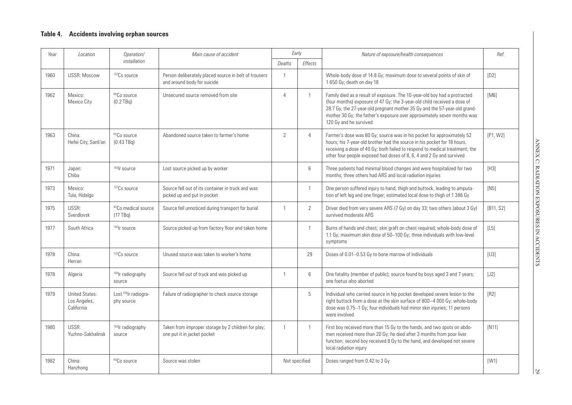### **Table 4. Accidents involving orphan sources**

| Year | Location                                            | Operation/                                     | Main cause of accident                                                               |                | Early          | Nature of exposure/health consequences                                                                                                                                                                                                                                                                                                  | Ref.      |
|------|-----------------------------------------------------|------------------------------------------------|--------------------------------------------------------------------------------------|----------------|----------------|-----------------------------------------------------------------------------------------------------------------------------------------------------------------------------------------------------------------------------------------------------------------------------------------------------------------------------------------|-----------|
|      |                                                     | installation                                   |                                                                                      | Deaths         | Effects        |                                                                                                                                                                                                                                                                                                                                         |           |
| 1960 | <b>USSR: Moscow</b>                                 | <sup>137</sup> Cs source                       | Person deliberately placed source in belt of trousers<br>and around body for suicide | $\mathbf{1}$   |                | Whole-body dose of 14.8 Gy; maximum dose to several points of skin of<br>1 650 Gy; death on day 18                                                                                                                                                                                                                                      | [D2]      |
| 1962 | Mexico:<br>Mexico City                              | $^{60}\mathrm{Co}$ source<br>$(0.2$ TBq)       | Unsecured source removed from site                                                   | $\overline{4}$ | $\overline{1}$ | Family died as a result of exposure. The 10-year-old boy had a protracted<br>(four months) exposure of 47 Gy; the 3-year-old child received a dose of<br>28.7 Gy, the 27-year-old pregnant mother 35 Gy and the 57-year-old grand-<br>mother 30 Gy; the father's exposure over approximately seven months was<br>120 Gy and he survived | [M6]      |
| 1963 | China:<br>Hefei City, Sanli'an                      | <sup>60</sup> Co source<br>$(0.43$ TBq)        | Abandoned source taken to farmer's home                                              | $\overline{2}$ | $\overline{4}$ | Farmer's dose was 80 Gy; source was in his pocket for approximately 52<br>hours; his 7-year-old brother had the source in his pocket for 18 hours,<br>receiving a dose of 40 Gy; both failed to respond to medical treatment; the<br>other four people exposed had doses of 8, 6, 4 and 2 Gy and survived                               | [P1, W2]  |
| 1971 | Japan:<br>Chiba                                     | $192$ r source                                 | Lost source picked up by worker                                                      |                | 6              | Three patients had minimal blood changes and were hospitalized for two<br>months; three others had ARS and local radiation injuries                                                                                                                                                                                                     | $[H3]$    |
| 1973 | Mexico:<br>Tula, Hidalgo                            | <sup>137</sup> Cs source                       | Source fell out of its container in truck and was<br>picked up and put in pocket     |                | $\mathbf{1}$   | One person suffered injury to hand, thigh and buttock, leading to amputa-<br>tion of left leg and one finger; estimated local dose to thigh of 1 386 Gy                                                                                                                                                                                 | [N5]      |
| 1975 | USSR:<br>Sverdlovsk                                 | <sup>60</sup> Co medical source<br>$(17)$ TBq) | Source fell unnoticed during transport for burial                                    | $\mathbf{1}$   | $\mathbf{2}$   | Driver died from very severe ARS (7 Gy) on day 33; two others (about 3 Gy)<br>survived moderate ARS                                                                                                                                                                                                                                     | [B11, S2] |
| 1977 | South Africa                                        | <sup>192</sup> Ir source                       | Source picked up from factory floor and taken home                                   |                | $\mathbf{1}$   | Burns of hands and chest; skin graft on chest required; whole-body dose of<br>1.1 Gy; maximum skin dose of 50-100 Gy; three individuals with low-level<br>symptoms                                                                                                                                                                      | $[L5]$    |
| 1978 | China:<br>Herran                                    | 137Cs source                                   | Unused source was taken to worker's home                                             |                | 29             | Doses of 0.01-0.53 Gy to bone marrow of individuals                                                                                                                                                                                                                                                                                     | [U3]      |
| 1978 | Algeria                                             | <sup>192</sup> lr radiography<br>source        | Source fell out of truck and was picked up                                           | $\overline{1}$ | 6              | One fatality (member of public); source found by boys aged 3 and 7 years;<br>one foetus also aborted                                                                                                                                                                                                                                    | [J2]      |
| 1979 | <b>United States:</b><br>Los Angeles,<br>California | Lost <sup>192</sup> lr radiogra-<br>phy source | Failure of radiographer to check source storage                                      |                | 5              | Individual who carried source in hip pocket developed severe lesion to the<br>right buttock from a dose at the skin surface of 800-4 000 Gy; whole-body<br>dose was 0.75-1 Gy; four individuals had minor skin injuries; 11 persons<br>were involved                                                                                    | [R2]      |
| 1980 | USSR:<br>Yuzhno-Sakhalinsk                          | <sup>192</sup> lr radiography<br>source        | Taken from improper storage by 2 children for play;<br>one put it in jacket pocket   | $\overline{1}$ | $\mathbf{1}$   | First boy received more than 15 Gy to the hands, and two spots on abdo-<br>men received more than 20 Gy; he died after 3 months from poor liver<br>function; second boy received 8 Gy to the hand, and developed not severe<br>local radiation injury                                                                                   | [N11]     |
| 1982 | China:<br>Hanzhong                                  | <sup>60</sup> Co source                        | Source was stolen                                                                    |                | Not specified  | Doses ranged from 0.42 to 3 Gy                                                                                                                                                                                                                                                                                                          | [W1]      |

29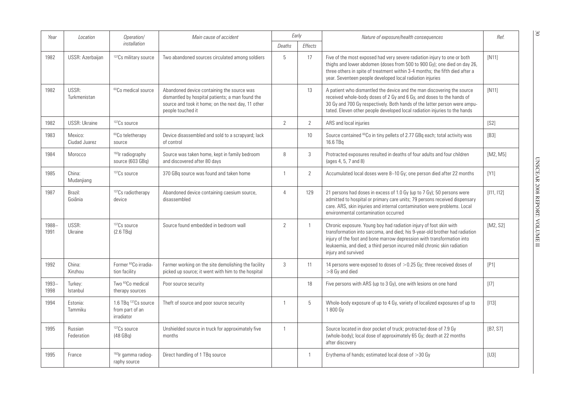| Year          | Location                 | Operation/                                            | Main cause of accident                                                                                                                                                    | Early          |                | Nature of exposure/health consequences                                                                                                                                                                                                                                                                                         | Ref.       |
|---------------|--------------------------|-------------------------------------------------------|---------------------------------------------------------------------------------------------------------------------------------------------------------------------------|----------------|----------------|--------------------------------------------------------------------------------------------------------------------------------------------------------------------------------------------------------------------------------------------------------------------------------------------------------------------------------|------------|
|               |                          | installation                                          |                                                                                                                                                                           | Deaths         | <b>Effects</b> |                                                                                                                                                                                                                                                                                                                                |            |
| 1982          | USSR: Azerbaijan         | <sup>137</sup> Cs military source                     | Two abandoned sources circulated among soldiers                                                                                                                           | 5              | 17             | Five of the most exposed had very severe radiation injury to one or both<br>thighs and lower abdomen (doses from 500 to 900 Gy); one died on day 26,<br>three others in spite of treatment within 3-4 months; the fifth died after a<br>year. Seventeen people developed local radiation injuries                              | [N11]      |
| 1982          | USSR:<br>Turkmenistan    | <sup>60</sup> Co medical source                       | Abandoned device containing the source was<br>dismantled by hospital patients; a man found the<br>source and took it home; on the next day, 11 other<br>people touched it |                | 13             | A patient who dismantled the device and the man discovering the source<br>received whole-body doses of 2 Gy and 6 Gy, and doses to the hands of<br>30 Gy and 700 Gy respectively. Both hands of the latter person were ampu-<br>tated. Eleven other people developed local radiation injuries to the hands                     | $[N11]$    |
| 1982          | <b>USSR: Ukraine</b>     | 137Cs source                                          |                                                                                                                                                                           | $\mathbf{2}$   | $\mathbf{2}$   | ARS and local injuries                                                                                                                                                                                                                                                                                                         | [S2]       |
| 1983          | Mexico:<br>Ciudad Juarez | <sup>60</sup> Co teletherapy<br>source                | Device disassembled and sold to a scrapyard; lack<br>of control                                                                                                           |                | 10             | Source contained <sup>60</sup> Co in tiny pellets of 2.77 GBq each; total activity was<br>16.6 TBq                                                                                                                                                                                                                             | [B3]       |
| 1984          | Morocco                  | <sup>192</sup> lr radiography<br>source (603 GBq)     | Source was taken home, kept in family bedroom<br>and discovered after 80 days                                                                                             | 8              | $\mathfrak{Z}$ | Protracted exposures resulted in deaths of four adults and four children<br>(ages 4, 5, 7 and 8)                                                                                                                                                                                                                               | [M2, M5]   |
| 1985          | China:<br>Mudanjiang     | <sup>137</sup> Cs source                              | 370 GBq source was found and taken home                                                                                                                                   | $\mathbf{1}$   | 2              | Accumulated local doses were 8-10 Gy; one person died after 22 months                                                                                                                                                                                                                                                          | [Y1]       |
| 1987          | Brazil:<br>Goiânia       | 137Cs radiotherapy<br>device                          | Abandoned device containing caesium source,<br>disassembled                                                                                                               | 4              | 129            | 21 persons had doses in excess of 1.0 Gy (up to 7 Gy); 50 persons were<br>admitted to hospital or primary care units; 79 persons received dispensary<br>care. ARS, skin injuries and internal contamination were problems. Local<br>environmental contamination occurred                                                       | [111, 112] |
| 1988-<br>1991 | USSR:<br>Ukraine         | <sup>137</sup> Cs source<br>$(2.6 \text{ TBq})$       | Source found embedded in bedroom wall                                                                                                                                     | $\overline{c}$ | $\mathbf{1}$   | Chronic exposure. Young boy had radiation injury of foot skin with<br>transformation into sarcoma, and died; his 9-year-old brother had radiation<br>injury of the foot and bone marrow depression with transformation into<br>leukaemia, and died; a third person incurred mild chronic skin radiation<br>injury and survived | [M2, S2]   |
| 1992          | China:<br>Xinzhou        | Former <sup>60</sup> Co irradia-<br>tion facility     | Farmer working on the site demolishing the facility<br>picked up source; it went with him to the hospital                                                                 | 3              | 11             | 14 persons were exposed to doses of $>$ 0.25 Gy; three received doses of<br>$>8$ Gy and died                                                                                                                                                                                                                                   | [P1]       |
| 1993-<br>1998 | Turkey:<br>Istanbul      | Two <sup>60</sup> Co medical<br>therapy sources       | Poor source security                                                                                                                                                      |                | 18             | Five persons with ARS (up to 3 Gy), one with lesions on one hand                                                                                                                                                                                                                                                               | $[17]$     |
| 1994          | Estonia:<br>Tammiku      | 1.6 TBq 137Cs source<br>from part of an<br>irradiator | Theft of source and poor source security                                                                                                                                  | 1              | 5              | Whole-body exposure of up to 4 Gy, variety of localized exposures of up to<br>1800 Gy                                                                                                                                                                                                                                          | $[113]$    |
| 1995          | Russian<br>Federation    | <sup>137</sup> Cs source<br>$(48$ GBq)                | Unshielded source in truck for approximately five<br>months                                                                                                               | $\mathbf{1}$   |                | Source located in door pocket of truck; protracted dose of 7.9 Gy<br>(whole-body); local dose of approximately 65 Gy; death at 22 months<br>after discovery                                                                                                                                                                    | [B7, S7]   |
| 1995          | France                   | <sup>192</sup> lr gamma radiog-<br>raphy source       | Direct handling of 1 TBq source                                                                                                                                           |                | $\mathbf{1}$   | Erythema of hands; estimated local dose of $>$ 30 Gy                                                                                                                                                                                                                                                                           | [U3]       |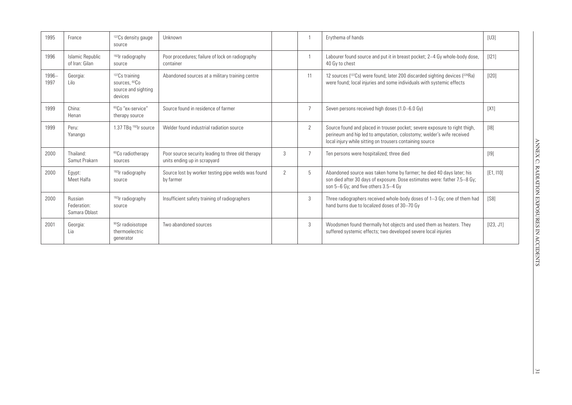| 1995             | France                                  | <sup>137</sup> Cs density gauge<br>source                                       | Unknown                                                                           |               |                | Erythema of hands                                                                                                                                                                                               | [U3]       |
|------------------|-----------------------------------------|---------------------------------------------------------------------------------|-----------------------------------------------------------------------------------|---------------|----------------|-----------------------------------------------------------------------------------------------------------------------------------------------------------------------------------------------------------------|------------|
| 1996             | Islamic Republic<br>of Iran: Gilan      | <sup>192</sup> lr radiography<br>source                                         | Poor procedures; failure of lock on radiography<br>container                      |               |                | Labourer found source and put it in breast pocket; 2-4 Gy whole-body dose,<br>40 Gy to chest                                                                                                                    | [121]      |
| $1996 -$<br>1997 | Georgia:<br>l ilo                       | $137Cs$ training<br>sources, <sup>60</sup> Co<br>source and sighting<br>devices | Abandoned sources at a military training centre                                   |               | 11             | 12 sources (137Cs) were found; later 200 discarded sighting devices (226Ra)<br>were found; local injuries and some individuals with systemic effects                                                            | $[120]$    |
| 1999             | China:<br>Henan                         | <sup>60</sup> Co "ex-service"<br>therapy source                                 | Source found in residence of farmer                                               |               | $\overline{7}$ | Seven persons received high doses (1.0–6.0 Gy)                                                                                                                                                                  | [X1]       |
| 1999             | Peru:<br>Yanango                        | 1.37 TBq <sup>192</sup> lr source                                               | Welder found industrial radiation source                                          |               | $\overline{2}$ | Source found and placed in trouser pocket; severe exposure to right thigh,<br>perineum and hip led to amputation, colostomy; welder's wife received<br>local injury while sitting on trousers containing source | [18]       |
| 2000             | Thailand:<br>Samut Prakarn              | <sup>60</sup> Co radiotherapy<br>sources                                        | Poor source security leading to three old therapy<br>units ending up in scrapyard | 3             | $\overline{7}$ | Ten persons were hospitalized; three died                                                                                                                                                                       | $[19]$     |
| 2000             | Eqypt:<br>Meet Halfa                    | <sup>192</sup> lr radiography<br>source                                         | Source lost by worker testing pipe welds was found<br>by farmer                   | $\mathcal{P}$ | 5              | Abandoned source was taken home by farmer; he died 40 days later; his<br>son died after 30 days of exposure. Dose estimates were: father 7.5-8 Gy;<br>son $5-6$ Gy; and five others $3.5-4$ Gy                  | [E1, 110]  |
| 2000             | Russian<br>Federation:<br>Samara Oblast | <sup>192</sup> lr radiography<br>source                                         | Insufficient safety training of radiographers                                     |               | 3              | Three radiographers received whole-body doses of 1-3 Gy; one of them had<br>hand burns due to localized doses of 30-70 Gy                                                                                       | $[$ S $8]$ |
| 2001             | Georgia:<br>Lia                         | <sup>90</sup> Sr radioisotope<br>thermoelectric<br>qenerator                    | Two abandoned sources                                                             |               | 3              | Woodsmen found thermally hot objects and used them as heaters. They<br>suffered systemic effects; two developed severe local injuries                                                                           | [123, J1]  |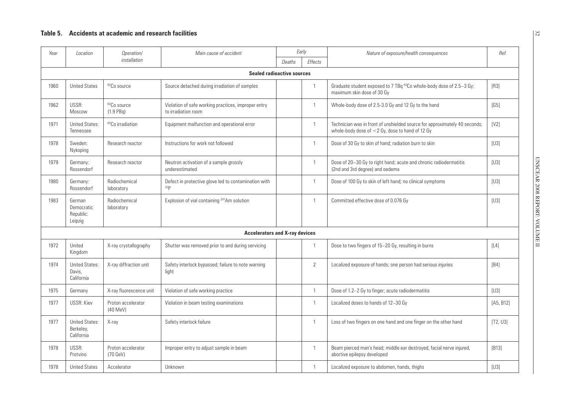| Year | Location                                         | Operation/                               | Main cause of accident                                                     | Early        |                | Nature of exposure/health consequences                                                                                           | Ref.      |
|------|--------------------------------------------------|------------------------------------------|----------------------------------------------------------------------------|--------------|----------------|----------------------------------------------------------------------------------------------------------------------------------|-----------|
|      |                                                  | installation                             |                                                                            | Deaths       | Effects        |                                                                                                                                  |           |
|      |                                                  |                                          | <b>Sealed radioactive sources</b>                                          |              |                |                                                                                                                                  |           |
| 1960 | <b>United States</b>                             | <sup>60</sup> Co source                  | Source detached during irradiation of samples                              |              | $\mathbf{1}$   | Graduate student exposed to 7 TBq <sup>60</sup> Co whole-body dose of 2.5-3 Gy;<br>maximum skin dose of 30 Gy                    | $[R3]$    |
| 1962 | USSR:<br>Moscow                                  | <sup>60</sup> Co source<br>$(1.9$ PBq)   | Violation of safe working practices, improper entry<br>to irradiation room |              | $\mathbf{1}$   | Whole-body dose of 2.5-3.0 Gy and 12 Gy to the hand                                                                              | [G5]      |
| 1971 | <b>United States:</b><br>Tennessee               | <sup>60</sup> Co irradiation             | Equipment malfunction and operational error                                |              | $\mathbf{1}$   | Technician was in front of unshielded source for approximately 40 seconds;<br>whole-body dose of $<$ 2 Gy, dose to hand of 12 Gy | [V2]      |
| 1978 | Sweden:<br>Nykoping                              | Research reactor                         | Instructions for work not followed                                         |              | $\mathbf{1}$   | Dose of 30 Gy to skin of hand; radiation burn to skin                                                                            | [U3]      |
| 1979 | Germany:<br>Rossendorf                           | Research reactor                         | Neutron activation of a sample grossly<br>underestimated                   |              | $\mathbf{1}$   | Dose of 20-30 Gy to right hand; acute and chronic radiodermatitis<br>(2nd and 3rd degree) and oedema                             | [U3]      |
| 1980 | Germany:<br>Rossendorf                           | Radiochemical<br>laboratory              | Defect in protective glove led to contamination with<br>32P                |              | $\mathbf{1}$   | Dose of 100 Gy to skin of left hand; no clinical symptoms                                                                        | [U3]      |
| 1983 | German<br>Democratic<br>Republic:<br>Leipzig     | Radiochemical<br>laboratory              | Explosion of vial containing <sup>241</sup> Am solution                    | $\mathbf{1}$ |                | Committed effective dose of 0.076 Gy                                                                                             | [U3]      |
|      |                                                  |                                          | <b>Accelerators and X-ray devices</b>                                      |              |                |                                                                                                                                  |           |
| 1972 | United<br>Kingdom                                | X-ray crystallography                    | Shutter was removed prior to and during servicing                          |              | $\mathbf{1}$   | Dose to two fingers of 15-20 Gy, resulting in burns                                                                              | $[14]$    |
| 1974 | <b>United States:</b><br>Davis,<br>California    | X-ray diffraction unit                   | Safety interlock bypassed; failure to note warning<br>light                |              | 2              | Localized exposure of hands; one person had serious injuries                                                                     | [B4]      |
| 1975 | Germany                                          | X-ray fluorescence unit                  | Violation of safe working practice                                         |              | $\mathbf{1}$   | Dose of 1.2-2 Gy to finger; acute radiodermatitis                                                                                | [U3]      |
| 1977 | <b>USSR: Kiev</b>                                | Proton accelerator<br>$(40 \text{ MeV})$ | Violation in beam testing examinations                                     |              | $\mathbf{1}$   | Localized doses to hands of 12-30 Gy                                                                                             | [A5, B12] |
| 1977 | <b>United States:</b><br>Berkeley,<br>California | X-ray                                    | Safety interlock failure                                                   |              | $\mathbf{1}$   | Loss of two fingers on one hand and one finger on the other hand                                                                 | [T2, U3]  |
| 1978 | USSR:<br>Protvino                                | Proton accelerator<br>(70 GeV)           | Improper entry to adjust sample in beam                                    |              | $\overline{1}$ | Beam pierced man's head; middle ear destroyed, facial nerve injured,<br>abortive epilepsy developed                              | [B13]     |
| 1978 | <b>United States</b>                             | Accelerator                              | Unknown                                                                    |              | $\mathbf{1}$   | Localized exposure to abdomen, hands, thighs                                                                                     | [U3]      |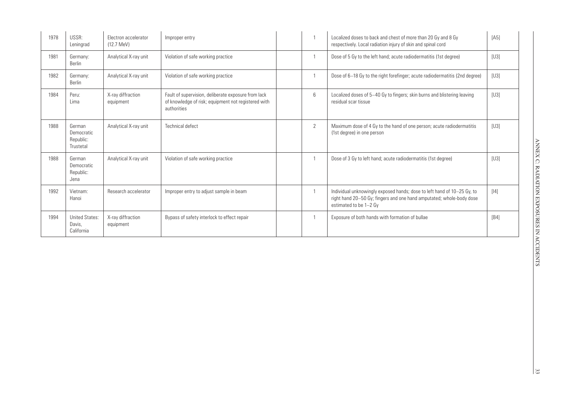| 1978 | USSR:<br>Leningrad                             | Flectron accelerator<br>$(12.7 \text{ MeV})$ | Improper entry                                                                                                            |  |   | Localized doses to back and chest of more than 20 Gy and 8 Gy<br>respectively. Local radiation injury of skin and spinal cord                                             | [A5]              |
|------|------------------------------------------------|----------------------------------------------|---------------------------------------------------------------------------------------------------------------------------|--|---|---------------------------------------------------------------------------------------------------------------------------------------------------------------------------|-------------------|
| 1981 | Germany:<br><b>Berlin</b>                      | Analytical X-ray unit                        | Violation of safe working practice                                                                                        |  |   | Dose of 5 Gy to the left hand; acute radiodermatitis (1st degree)                                                                                                         | [U3]              |
| 1982 | Germany:<br><b>Berlin</b>                      | Analytical X-ray unit                        | Violation of safe working practice                                                                                        |  |   | Dose of 6–18 Gy to the right forefinger; acute radiodermatitis (2nd degree)                                                                                               | [U3]              |
| 1984 | Peru:<br>Lima                                  | X-ray diffraction<br>equipment               | Fault of supervision, deliberate exposure from lack<br>of knowledge of risk; equipment not registered with<br>authorities |  |   | Localized doses of 5-40 Gy to fingers; skin burns and blistering leaving<br>residual scar tissue                                                                          | [U3]              |
| 1988 | German<br>Democratic<br>Republic:<br>Trustetal | Analytical X-ray unit                        | Technical defect                                                                                                          |  | 2 | Maximum dose of 4 Gy to the hand of one person; acute radiodermatitis<br>(1st degree) in one person                                                                       | [U3]              |
| 1988 | German<br>Democratic<br>Republic:<br>Jena      | Analytical X-ray unit                        | Violation of safe working practice                                                                                        |  |   | Dose of 3 Gy to left hand; acute radiodermatitis (1st degree)                                                                                                             | [U3]              |
| 1992 | Vietnam:<br>Hanoi                              | Research accelerator                         | Improper entry to adjust sample in beam                                                                                   |  |   | Individual unknowingly exposed hands; dose to left hand of 10-25 Gy, to<br>right hand 20-50 Gy; fingers and one hand amputated; whole-body dose<br>estimated to be 1-2 Gy | [14]              |
| 1994 | <b>United States:</b><br>Davis.<br>California  | X-ray diffraction<br>equipment               | Bypass of safety interlock to effect repair                                                                               |  |   | Exposure of both hands with formation of bullae                                                                                                                           | [ <sub>B4</sub> ] |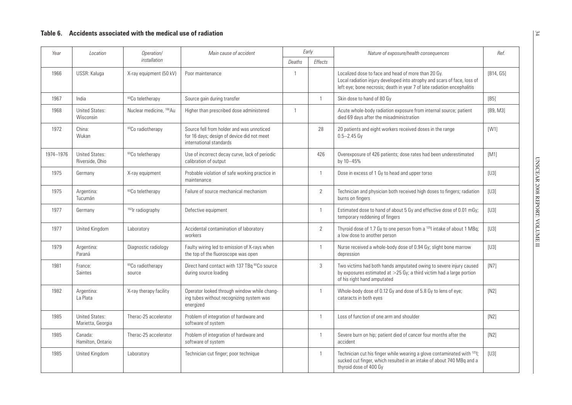| Year      | Location                                   | Operation/                              | Main cause of accident                                                                                             |                | Early                                                                                                                                                                                                      | Nature of exposure/health consequences                                                                                                                                      | Ref.                      |
|-----------|--------------------------------------------|-----------------------------------------|--------------------------------------------------------------------------------------------------------------------|----------------|------------------------------------------------------------------------------------------------------------------------------------------------------------------------------------------------------------|-----------------------------------------------------------------------------------------------------------------------------------------------------------------------------|---------------------------|
|           |                                            | installation                            |                                                                                                                    | Deaths         | <b>Effects</b>                                                                                                                                                                                             |                                                                                                                                                                             |                           |
| 1966      | USSR: Kaluga                               | X-ray equipment (50 kV)                 | Poor maintenance                                                                                                   | $\overline{1}$ | Localized dose to face and head of more than 20 Gy.<br>Local radiation injury developed into atrophy and scars of face, loss of<br>left eye; bone necrosis; death in year 7 of late radiation encephalitis |                                                                                                                                                                             | [B14, G5]                 |
| 1967      | India                                      | <sup>60</sup> Co teletherapy            | Source gain during transfer                                                                                        |                | $\mathbf{1}$                                                                                                                                                                                               | Skin dose to hand of 80 Gy                                                                                                                                                  | [B5]                      |
| 1968      | <b>United States:</b><br>Wisconsin         | Nuclear medicine, <sup>198</sup> Au     | Higher than prescribed dose administered                                                                           | $\overline{1}$ |                                                                                                                                                                                                            | Acute whole-body radiation exposure from internal source; patient<br>died 69 days after the misadministration                                                               | [ <b>B9</b> , <b>M3</b> ] |
| 1972      | China:<br>Wukan                            | <sup>60</sup> Co radiotherapy           | Source fell from holder and was unnoticed<br>for 16 days; design of device did not meet<br>international standards | 28             |                                                                                                                                                                                                            | 20 patients and eight workers received doses in the range<br>$0.5 - 2.45$ Gy                                                                                                | [W1]                      |
| 1974-1976 | <b>United States:</b><br>Riverside, Ohio   | <sup>60</sup> Co teletherapy            | Use of incorrect decay curve, lack of periodic<br>calibration of output                                            | 426            |                                                                                                                                                                                                            | Overexposure of 426 patients; dose rates had been underestimated<br>by 10-45%                                                                                               | [M1]                      |
| 1975      | Germany                                    | X-ray equipment                         | Probable violation of safe working practice in<br>maintenance                                                      |                | $\mathbf{1}$                                                                                                                                                                                               | Dose in excess of 1 Gy to head and upper torso                                                                                                                              | [U3]                      |
| 1975      | Argentina:<br>Tucumán                      | <sup>60</sup> Co teletherapy            | Failure of source mechanical mechanism                                                                             | $\overline{2}$ |                                                                                                                                                                                                            | Technician and physician both received high doses to fingers; radiation<br>burns on fingers                                                                                 | [U3]                      |
| 1977      | Germany                                    | <sup>192</sup> lr radiography           | Defective equipment                                                                                                | $\mathbf{1}$   |                                                                                                                                                                                                            | Estimated dose to hand of about 5 Gy and effective dose of 0.01 mGy;<br>temporary reddening of fingers                                                                      | [U3]                      |
| 1977      | United Kingdom                             | Laboratory                              | Accidental contamination of laboratory<br>workers                                                                  |                | $\overline{2}$                                                                                                                                                                                             | Thyroid dose of 1.7 Gy to one person from a 1251 intake of about 1 MBq;<br>a low dose to another person                                                                     | [U3]                      |
| 1979      | Argentina:<br>Paraná                       | Diagnostic radiology                    | Faulty wiring led to emission of X-rays when<br>the top of the fluoroscope was open                                |                | $\mathbf{1}$                                                                                                                                                                                               | Nurse received a whole-body dose of 0.94 Gy; slight bone marrow<br>depression                                                                                               | [U3]                      |
| 1981      | France:<br>Saintes                         | <sup>60</sup> Co radiotherapy<br>source | Direct hand contact with 137 TBq <sup>60</sup> Co source<br>during source loading                                  |                | 3                                                                                                                                                                                                          | Two victims had both hands amputated owing to severe injury caused<br>by exposures estimated at $>25$ Gy; a third victim had a large portion<br>of his right hand amputated | [N7]                      |
| 1982      | Argentina:<br>La Plata                     | X-ray therapy facility                  | Operator looked through window while chang-<br>ing tubes without recognizing system was<br>energized               |                | $\mathbf{1}$<br>Whole-body dose of 0.12 Gy and dose of 5.8 Gy to lens of eye;<br>cataracts in both eyes                                                                                                    |                                                                                                                                                                             | [N2]                      |
| 1985      | <b>United States:</b><br>Marietta, Georgia | Therac-25 accelerator                   | Problem of integration of hardware and<br>software of system                                                       |                | $\mathbf{1}$                                                                                                                                                                                               | Loss of function of one arm and shoulder                                                                                                                                    | [N2]                      |
| 1985      | Canada:<br>Hamilton, Ontario               | Therac-25 accelerator                   | Problem of integration of hardware and<br>software of system                                                       |                | $\mathbf{1}$                                                                                                                                                                                               | Severe burn on hip; patient died of cancer four months after the<br>accident                                                                                                | [N2]                      |
| 1985      | United Kingdom                             | Laboratory                              | Technician cut finger; poor technique                                                                              |                | $\mathbf{1}$                                                                                                                                                                                               | Technician cut his finger while wearing a glove contaminated with 1251;<br>sucked cut finger, which resulted in an intake of about 740 MBq and a<br>thyroid dose of 400 Gy  | [U3]                      |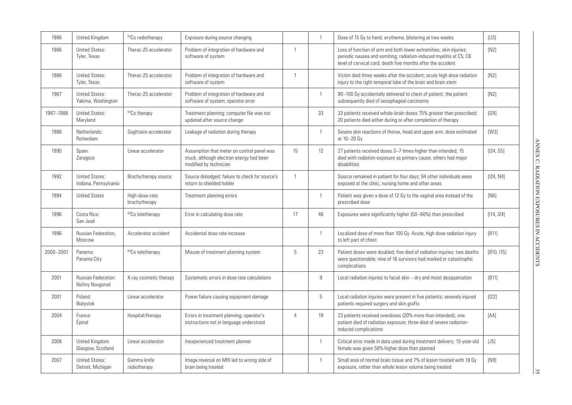| 1986      | United Kingdom                                 | <sup>60</sup> Co radiotherapy   | Exposure during source changing                                                                                  |                | $\mathbf{1}$   | Dose of 15 Gy to hand; erythema, blistering at two weeks                                                                                                                                                 | [U3]       |
|-----------|------------------------------------------------|---------------------------------|------------------------------------------------------------------------------------------------------------------|----------------|----------------|----------------------------------------------------------------------------------------------------------------------------------------------------------------------------------------------------------|------------|
| 1986      | <b>United States:</b><br>Tyler, Texas          | Therac-25 accelerator           | Problem of integration of hardware and<br>software of system                                                     | $\mathbf{1}$   |                | Loss of function of arm and both lower extremities; skin injuries;<br>periodic nausea and vomiting; radiation-induced myelitis at C5, C6<br>level of cervical cord; death five months after the accident | [N2]       |
| 1986      | <b>United States:</b><br>Tyler, Texas          | Therac-25 accelerator           | Problem of integration of hardware and<br>software of system                                                     | $\mathbf{1}$   |                | Victim died three weeks after the accident; acute high dose radiation<br>injury to the right temporal lobe of the brain and brain stem                                                                   | [N2]       |
| 1987      | <b>United States:</b><br>Yakima, Washington    | Therac-25 accelerator           | Problem of integration of hardware and<br>software of system; operator error                                     |                | $\mathbf{1}$   | 90-100 Gy accidentally delivered to chest of patient; the patient<br>subsequently died of oesophageal carcinoma                                                                                          | [N2]       |
| 1987-1988 | <b>United States:</b><br>Maryland              | <sup>60</sup> Co therapy        | Treatment planning; computer file was not<br>updated after source change                                         |                | 33             | 33 patients received whole-brain doses 75% greater than prescribed;<br>20 patients died either during or after completion of therapy                                                                     | $[124]$    |
| 1988      | Netherlands:<br>Rotterdam                      | Sagittaire accelerator          | Leakage of radiation during therapy                                                                              |                | $\mathbf{1}$   | Severe skin reactions of thorax, head and upper arm; dose estimated<br>at 10-20 Gy                                                                                                                       | [W3]       |
| 1990      | Spain:<br>Zaragoza                             | Linear accelerator              | Assumption that meter on control panel was<br>stuck, although electron energy had been<br>modified by technician | 15             | 12             | 27 patients received doses 3-7 times higher than intended; 15<br>died with radiation exposure as primary cause; others had major<br>disabilities                                                         | [124, S5]  |
| 1992      | <b>United States:</b><br>Indiana, Pennsylvania | Brachytherapy source            | Source dislodged; failure to check for source's<br>return to shielded holder                                     | $\mathbf{1}$   |                | Source remained in patient for four days; 94 other individuals were<br>exposed at the clinic, nursing home and other areas                                                                               | [124, N4]  |
| 1994      | <b>United States</b>                           | High-dose-rate<br>brachytherapy | Treatment planning errors                                                                                        |                | $\mathbf{1}$   | Patient was given a dose of 12 Gy to the vaginal area instead of the<br>prescribed dose                                                                                                                  | [N6]       |
| 1996      | Costa Rica:<br>San José                        | <sup>60</sup> Co teletherapy    | Error in calculating dose rate                                                                                   | 17             | 46             | Exposures were significantly higher (50–60%) than prescribed                                                                                                                                             | [114, 124] |
| 1996      | Russian Federation,<br>Moscow                  | Accelerator accident            | Accidental dose rate increase                                                                                    |                | $\mathbf{1}$   | Localized dose of more than 100 Gy. Acute, high dose radiation injury<br>to left part of chest                                                                                                           | [B11]      |
| 2000-2001 | Panama:<br>Panama City                         | <sup>60</sup> Co teletherapy    | Misuse of treatment planning system                                                                              | 5              | 23             | Patient doses were doubled; five died of radiation injuries; two deaths<br>were questionable; nine of 16 survivors had marked or catastrophic<br>complications                                           | [B10, 115] |
| 2001      | <b>Russian Federation:</b><br>Nizhny Novgorod  | X-ray cosmetic therapy          | Systematic errors in dose rate calculations                                                                      |                | $\overline{9}$ | Local radiation injuries to facial skin - dry and moist desquamation                                                                                                                                     | [B11]      |
| 2001      | Poland:<br>Bialystok                           | Linear accelerator              | Power failure causing equipment damage                                                                           |                | 5              | Local radiation injuries were present in five patients; severely injured<br>patients required surgery and skin grafts                                                                                    | $[122]$    |
| 2004      | France:<br>Épinal                              | Hospital/therapy                | Errors in treatment planning; operator's<br>instructions not in language understood                              | $\overline{4}$ | 19             | 23 patients received overdoses (20% more than intended); one<br>patient died of radiation exposure; three died of severe radiation-<br>induced complications                                             | [A4]       |
| 2006      | United Kingdom:<br>Glasgow, Scotland           | Linear accelerator              | Inexperienced treatment planner                                                                                  |                | $\mathbf{1}$   | Critical error made in data used during treatment delivery; 15-year-old<br>female was given 58% higher dose than planned                                                                                 | $[J5]$     |
| 2007      | <b>United States:</b><br>Detroit, Michigan     | Gamma knife<br>radiotherapy     | Image reversal on MRI led to wrong side of<br>brain being treated                                                |                | $\mathbf{1}$   | Small area of normal brain tissue and 7% of lesion treated with 18 Gy<br>exposure, rather than whole lesion volume being treated                                                                         | [N9]       |

 $\frac{35}{2}$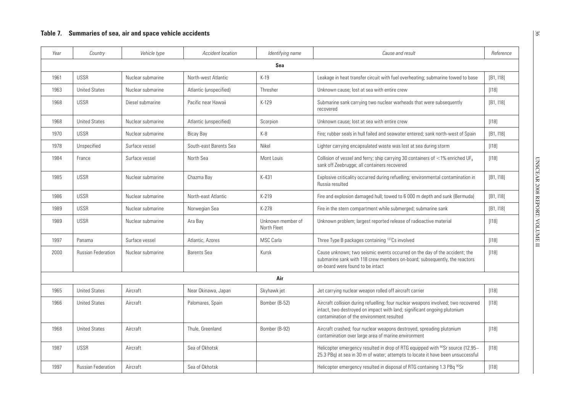| Year | Country                   | Vehicle type      | <b>Accident location</b> | Identifying name                 | Cause and result                                                                                                                                                                                            | Reference |
|------|---------------------------|-------------------|--------------------------|----------------------------------|-------------------------------------------------------------------------------------------------------------------------------------------------------------------------------------------------------------|-----------|
|      |                           |                   |                          | Sea                              |                                                                                                                                                                                                             |           |
| 1961 | <b>USSR</b>               | Nuclear submarine | North-west Atlantic      | $K-19$                           | Leakage in heat transfer circuit with fuel overheating; submarine towed to base                                                                                                                             | [B1, 118] |
| 1963 | <b>United States</b>      | Nuclear submarine | Atlantic (unspecified)   | Thresher                         | Unknown cause; lost at sea with entire crew                                                                                                                                                                 | [118]     |
| 1968 | <b>USSR</b>               | Diesel submarine  | Pacific near Hawaii      | $K-129$                          | Submarine sank carrying two nuclear warheads that were subsequently<br>recovered                                                                                                                            | [B1, 118] |
| 1968 | <b>United States</b>      | Nuclear submarine | Atlantic (unspecified)   | Scorpion                         | Unknown cause; lost at sea with entire crew                                                                                                                                                                 | [118]     |
| 1970 | <b>USSR</b>               | Nuclear submarine | Bicay Bay                | $K-8$                            | Fire; rubber seals in hull failed and seawater entered; sank north-west of Spain                                                                                                                            | [B1, 118] |
| 1978 | Unspecified               | Surface vessel    | South-east Barents Sea   | Nikel                            | Lighter carrying encapsulated waste was lost at sea during storm                                                                                                                                            | $[118]$   |
| 1984 | France                    | Surface vessel    | North Sea                | Mont Louis                       | Collision of vessel and ferry; ship carrying 30 containers of $\langle 1\%$ enriched UF <sub>6</sub><br>sank off Zeebrugge; all containers recovered                                                        | $[118]$   |
| 1985 | <b>USSR</b>               | Nuclear submarine | Chazma Bay               | K-431                            | Explosive criticality occurred during refuelling; environmental contamination in<br>Russia resulted                                                                                                         | [B1, 118] |
| 1986 | <b>USSR</b>               | Nuclear submarine | North-east Atlantic      | $K-219$                          | Fire and explosion damaged hull; towed to 6 000 m depth and sunk (Bermuda)                                                                                                                                  | [B1, 118] |
| 1989 | <b>USSR</b>               | Nuclear submarine | Norwegian Sea            | K-278                            | Fire in the stern compartment while submerged; submarine sank                                                                                                                                               | [B1, 118] |
| 1989 | <b>USSR</b>               | Nuclear submarine | Ara Bay                  | Unknown member of<br>North Fleet | Unknown problem; largest reported release of radioactive material                                                                                                                                           | $[118]$   |
| 1997 | Panama                    | Surface vessel    | Atlantic, Azores         | <b>MSC Carla</b>                 | Three Type B packages containing 137Cs involved                                                                                                                                                             | [118]     |
| 2000 | <b>Russian Federation</b> | Nuclear submarine | <b>Barents Sea</b>       | Kursk                            | Cause unknown; two seismic events occurred on the day of the accident; the<br>submarine sank with 118 crew members on-board; subsequently, the reactors<br>on-board were found to be intact                 | [118]     |
|      |                           |                   |                          | Air                              |                                                                                                                                                                                                             |           |
| 1965 | <b>United States</b>      | Aircraft          | Near Okinawa, Japan      | Skyhawk jet                      | Jet carrying nuclear weapon rolled off aircraft carrier                                                                                                                                                     | [118]     |
| 1966 | <b>United States</b>      | Aircraft          | Palomares, Spain         | Bomber (B-52)                    | Aircraft collision during refuelling; four nuclear weapons involved; two recovered<br>intact, two destroyed on impact with land; significant ongoing plutonium<br>contamination of the environment resulted | [118]     |
| 1968 | <b>United States</b>      | Aircraft          | Thule, Greenland         | Bomber (B-92)                    | Aircraft crashed; four nuclear weapons destroyed, spreading plutonium<br>contamination over large area of marine environment                                                                                | [118]     |
| 1987 | <b>USSR</b>               | Aircraft          | Sea of Okhotsk           |                                  | Helicopter emergency resulted in drop of RTG equipped with <sup>90</sup> Sr source (12.95–<br>25.3 PBq) at sea in 30 m of water; attempts to locate it have been unsuccessful                               | [118]     |
| 1997 | <b>Russian Federation</b> | Aircraft          | Sea of Okhotsk           |                                  | Helicopter emergency resulted in disposal of RTG containing 1.3 PBq 90Sr                                                                                                                                    | [118]     |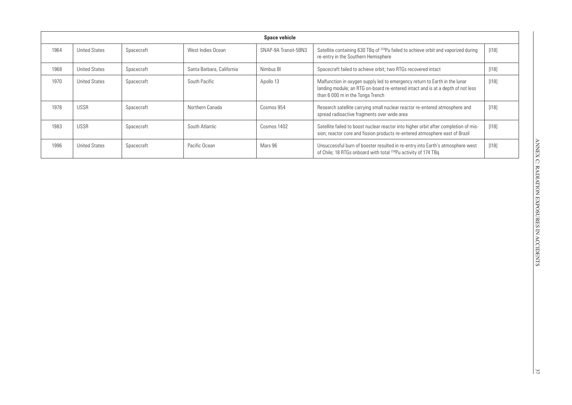|      | <b>Space vehicle</b> |            |                           |                      |                                                                                                                                                                                                   |       |  |  |  |
|------|----------------------|------------|---------------------------|----------------------|---------------------------------------------------------------------------------------------------------------------------------------------------------------------------------------------------|-------|--|--|--|
| 1964 | <b>United States</b> | Spacecraft | West Indies Ocean         | SNAP-9A Transit-5BN3 | Satellite containing 630 TBq of <sup>238</sup> Pu failed to achieve orbit and vaporized during<br>re-entry in the Southern Hemisphere                                                             | [118] |  |  |  |
| 1968 | <b>United States</b> | Spacecraft | Santa Barbara, California | Nimbus BI            | Spacecraft failed to achieve orbit; two RTGs recovered intact                                                                                                                                     | [118] |  |  |  |
| 1970 | <b>United States</b> | Spacecraft | South Pacific             | Apollo 13            | Malfunction in oxygen supply led to emergency return to Earth in the lunar<br>landing module; an RTG on-board re-entered intact and is at a depth of not less<br>than 6 000 m in the Tonga Trench | [118] |  |  |  |
| 1978 | <b>USSR</b>          | Spacecraft | Northern Canada           | Cosmos 954           | Research satellite carrying small nuclear reactor re-entered atmosphere and<br>spread radioactive fragments over wide area                                                                        | [118] |  |  |  |
| 1983 | <b>USSR</b>          | Spacecraft | South Atlantic            | Cosmos 1402          | Satellite failed to boost nuclear reactor into higher orbit after completion of mis-<br>sion; reactor core and fission products re-entered atmosphere east of Brazil                              | [118] |  |  |  |
| 1996 | <b>United States</b> | Spacecraft | Pacific Ocean             | Mars 96              | Unsuccessful burn of booster resulted in re-entry into Earth's atmosphere west<br>of Chile: 18 RTGs onboard with total 238Pu activity of 174 TBq                                                  | [118] |  |  |  |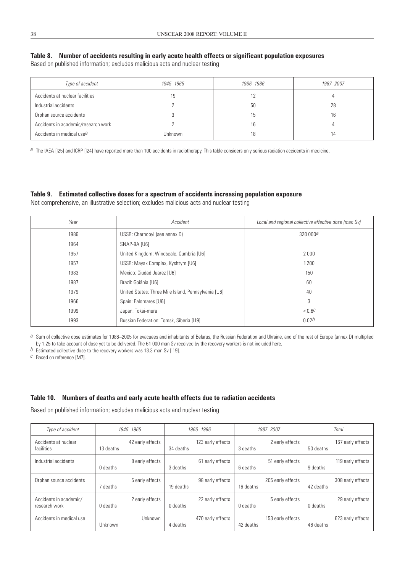### **Table 8. Number of accidents resulting in early acute health effects or significant population exposures**

Based on published information; excludes malicious acts and nuclear testing

| Type of accident                      | 1945–1965 | 1966–1986 | 1987-2007 |
|---------------------------------------|-----------|-----------|-----------|
| Accidents at nuclear facilities       | 19        |           |           |
| Industrial accidents                  |           | 50        | 28        |
| Orphan source accidents               |           | 15        | 16        |
| Accidents in academic/research work   |           | 16        |           |
| Accidents in medical use <sup>a</sup> | Unknown   | 18        | 14        |

*a* The IAEA [I25] and ICRP [I24] have reported more than 100 accidents in radiotherapy. This table considers only serious radiation accidents in medicine.

#### **Table 9. Estimated collective doses for a spectrum of accidents increasing population exposure**

Not comprehensive, an illustrative selection; excludes malicious acts and nuclear testing

| Year | Accident                                            | Local and regional collective effective dose (man Sv) |
|------|-----------------------------------------------------|-------------------------------------------------------|
| 1986 | USSR: Chernobyl (see annex D)                       | 320000a                                               |
| 1964 | SNAP-9A [U6]                                        |                                                       |
| 1957 | United Kingdom: Windscale, Cumbria [U6]             | 2000                                                  |
| 1957 | USSR: Mayak Complex, Kyshtym [U6]                   | 1200                                                  |
| 1983 | Mexico: Ciudad Juarez [U6]                          | 150                                                   |
| 1987 | Brazil: Goiânia [U6]                                | 60                                                    |
| 1979 | United States: Three Mile Island, Pennsylvania [U6] | 40                                                    |
| 1966 | Spain: Palomares [U6]                               | 3                                                     |
| 1999 | Japan: Tokai-mura                                   | ${<}0.6C$                                             |
| 1993 | Russian Federation: Tomsk, Siberia [119]            | 0.02 <sup>b</sup>                                     |

*a* Sum of collective dose estimates for 1986–2005 for evacuees and inhabitants of Belarus, the Russian Federation and Ukraine, and of the rest of Europe (annex D) multiplied by 1.25 to take account of dose yet to be delivered. The 61 000 man Sv received by the recovery workers is not included here.

*b* Estimated collective dose to the recovery workers was 13.3 man Sv [119].

*c* Based on reference [M7].

#### **Table 10. Numbers of deaths and early acute health effects due to radiation accidents**

Based on published information; excludes malicious acts and nuclear testing

| Type of accident                        | 1945-1965                     |                            | 1966-1986         |           | 1987-2007         | <b>Total</b> |                   |
|-----------------------------------------|-------------------------------|----------------------------|-------------------|-----------|-------------------|--------------|-------------------|
| Accidents at nuclear<br>facilities      | 42 early effects<br>13 deaths | 34 deaths                  | 123 early effects | 3 deaths  | 2 early effects   | 50 deaths    | 167 early effects |
| Industrial accidents                    | 8 early effects<br>0 deaths   | 3 deaths                   | 61 early effects  | 6 deaths  | 51 early effects  | 9 deaths     | 119 early effects |
| Orphan source accidents                 | 5 early effects<br>7 deaths   | 19 deaths                  | 98 early effects  | 16 deaths | 205 early effects | 42 deaths    | 308 early effects |
| Accidents in academic/<br>research work | 2 early effects<br>0 deaths   | 0 deaths                   | 22 early effects  | 0 deaths  | 5 early effects   | 0 deaths     | 29 early effects  |
| Accidents in medical use                | Unknown                       | <b>Unknown</b><br>4 deaths | 470 early effects | 42 deaths | 153 early effects | 46 deaths    | 623 early effects |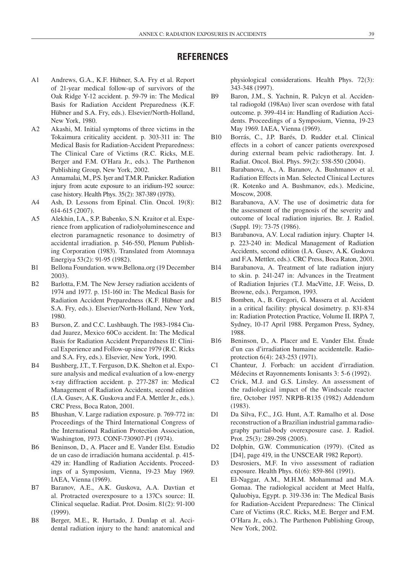### **References**

- A1 Andrews, G.A., K.F. Hübner, S.A. Fry et al. Report of 21-year medical follow-up of survivors of the Oak Ridge Y-12 accident. p. 59-79 in: The Medical Basis for Radiation Accident Preparedness (K.F. Hübner and S.A. Fry, eds.). Elsevier/North-Holland, New York, 1980.
- A2 Akashi, M. Initial symptoms of three victims in the Tokaimura criticality accident. p. 303-311 in: The Medical Basis for Radiation-Accident Preparedness: The Clinical Care of Victims (R.C. Ricks, M.E. Berger and F.M. O'Hara Jr., eds.). The Parthenon Publishing Group, New York, 2002.
- A3 Annamalai, M., P.S. Iyer and T.M.R. Panicker. Radiation injury from acute exposure to an iridium-192 source: case history. Health Phys. 35(2): 387-389 (1978).
- A4 Ash, D. Lessons from Epinal. Clin. Oncol. 19(8): 614-615 (2007).
- A5 Alekhin, I.A., S.P. Babenko, S.N. Kraitor et al. Experience from application of radiolyoluminescence and electron paramagnetic resonance to dosimetry of accidental irradiation. p. 546-550, Plenum Publishing Corporation (1983). Translated from Atomnaya Energiya 53(2): 91-95 (1982).
- B1 Bellona Foundation. www.Bellona.org (19 December 2003).
- B2 Barlotta, F.M. The New Jersey radiation accidents of 1974 and 1977. p. 151-160 in: The Medical Basis for Radiation Accident Preparedness (K.F. Hübner and S.A. Fry, eds.). Elsevier/North-Holland, New York, 1980.
- B3 Burson, Z. and C.C. Lushbaugh. The 1983-1984 Ciudad Juarez, Mexico 60Co accident. In: The Medical Basis for Radiation Accident Preparedness II: Clinical Experience and Follow-up since 1979 (R.C. Ricks and S.A. Fry, eds.). Elsevier, New York, 1990.
- B4 Bushberg, J.T., T. Ferguson, D.K. Shelton et al. Exposure analysis and medical evaluation of a low-energy x-ray diffraction accident. p. 277-287 in: Medical Management of Radiation Accidents, second edition (I.A. Gusev, A.K. Guskova and F.A. Mettler Jr., eds.). CRC Press, Boca Raton, 2001.
- B5 Bhushan, V. Large radiation exposure. p. 769-772 in: Proceedings of the Third International Congress of the International Radiation Protection Association, Washington, 1973. CONF-730907-P1 (1974).
- B6 Beninson, D., A. Placer and E. Vander Elst. Estudio de un caso de irradiación humana accidental. p. 415- 429 in: Handling of Radiation Accidents. Proceedings of a Symposium, Vienna, 19-23 May 1969. IAEA, Vienna (1969).
- B7 Baranov, A.E., A.K. Guskova, A.A. Davtian et al. Protracted overexposure to a 137Cs source: II. Clinical sequelae. Radiat. Prot. Dosim. 81(2): 91-100 (1999).
- B8 Berger, M.E., R. Hurtado, J. Dunlap et al. Accidental radiation injury to the hand: anatomical and

physiological considerations. Health Phys. 72(3): 343-348 (1997).

- B9 Baron, J.M., S. Yachnin, R. Palcyn et al. Accidental radiogold (198Au) liver scan overdose with fatal outcome. p. 399-414 in: Handling of Radiation Accidents. Proceedings of a Symposium, Vienna, 19-23 May 1969. IAEA, Vienna (1969).
- B10 Borrás, C., J.P. Barés, D. Rudder et.al. Clinical effects in a cohort of cancer patients overexposed during external beam pelvic radiotherapy. Int. J. Radiat. Oncol. Biol. Phys. 59(2): 538-550 (2004).
- B11 Barabanova, A., A. Baranov, A. Bushmanov et al. Radiation Effects in Man. Selected Clinical Lectures (R. Kotenko and A. Bushmanov, eds.). Medicine, Moscow, 2008.
- B12 Barabanova, A.V. The use of dosimetric data for the assessment of the prognosis of the severity and outcome of local radiation injuries. Br. J. Radiol. (Suppl. 19): 73-75 (1986).
- B13 Barabanova, A.V. Local radiation injury. Chapter 14. p. 223-240 in: Medical Management of Radiation Accidents, second edition (I.A. Gusev, A.K. Guskova and F.A. Mettler, eds.). CRC Press, Boca Raton, 2001.
- B14 Barabanova, A. Treatment of late radiation injury to skin. p. 241-247 in: Advances in the Treatment of Radiation Injuries (T.J. MacVitte, J.F. Weiss, D. Browne, eds.). Pergamon, 1993.
- B15 Bomben, A., B. Gregori, G. Massera et al. Accident in a critical facility: physical dosimetry. p. 831-834 in: Radiation Protection Practice, Volume II. IRPA 7, Sydney, 10-17 April 1988. Pergamon Press, Sydney, 1988.
- B16 Beninson, D., A. Placer and E. Vander Elst. Étude d'un cas d'irradiation humaine accidentelle. Radioprotection 6(4): 243-253 (1971).
- C1 Chanteur, J. Forbach: un accident d'irradiation. Médecins et Rayonnements Ionisants 3: 5-6 (1992).
- C2 Crick, M.J. and G.S. Linsley. An assessment of the radiological impact of the Windscale reactor fire, October 1957. NRPB-R135 (1982) Addendum (1983).
- D1 Da Silva, F.C., J.G. Hunt, A.T. Ramalho et al. Dose reconstruction of a Brazilian industrial gamma radiography partial-body overexposure case. J. Radiol. Prot. 25(3): 289-298 (2005).
- D2 Dolphin, G.W. Communication (1979). (Cited as [D4], page 419, in the UNSCEAR 1982 Report).
- D3 Desrosiers, M.F. In vivo assessment of radiation exposure. Health Phys. 61(6): 859-861 (1991).
- E1 El-Naggar, A.M., M.H.M. Mohammad and M.A. Gomaa. The radiological accident at Meet Halfa, Qaluobiya, Egypt. p. 319-336 in: The Medical Basis for Radiation-Accident Preparedness: The Clinical Care of Victims (R.C. Ricks, M.E. Berger and F.M. O'Hara Jr., eds.). The Parthenon Publishing Group, New York, 2002.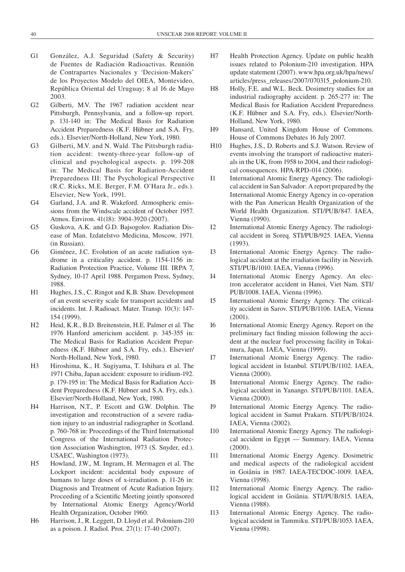- G1 González, A.J. Seguridad (Safety & Security) de Fuentes de Radiación Radioactivas. Reunión de Contrapartes Nacionales y 'Decision-Makers' de los Proyectos Modelo del OIEA, Montevideo, República Oriental del Uruguay; 8 al 16 de Mayo 2003.
- G2 Gilberti, M.V. The 1967 radiation accident near Pittsburgh, Pennsylvania, and a follow-up report. p. 131-140 in: The Medical Basis for Radiation Accident Preparedness (K.F. Hübner and S.A. Fry, eds.). Elsevier/North-Holland, New York, 1980.
- G3 Gilberti, M.V. and N. Wald. The Pittsburgh radiation accident: twenty-three-year follow-up of clinical and psychological aspects. p. 199-208 in: The Medical Basis for Radiation-Accident Preparedness III: The Psychological Perspective (R.C. Ricks, M.E. Berger, F.M. O'Hara Jr., eds.). Elsevier, New York, 1991.
- G4 Garland, J.A. and R. Wakeford. Atmospheric emissions from the Windscale accident of October 1957. Atmos. Environ. 41(18): 3904-3920 (2007).
- G5 Guskova, A.K. and G.D. Bajsogolov. Radiation Disease of Man. Izdatelstvo Medicina, Moscow, 1971. (in Russian).
- G6 Giménez, J.C. Evolution of an acute radiation syndrome in a criticality accident. p. 1154-1156 in: Radiation Protection Practice, Volume III. IRPA 7, Sydney, 10-17 April 1988. Pergamon Press, Sydney, 1988.
- H1 Hughes, J.S., C. Ringot and K.B. Shaw. Development of an event severity scale for transport accidents and incidents. Int. J. Radioact. Mater. Transp. 10(3): 147- 154 (1999).
- H2 Heid, K.R., B.D. Breitenstein, H.E. Palmer et al. The 1976 Hanford americium accident. p. 345-355 in: The Medical Basis for Radiation Accident Preparedness (K.F. Hübner and S.A. Fry, eds.). Elsevier/ North-Holland, New York, 1980.
- H3 Hiroshima, K., H. Sugiyama, T. Ishihara et al. The 1971 Chiba, Japan accident: exposure to iridium-192. p. 179-195 in: The Medical Basis for Radiation Accident Preparedness (K.F. Hübner and S.A. Fry, eds.). Elsevier/North-Holland, New York, 1980.
- H4 Harrison, N.T., P. Escott and G.W. Dolphin. The investigation and reconstruction of a severe radiation injury to an industrial radiographer in Scotland. p. 760-768 in: Proceedings of the Third International Congress of the International Radiation Protection Association Washington, 1973 (S. Snyder, ed.). USAEC, Washington (1973).
- H5 Howland, J.W., M. Ingram, H. Mermagen et al. The Lockport incident: accidental body exposure of humans to large doses of x-irradiation. p. 11-26 in: Diagnosis and Treatment of Acute Radiation Injury. Proceeding of a Scientific Meeting jointly sponsored by International Atomic Energy Agency/World Health Organization, October 1960.
- H6 Harrison, J., R. Leggett, D. Lloyd et al. Polonium-210 as a poison. J. Radiol. Prot. 27(1): 17-40 (2007).
- H7 Health Protection Agency. Update on public health issues related to Polonium-210 investigation. HPA update statement (2007). www.hpa.org.uk/hpa/news/ articles/press\_releases/2007/070315\_polonium-210.
- H8 Holly, F.E. and W.L. Beck. Dosimetry studies for an industrial radiography accident. p. 265-277 in: The Medical Basis for Radiation Accident Preparedness (K.F. Hübner and S.A. Fry, eds.). Elsevier/North-Holland, New York, 1980.
- H9 Hansard, United Kingdom House of Commons. House of Commons Debates 16 July 2007.
- H10 Hughes, J.S., D. Roberts and S.J. Watson. Review of events involving the transport of radioactive materials in the UK, from 1958 to 2004, and their radiological consequences. HPA-RPD-014 (2006).
- I1 International Atomic Energy Agency. The radiological accident in San Salvador: A report prepared by the International Atomic Energy Agency in co-operation with the Pan American Health Organization of the World Health Organization. STI/PUB/847. IAEA, Vienna (1990).
- I2 International Atomic Energy Agency. The radiological accident in Soreq. STI/PUB/925. IAEA, Vienna (1993).
- I3 International Atomic Energy Agency. The radiological accident at the irradiation facility in Nesvizh. STI/PUB/1010. IAEA, Vienna (1996).
- I4 International Atomic Energy Agency. An electron accelerator accident in Hanoi, Viet Nam. STI/ PUB/1008. IAEA, Vienna (1996).
- I5 International Atomic Energy Agency. The criticality accident in Sarov. STI/PUB/1106. IAEA, Vienna (2001).
- I6 International Atomic Energy Agency. Report on the preliminary fact finding mission following the accident at the nuclear fuel processing facility in Tokaimura, Japan. IAEA, Vienna (1999).
- I7 International Atomic Energy Agency. The radiological accident in Istanbul. STI/PUB/1102. IAEA, Vienna (2000).
- I8 International Atomic Energy Agency. The radiological accident in Yanango. STI/PUB/1101. IAEA, Vienna (2000).
- I9 International Atomic Energy Agency. The radiological accident in Samut Prakarn. STI/PUB/1024. IAEA, Vienna (2002).
- I10 International Atomic Energy Agency. The radiological accident in Egypt — Summary. IAEA, Vienna (2000).
- I11 International Atomic Energy Agency. Dosimetric and medical aspects of the radiological accident in Goiânia in 1987. IAEA-TECDOC-1009. IAEA, Vienna (1998).
- I12 International Atomic Energy Agency. The radiological accident in Goiânia. STI/PUB/815. IAEA, Vienna (1988).
- I13 International Atomic Energy Agency. The radiological accident in Tammiku. STI/PUB/1053. IAEA, Vienna (1998).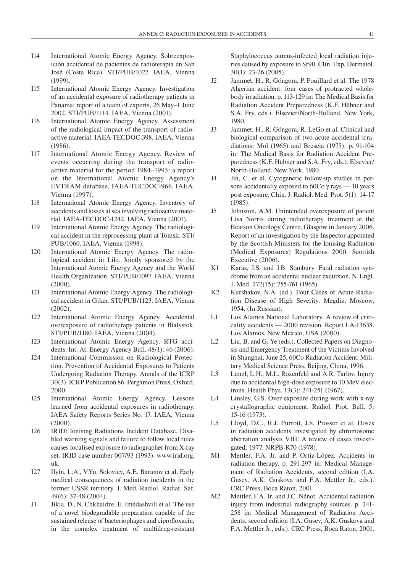- I14 International Atomic Energy Agency. Sobreexposición accidental de pacientes de radioterapia en San José (Costa Rica). STI/PUB/1027. IAEA, Vienna (1999).
- I15 International Atomic Energy Agency. Investigation of an accidental exposure of radiotherapy patients in Panama: report of a team of experts, 26 May–1 June 2002. STI/PUB/1114. IAEA, Vienna (2001).
- I16 International Atomic Energy Agency. Assessment of the radiological impact of the transport of radioactive material. IAEA-TECDOC-398. IAEA, Vienna (1986).
- I17 International Atomic Energy Agency. Review of events occurring during the transport of radioactive material for the period 1984–1993: a report on the International Atomic Energy Agency's EVTRAM database. IAEA-TECDOC-966. IAEA, Vienna (1997).
- I18 International Atomic Energy Agency. Inventory of accidents and losses at sea involving radioactive material. IAEA-TECDOC-1242. IAEA, Vienna (2001).
- I19 International Atomic Energy Agency. The radiological accident in the reprocessing plant at Tomsk. STI/ PUB/1060. IAEA, Vienna (1998).
- I20 International Atomic Energy Agency. The radiological accident in Lilo. Jointly sponsored by the International Atomic Energy Agency and the World Health Organization. STI/PUB/1097. IAEA, Vienna (2000).
- I21 International Atomic Energy Agency. The radiological accident in Gilan. STI/PUB/1123. IAEA, Vienna (2002).
- I22 International Atomic Energy Agency. Accidental overexposure of radiotherapy patients in Bialystok. STI/PUB/1180. IAEA, Vienna (2004).
- I23 International Atomic Energy Agency. RTG accidents. Int. At. Energy Agency Bull. 48(1): 46 (2006).
- I24 International Commission on Radiological Protection. Prevention of Accidental Exposures to Patients Undergoing Radiation Therapy. Annals of the ICRP 30(3). ICRP Publication 86. Pergamon Press, Oxford, 2000.
- I25 International Atomic Energy Agency. Lessons learned from accidental exposures in radiotherapy. IAEA Safety Reports Series No. 17. IAEA, Vienna (2000).
- I26 IRID: Ionising Radiations Incident Database. Disabled warning signals and failure to follow local rules causes localised exposure to radiographer from X-ray set. IRID case number 007/93 (1993). www.irid.org. uk.
- I27 Ilyin, L.A., V.Yu. Soloviev, A.E. Baranov et al. Early medical consequences of radiation incidents in the former USSR territory. J. Med. Radiol. Radiat. Saf. 49(6): 37-48 (2004).
- J1 Jikia, D., N. Chkhaidze, E. Imedashvili et al. The use of a novel biodegradable preparation capable of the sustained release of bacteriophages and ciprofloxacin, in the complex treatment of multidrug-resistant

Staphylococcus aureus-infected local radiation injuries caused by exposure to Sr90. Clin. Exp. Dermatol. 30(1): 23-26 (2005).

- J2 Jammet, H., R. Góngora, P. Pouillard et al. The 1978 Algerian accident: four cases of protracted wholebody irradiation. p. 113-129 in: The Medical Basis for Radiation Accident Preparedness (K.F. Hübner and S.A. Fry, eds.). Elsevier/North-Holland, New York, 1980.
- J3 Jammet, H., R. Góngora, R. LeGo et al. Clinical and biological comparison of two acute accidental irradiations: Mol (1965) and Brescia (1975). p. 91-104 in: The Medical Basis for Radiation Accident Preparedness (K.F. Hübner and S.A. Fry, eds.). Elsevier/ North-Holland, New York, 1980.
- J4 Jin, C. et al. Cytogenetic follow-up studies in persons accidentally exposed to 60Co  $\gamma$  rays  $-10$  years post exposure. Chin. J. Radiol. Med. Prot. 5(1): 14-17 (1985).
- J5 Johnston, A.M. Unintended overexposure of patient Lisa Norris during radiotherapy treatment at the Beatson Oncology Centre, Glasgow in January 2006. Report of an investigation by the Inspector appointed by the Scottish Ministers for the Ionising Radiation (Medical Exposures) Regulations 2000. Scottish Executive (2006).
- K1 Karas, J.S. and J.B. Stanbury. Fatal radiation syndrome from an accidental nuclear excursion. N. Engl. J. Med. 272(15): 755-761 (1965).
- K2 Kurshakov, N.A. (ed.). Four Cases of Acute Radiation Disease of High Severity. Megdiz, Moscow, 1954. (In Russian).
- L1 Los Alamos National Laboratory. A review of criticality accidents — 2000 revision. Report LA-13638. Los Alamos, New Mexico, USA (2000).
- L2 Liu, B. and G. Ye (eds.). Collected Papers on Diagnosis and Emergency Treatment of the Victims Involved in Shanghai, June 25, 60Co Radiation Accident. Military Medical Science Press, Beijing, China, 1996.
- L3 Lanzl, L.H., M.L. Rozenfeld and A.R. Tarlov. Injury due to accidental high-dose exposure to 10 MeV electrons. Health Phys. 13(3): 241-251 (1967).
- L4 Linsley, G.S. Over-exposure during work with x-ray crystallographic equipment. Radiol. Prot. Bull. 5: 15-16 (1973).
- L5 Lloyd, D.C., R.J. Purrott, J.S. Prosser et al. Doses in radiation accidents investigated by chromosome aberration analysis VIII: A review of cases investigated: 1977. NRPB-R70 (1978).
- M1 Mettler, F.A. Jr. and P. Ortiz-López. Accidents in radiation therapy. p. 291-297 in: Medical Management of Radiation Accidents, second edition (I.A. Gusev, A.K. Guskova and F.A. Mettler Jr., eds.). CRC Press, Boca Raton, 2001.
- M2 Mettler, F.A. Jr. and J.C. Nénot. Accidental radiation injury from industrial radiography sources. p. 241- 258 in: Medical Management of Radiation Accidents, second edition (I.A. Gusev, A.K. Guskova and F.A. Mettler Jr., eds.). CRC Press, Boca Raton, 2001.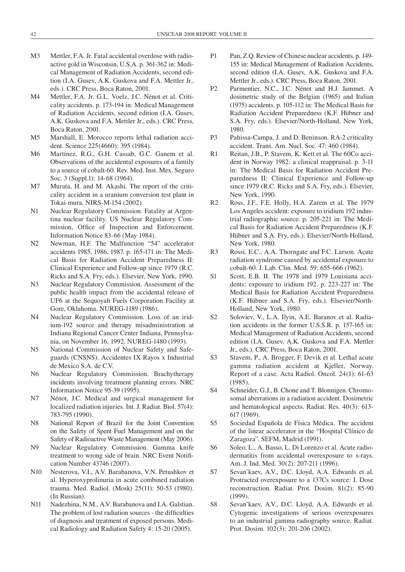- M3 Mettler, F.A. Jr. Fatal accidental overdose with radioactive gold in Wisconsin, U.S.A. p. 361-362 in: Medical Management of Radiation Accidents, second edition (I.A. Gusev, A.K. Guskova and F.A. Mettler Jr., eds.). CRC Press, Boca Raton, 2001.
- M4 Mettler, F.A. Jr. G.L. Voelz, J.C. Nénot et al. Criticality accidents. p. 173-194 in: Medical Management of Radiation Accidents, second edition (I.A. Gusev, A.K. Guskova and F.A. Mettler Jr., eds.). CRC Press, Boca Raton, 2001.
- M5 Marshall, E. Morocco reports lethal radiation accident. Science 225(4660): 395 (1984).
- M6 Martínez, R.G., G.H. Cassab, G.C. Ganem et al. Observations of the accidental exposures of a family to a source of cobalt-60. Rev. Med. Inst. Mex. Seguro Soc. 3 (Suppl.1): 14-68 (1964).
- M7 Murata, H. and M. Akashi. The report of the criticality accident in a uranium conversion test plant in Tokai-mura. NIRS-M-154 (2002).
- N1 Nuclear Regulatory Commission. Fatality at Argentina nuclear facility. US Nuclear Regulatory Commission, Office of Inspection and Enforcement. Information Notice 83-66 (May 1984).
- N2 Newman, H.F. The Malfunction "54" accelerator accidents 1985, 1986, 1987. p. 165-171 in: The Medical Basis for Radiation Accident Preparedness II: Clinical Experience and Follow-up since 1979 (R.C. Ricks and S.A. Fry, eds.). Elsevier, New York, 1990.
- N3 Nuclear Regulatory Commission. Assessment of the public health impact from the accidental release of UF6 at the Sequoyah Fuels Corporation Facility at Gore, Oklahoma. NUREG-1189 (1986).
- N4 Nuclear Regulatory Commission. Loss of an iridium-192 source and therapy misadministration at Indiana Regional Cancer Center Indiana, Pennsylvania, on November 16, 1992. NUREG-1480 (1993).
- N5 National Commission of Nuclear Safety and Safeguards (CNSNS). Accidentes IX Rayos x Industrial de Mexico S.A. de C.V.
- N6 Nuclear Regulatory Commission. Brachytherapy incidents involving treatment planning errors. NRC Information Notice 95-39 (1995).
- N7 Nénot, J.C. Medical and surgical management for localized radiation injuries. Int. J. Radiat. Biol. 57(4): 783-795 (1990).
- N8 National Report of Brazil for the Joint Convention on the Safety of Spent Fuel Management and on the Safety of Radioactive Waste Management (May 2006).
- N9 Nuclear Regulatory Commission. Gamma knife treatment to wrong side of brain. NRC Event Notification Number 43746 (2007).
- N10 Nesterova, V.I., A.V. Barabanova, V.N. Petushkov et al. Hyperoxyprolinuria in acute combined radiation trauma. Med. Radiol. (Mosk) 25(11): 50-53 (1980). (In Russian).
- N11 Nadezhina, N.M., A.V. Barabanova and I.A. Galstian. The problem of lost radiation sources - the difficulties of diagnosis and treatment of exposed persons. Medical Radiology and Radiation Safety 4: 15-20 (2005).
- P1 Pan, Z.Q. Review of Chinese nuclear accidents. p. 149- 155 in: Medical Management of Radiation Accidents, second edition (I.A. Gusev, A.K. Guskova and F.A. Mettler Jr., eds.). CRC Press, Boca Raton, 2001.
- P2 Parmentier, N.C., J.C. Nénot and H.J. Jammet. A dosimetric study of the Belgian (1965) and Italian (1975) accidents. p. 105-112 in: The Medical Basis for Radiation Accident Preparedness (K.F. Hübner and S.A. Fry, eds.). Elsevier/North-Holland, New York, 1980.
- P3 Pahissa-Campa, J. and D. Beninson. RA-2 criticality accident. Trans. Am. Nucl. Soc. 47: 460 (1984).
- R1 Reitan, J.B., P. Stavem, K. Kett et al. The 60Co accident in Norway 1982: a clinical reappraisal. p. 3-11 in: The Medical Basis for Radiation Accident Preparedness II: Clinical Experience and Follow-up since 1979 (R.C. Ricks and S.A. Fry, eds.). Elsevier, New York, 1990.
- R2 Ross, J.F., F.E. Holly, H.A. Zarem et al. The 1979 Los Angeles accident: exposure to iridium 192 industrial radiographic source. p. 205-221 in: The Medical Basis for Radiation Accident Preparedness (K.F. Hübner and S.A. Fry, eds.). Elsevier/North-Holland, New York, 1980.
- R3 Rossi, E.C., A.A. Thorngate and F.C. Larson. Acute radiation syndrome caused by accidental exposure to cobalt-60. J. Lab. Clin. Med. 59: 655-666 (1962).
- S1 Scott, E.B. II. The 1978 and 1979 Louisiana accidents: exposure to iridium 192. p. 223-227 in: The Medical Basis for Radiation Accident Preparedness (K.F. Hübner and S.A. Fry, eds.). Elsevier/North-Holland, New York, 1980.
- S2 Soloviev, V., L.A. Ilyin, A.E. Baranov et al. Radiation accidents in the former U.S.S.R. p. 157-165 in: Medical Management of Radiation Accidents, second edition (I.A. Gusev, A.K. Guskova and F.A. Mettler Jr., eds.). CRC Press, Boca Raton, 2001.
- S3 Stavem, P., A. Brogger, F. Devik et al. Lethal acute gamma radiation accident at Kjeller, Norway. Report of a case. Acta Radiol. Oncol. 24(1): 61-63 (1985).
- S4 Schneider, G.J., B. Chone and T. Blonnigen. Chromosomal aberrations in a radiation accident. Dosimetric and hematological aspects. Radiat. Res. 40(3): 613- 617 (1969).
- S5 Sociedad Española de Física Médica. The accident of the linear accelerator in the "Hospital Clínico de Zaragoza". SEFM, Madrid (1991).
- S6 Soleo, L., A. Basso, L. Di Lorenzo et al. Acute radiodermatitis from accidental overexposure to x-rays. Am. J. Ind. Med. 30(2): 207-211 (1996).
- S7 Sevan'kaev, A.V., D.C. Lloyd, A.A. Edwards et al. Protracted overexposure to a 137Cs source: I. Dose reconstruction. Radiat. Prot. Dosim. 81(2): 85-90 (1999).
- S8 Sevan'kaev, A.V., D.C. Lloyd, A.A. Edwards et al. Cytogenic investigations of serious overexposures to an industrial gamma radiography source. Radiat. Prot. Dosim. 102(3): 201-206 (2002).